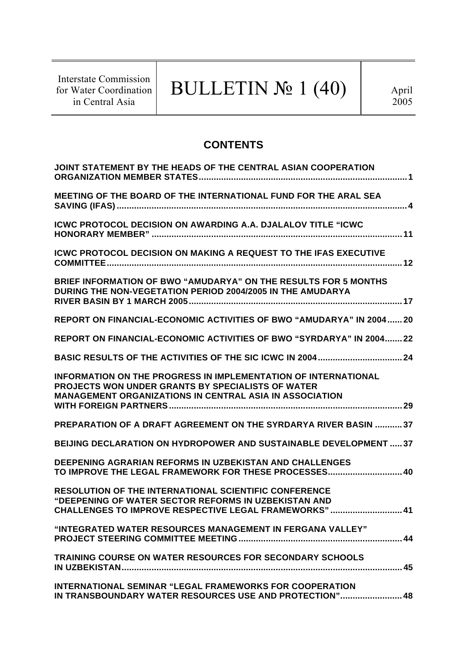Interstate Commission for Water Coordination in Central Asia

# BULLETIN  $\mathbb{N}$ <sup>0</sup> 1 (40)

# **CONTENTS**

| JOINT STATEMENT BY THE HEADS OF THE CENTRAL ASIAN COOPERATION                                                                                                                                       |
|-----------------------------------------------------------------------------------------------------------------------------------------------------------------------------------------------------|
| MEETING OF THE BOARD OF THE INTERNATIONAL FUND FOR THE ARAL SEA                                                                                                                                     |
| <b>ICWC PROTOCOL DECISION ON AWARDING A.A. DJALALOV TITLE "ICWC"</b>                                                                                                                                |
| <b>ICWC PROTOCOL DECISION ON MAKING A REQUEST TO THE IFAS EXECUTIVE</b>                                                                                                                             |
| BRIEF INFORMATION OF BWO "AMUDARYA" ON THE RESULTS FOR 5 MONTHS<br>DURING THE NON-VEGETATION PERIOD 2004/2005 IN THE AMUDARYA                                                                       |
| REPORT ON FINANCIAL-ECONOMIC ACTIVITIES OF BWO "AMUDARYA" IN 2004 20                                                                                                                                |
| REPORT ON FINANCIAL-ECONOMIC ACTIVITIES OF BWO "SYRDARYA" IN 2004 22                                                                                                                                |
|                                                                                                                                                                                                     |
| <b>INFORMATION ON THE PROGRESS IN IMPLEMENTATION OF INTERNATIONAL</b><br><b>PROJECTS WON UNDER GRANTS BY SPECIALISTS OF WATER</b><br><b>MANAGEMENT ORGANIZATIONS IN CENTRAL ASIA IN ASSOCIATION</b> |
| PREPARATION OF A DRAFT AGREEMENT ON THE SYRDARYA RIVER BASIN  37                                                                                                                                    |
| <b>BEIJING DECLARATION ON HYDROPOWER AND SUSTAINABLE DEVELOPMENT  37</b>                                                                                                                            |
| <b>DEEPENING AGRARIAN REFORMS IN UZBEKISTAN AND CHALLENGES</b><br>TO IMPROVE THE LEGAL FRAMEWORK FOR THESE PROCESSES 40                                                                             |
| RESOLUTION OF THE INTERNATIONAL SCIENTIFIC CONFERENCE<br>"DEEPENING OF WATER SECTOR REFORMS IN UZBEKISTAN AND<br>CHALLENGES TO IMPROVE RESPECTIVE LEGAL FRAMEWORKS" 41                              |
| "INTEGRATED WATER RESOURCES MANAGEMENT IN FERGANA VALLEY"                                                                                                                                           |
| <b>TRAINING COURSE ON WATER RESOURCES FOR SECONDARY SCHOOLS</b>                                                                                                                                     |
| INTERNATIONAL SEMINAR "LEGAL FRAMEWORKS FOR COOPERATION<br>IN TRANSBOUNDARY WATER RESOURCES USE AND PROTECTION" 48                                                                                  |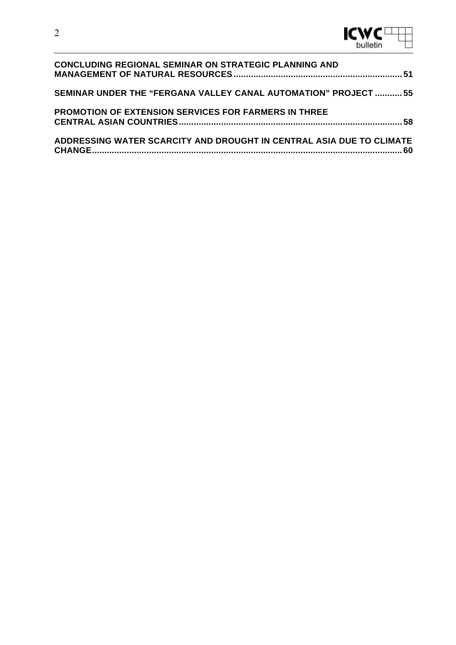

| <b>CONCLUDING REGIONAL SEMINAR ON STRATEGIC PLANNING AND</b>         |  |
|----------------------------------------------------------------------|--|
| SEMINAR UNDER THE "FERGANA VALLEY CANAL AUTOMATION" PROJECT  55      |  |
| PROMOTION OF EXTENSION SERVICES FOR FARMERS IN THREE                 |  |
| ADDRESSING WATER SCARCITY AND DROUGHT IN CENTRAL ASIA DUE TO CLIMATE |  |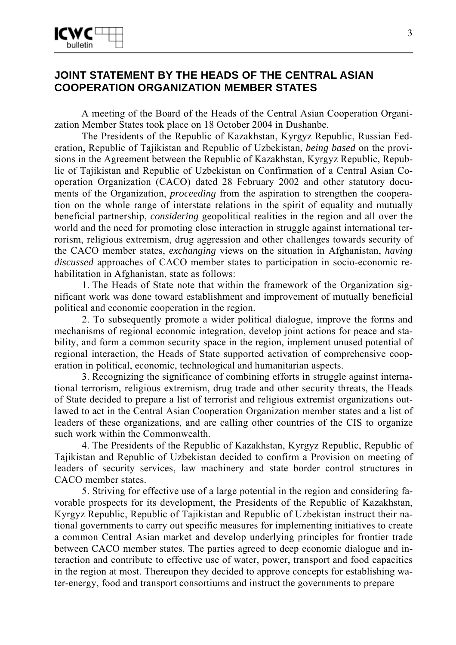

# **JOINT STATEMENT BY THE HEADS OF THE CENTRAL ASIAN COOPERATION ORGANIZATION MEMBER STATES**

A meeting of the Board of the Heads of the Central Asian Cooperation Organization Member States took place on 18 October 2004 in Dushanbe.

The Presidents of the Republic of Kazakhstan, Kyrgyz Republic, Russian Federation, Republic of Tajikistan and Republic of Uzbekistan, *being based* on the provisions in the Agreement between the Republic of Kazakhstan, Kyrgyz Republic, Republic of Tajikistan and Republic of Uzbekistan on Confirmation of a Central Asian Cooperation Organization (CACO) dated 28 February 2002 and other statutory documents of the Organization, *proceeding* from the aspiration to strengthen the cooperation on the whole range of interstate relations in the spirit of equality and mutually beneficial partnership, *considering* geopolitical realities in the region and all over the world and the need for promoting close interaction in struggle against international terrorism, religious extremism, drug aggression and other challenges towards security of the CACO member states, *exchanging* views on the situation in Afghanistan, *having discussed* approaches of CACO member states to participation in socio-economic rehabilitation in Afghanistan, state as follows:

1. The Heads of State note that within the framework of the Organization significant work was done toward establishment and improvement of mutually beneficial political and economic cooperation in the region.

2. To subsequently promote a wider political dialogue, improve the forms and mechanisms of regional economic integration, develop joint actions for peace and stability, and form a common security space in the region, implement unused potential of regional interaction, the Heads of State supported activation of comprehensive cooperation in political, economic, technological and humanitarian aspects.

3. Recognizing the significance of combining efforts in struggle against international terrorism, religious extremism, drug trade and other security threats, the Heads of State decided to prepare a list of terrorist and religious extremist organizations outlawed to act in the Central Asian Cooperation Organization member states and a list of leaders of these organizations, and are calling other countries of the CIS to organize such work within the Commonwealth.

4. The Presidents of the Republic of Kazakhstan, Kyrgyz Republic, Republic of Tajikistan and Republic of Uzbekistan decided to confirm a Provision on meeting of leaders of security services, law machinery and state border control structures in CACO member states.

5. Striving for effective use of a large potential in the region and considering favorable prospects for its development, the Presidents of the Republic of Kazakhstan, Kyrgyz Republic, Republic of Tajikistan and Republic of Uzbekistan instruct their national governments to carry out specific measures for implementing initiatives to create a common Central Asian market and develop underlying principles for frontier trade between CACO member states. The parties agreed to deep economic dialogue and interaction and contribute to effective use of water, power, transport and food capacities in the region at most. Thereupon they decided to approve concepts for establishing water-energy, food and transport consortiums and instruct the governments to prepare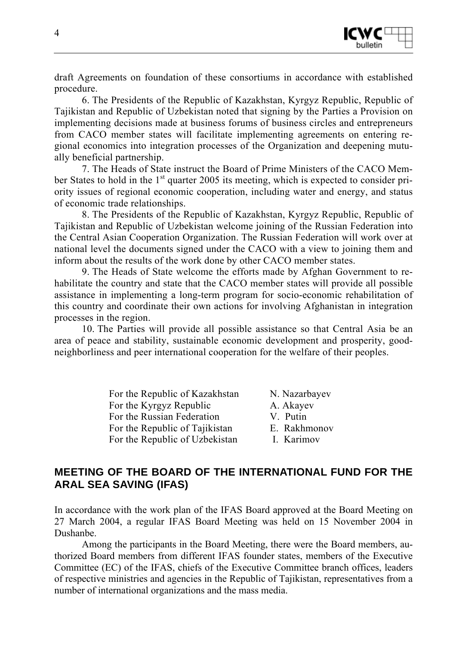

draft Agreements on foundation of these consortiums in accordance with established procedure.

6. The Presidents of the Republic of Kazakhstan, Kyrgyz Republic, Republic of Tajikistan and Republic of Uzbekistan noted that signing by the Parties a Provision on implementing decisions made at business forums of business circles and entrepreneurs from CACO member states will facilitate implementing agreements on entering regional economics into integration processes of the Organization and deepening mutually beneficial partnership.

7. The Heads of State instruct the Board of Prime Ministers of the CACO Member States to hold in the  $1<sup>st</sup>$  quarter 2005 its meeting, which is expected to consider priority issues of regional economic cooperation, including water and energy, and status of economic trade relationships.

8. The Presidents of the Republic of Kazakhstan, Kyrgyz Republic, Republic of Tajikistan and Republic of Uzbekistan welcome joining of the Russian Federation into the Central Asian Cooperation Organization. The Russian Federation will work over at national level the documents signed under the CACO with a view to joining them and inform about the results of the work done by other CACO member states.

9. The Heads of State welcome the efforts made by Afghan Government to rehabilitate the country and state that the CACO member states will provide all possible assistance in implementing a long-term program for socio-economic rehabilitation of this country and coordinate their own actions for involving Afghanistan in integration processes in the region.

10. The Parties will provide all possible assistance so that Central Asia be an area of peace and stability, sustainable economic development and prosperity, goodneighborliness and peer international cooperation for the welfare of their peoples.

| For the Republic of Kazakhstan | N. Nazarbay |
|--------------------------------|-------------|
| For the Kyrgyz Republic        | A. Akayev   |
| For the Russian Federation     | V. Putin    |
| For the Republic of Tajikistan | E. Rakhmor  |
| For the Republic of Uzbekistan | I. Karimov  |

N. Nazarbayev A. Akayev V. Putin E. Rakhmonov

# **MEETING OF THE BOARD OF THE INTERNATIONAL FUND FOR THE ARAL SEA SAVING (IFAS)**

In accordance with the work plan of the IFAS Board approved at the Board Meeting on 27 March 2004, a regular IFAS Board Meeting was held on 15 November 2004 in Dushanbe.

Among the participants in the Board Meeting, there were the Board members, authorized Board members from different IFAS founder states, members of the Executive Committee (EC) of the IFAS, chiefs of the Executive Committee branch offices, leaders of respective ministries and agencies in the Republic of Tajikistan, representatives from a number of international organizations and the mass media.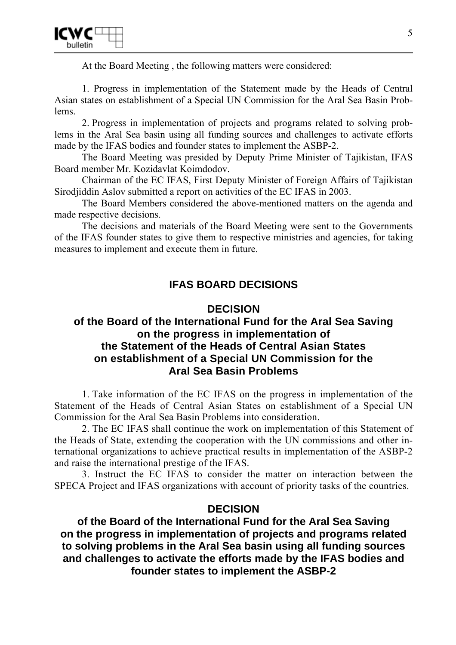

At the Board Meeting , the following matters were considered:

1. Progress in implementation of the Statement made by the Heads of Central Asian states on establishment of a Special UN Commission for the Aral Sea Basin Problems.

2. Progress in implementation of projects and programs related to solving problems in the Aral Sea basin using all funding sources and challenges to activate efforts made by the IFAS bodies and founder states to implement the ASBP-2.

The Board Meeting was presided by Deputy Prime Minister of Tajikistan, IFAS Board member Mr. Kozidavlat Koimdodov.

Chairman of the EC IFAS, First Deputy Minister of Foreign Affairs of Tajikistan Sirodjiddin Aslov submitted a report on activities of the EC IFAS in 2003.

The Board Members considered the above-mentioned matters on the agenda and made respective decisions.

The decisions and materials of the Board Meeting were sent to the Governments of the IFAS founder states to give them to respective ministries and agencies, for taking measures to implement and execute them in future.

# **IFAS BOARD DECISIONS**

## **DECISION**

# **of the Board of the International Fund for the Aral Sea Saving on the progress in implementation of the Statement of the Heads of Central Asian States on establishment of a Special UN Commission for the Aral Sea Basin Problems**

1. Take information of the EC IFAS on the progress in implementation of the Statement of the Heads of Central Asian States on establishment of a Special UN Commission for the Aral Sea Basin Problems into consideration.

2. The EC IFAS shall continue the work on implementation of this Statement of the Heads of State, extending the cooperation with the UN commissions and other international organizations to achieve practical results in implementation of the ASBP-2 and raise the international prestige of the IFAS.

3. Instruct the EC IFAS to consider the matter on interaction between the SPECA Project and IFAS organizations with account of priority tasks of the countries.

#### **DECISION**

**of the Board of the International Fund for the Aral Sea Saving on the progress in implementation of projects and programs related to solving problems in the Aral Sea basin using all funding sources and challenges to activate the efforts made by the IFAS bodies and founder states to implement the ASBP-2**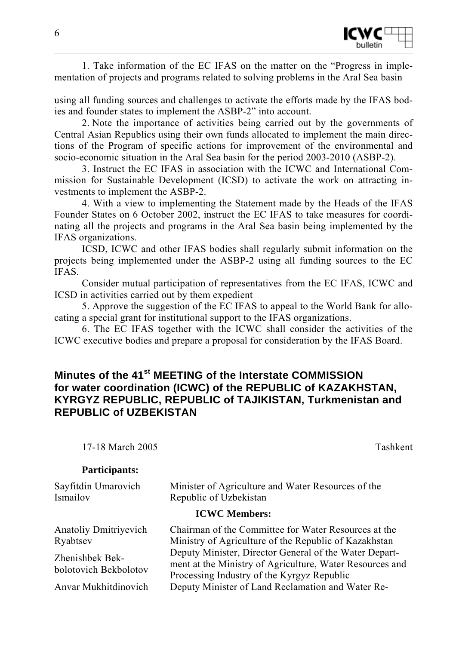

1. Take information of the EC IFAS on the matter on the "Progress in implementation of projects and programs related to solving problems in the Aral Sea basin

using all funding sources and challenges to activate the efforts made by the IFAS bodies and founder states to implement the ASBP-2" into account.

2. Note the importance of activities being carried out by the governments of Central Asian Republics using their own funds allocated to implement the main directions of the Program of specific actions for improvement of the environmental and socio-economic situation in the Aral Sea basin for the period 2003-2010 (ASBP-2).

3. Instruct the EC IFAS in association with the ICWC and International Commission for Sustainable Development (ICSD) to activate the work on attracting investments to implement the ASBP-2.

4. With a view to implementing the Statement made by the Heads of the IFAS Founder States on 6 October 2002, instruct the EC IFAS to take measures for coordinating all the projects and programs in the Aral Sea basin being implemented by the IFAS organizations.

ICSD, ICWC and other IFAS bodies shall regularly submit information on the projects being implemented under the ASBP-2 using all funding sources to the EC IFAS.

Consider mutual participation of representatives from the EC IFAS, ICWC and ICSD in activities carried out by them expedient

5. Approve the suggestion of the EC IFAS to appeal to the World Bank for allocating a special grant for institutional support to the IFAS organizations.

6. The EC IFAS together with the ICWC shall consider the activities of the ICWC executive bodies and prepare a proposal for consideration by the IFAS Board.

# **Minutes of the 41st MEETING of the Interstate COMMISSION for water coordination (ICWC) of the REPUBLIC of KAZAKHSTAN, KYRGYZ REPUBLIC, REPUBLIC of TAJIKISTAN, Turkmenistan and REPUBLIC of UZBEKISTAN**

17-18 March 2005 Tashkent

#### **Participants:**

| Sayfitdin Umarovich<br>Ismailov          | Minister of Agriculture and Water Resources of the<br>Republic of Uzbekistan                                                                                     |  |  |
|------------------------------------------|------------------------------------------------------------------------------------------------------------------------------------------------------------------|--|--|
| <b>ICWC</b> Members:                     |                                                                                                                                                                  |  |  |
| <b>Anatoliy Dmitriyevich</b><br>Ryabtsev | Chairman of the Committee for Water Resources at the<br>Ministry of Agriculture of the Republic of Kazakhstan                                                    |  |  |
| Zhenishbek Bek-<br>bolotovich Bekbolotov | Deputy Minister, Director General of the Water Depart-<br>ment at the Ministry of Agriculture, Water Resources and<br>Processing Industry of the Kyrgyz Republic |  |  |
| Anvar Mukhitdinovich                     | Deputy Minister of Land Reclamation and Water Re-                                                                                                                |  |  |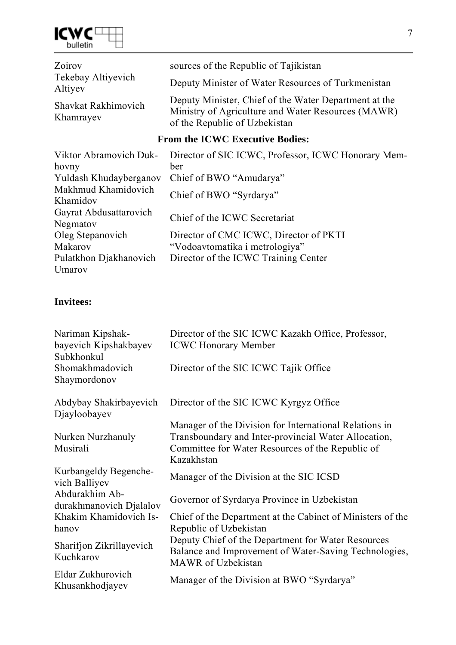

| Zoirov                                 | sources of the Republic of Tajikistan                                                                                                        |  |  |
|----------------------------------------|----------------------------------------------------------------------------------------------------------------------------------------------|--|--|
| Tekebay Altiyevich<br>Altiyev          | Deputy Minister of Water Resources of Turkmenistan                                                                                           |  |  |
| Shavkat Rakhimovich<br>Khamrayev       | Deputy Minister, Chief of the Water Department at the<br>Ministry of Agriculture and Water Resources (MAWR)<br>of the Republic of Uzbekistan |  |  |
| <b>From the ICWC Executive Bodies:</b> |                                                                                                                                              |  |  |
| Viktor Abramovich Duk-                 | Director of SIC ICWC, Professor, ICWC Honorary Mem-                                                                                          |  |  |
| hovny                                  | ber                                                                                                                                          |  |  |
| Yuldash Khudayberganov                 | Chief of BWO "Amudarya"                                                                                                                      |  |  |
| Makhmud Khamidovich<br>Khamidov        | Chief of BWO "Syrdarya"                                                                                                                      |  |  |
| Gayrat Abdusattarovich<br>Negmatov     | Chief of the ICWC Secretariat                                                                                                                |  |  |
| Oleg Stepanovich                       | Director of CMC ICWC, Director of PKTI                                                                                                       |  |  |
| Makarov                                | "Vodoavtomatika i metrologiya"                                                                                                               |  |  |
| Pulatkhon Djakhanovich                 | Director of the ICWC Training Center                                                                                                         |  |  |

# **Invitees:**

Umarov

| Nariman Kipshak-<br>bayevich Kipshakbayev<br>Subkhonkul | Director of the SIC ICWC Kazakh Office, Professor,<br><b>ICWC Honorary Member</b>                                                                                                |
|---------------------------------------------------------|----------------------------------------------------------------------------------------------------------------------------------------------------------------------------------|
| Shomakhmadovich<br>Shaymordonov                         | Director of the SIC ICWC Tajik Office                                                                                                                                            |
| Abdybay Shakirbayevich<br>Djayloobayev                  | Director of the SIC ICWC Kyrgyz Office                                                                                                                                           |
| Nurken Nurzhanuly<br>Musirali                           | Manager of the Division for International Relations in<br>Transboundary and Inter-provincial Water Allocation,<br>Committee for Water Resources of the Republic of<br>Kazakhstan |
| Kurbangeldy Begenche-<br>vich Balliyev                  | Manager of the Division at the SIC ICSD                                                                                                                                          |
| Abdurakhim Ab-<br>durakhmanovich Djalalov               | Governor of Syrdarya Province in Uzbekistan                                                                                                                                      |
| Khakim Khamidovich Is-<br>hanov                         | Chief of the Department at the Cabinet of Ministers of the<br>Republic of Uzbekistan                                                                                             |
| Sharifjon Zikrillayevich<br>Kuchkarov                   | Deputy Chief of the Department for Water Resources<br>Balance and Improvement of Water-Saving Technologies,<br><b>MAWR</b> of Uzbekistan                                         |
| Eldar Zukhurovich<br>Khusankhodjayev                    | Manager of the Division at BWO "Syrdarya"                                                                                                                                        |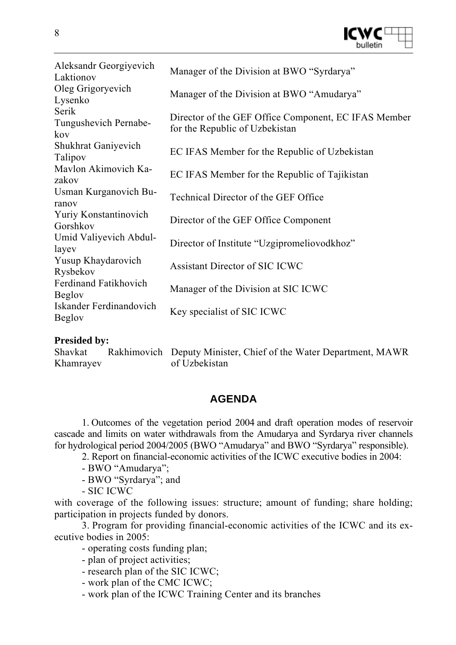

| Aleksandr Georgiyevich<br>Laktionov           | Manager of the Division at BWO "Syrdarya"                                              |
|-----------------------------------------------|----------------------------------------------------------------------------------------|
| Oleg Grigoryevich<br>Lysenko                  | Manager of the Division at BWO "Amudarya"                                              |
| Serik<br>Tungushevich Pernabe-<br>kov         | Director of the GEF Office Component, EC IFAS Member<br>for the Republic of Uzbekistan |
| <b>Shukhrat Ganiyevich</b><br>Talipov         | EC IFAS Member for the Republic of Uzbekistan                                          |
| Mavlon Akimovich Ka-<br>zakov                 | EC IFAS Member for the Republic of Tajikistan                                          |
| Usman Kurganovich Bu-<br>ranov                | <b>Technical Director of the GEF Office</b>                                            |
| <b>Yuriy Konstantinovich</b><br>Gorshkov      | Director of the GEF Office Component                                                   |
| Umid Valiyevich Abdul-<br>layev               | Director of Institute "Uzgipromeliovodkhoz"                                            |
| Yusup Khaydarovich<br>Rysbekov                | <b>Assistant Director of SIC ICWC</b>                                                  |
| <b>Ferdinand Fatikhovich</b><br><b>Beglov</b> | Manager of the Division at SIC ICWC                                                    |
| Iskander Ferdinandovich<br><b>Beglov</b>      | Key specialist of SIC ICWC                                                             |

#### **Presided by:**

| Shavkat   | Rakhimovich Deputy Minister, Chief of the Water Department, MAWR |
|-----------|------------------------------------------------------------------|
| Khamrayev | of Uzbekistan                                                    |

# **AGENDA**

1. Outcomes of the vegetation period 2004 and draft operation modes of reservoir cascade and limits on water withdrawals from the Amudarya and Syrdarya river channels for hydrological period 2004/2005 (BWO "Amudarya" and BWO "Syrdarya" responsible).

2. Report on financial-economic activities of the ICWC executive bodies in 2004:

- BWO "Amudarya";
- BWO "Syrdarya"; and
- SIC ICWC

with coverage of the following issues: structure; amount of funding; share holding; participation in projects funded by donors.

3. Program for providing financial-economic activities of the ICWC and its executive bodies in 2005:

- operating costs funding plan;
- plan of project activities;
- research plan of the SIC ICWC;
- work plan of the CMC ICWC;
- work plan of the ICWC Training Center and its branches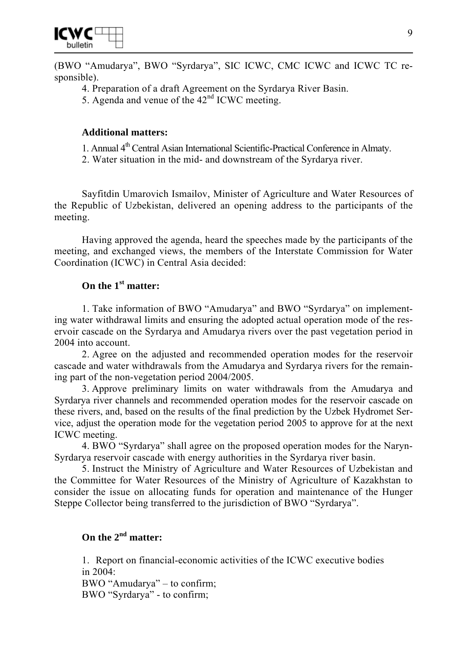

(BWO "Amudarya", BWO "Syrdarya", SIC ICWC, CMC ICWC and ICWC TC responsible).

- 4. Preparation of a draft Agreement on the Syrdarya River Basin.
- 5. Agenda and venue of the  $42<sup>nd</sup>$  ICWC meeting.

## **Additional matters:**

- 1. Annual 4th Central Asian International Scientific-Practical Conference in Almaty.
- 2. Water situation in the mid- and downstream of the Syrdarya river.

Sayfitdin Umarovich Ismailov, Minister of Agriculture and Water Resources of the Republic of Uzbekistan, delivered an opening address to the participants of the meeting.

Having approved the agenda, heard the speeches made by the participants of the meeting, and exchanged views, the members of the Interstate Commission for Water Coordination (ICWC) in Central Asia decided:

# **On the 1st matter:**

1. Take information of BWO "Amudarya" and BWO "Syrdarya" on implementing water withdrawal limits and ensuring the adopted actual operation mode of the reservoir cascade on the Syrdarya and Amudarya rivers over the past vegetation period in 2004 into account.

2. Agree on the adjusted and recommended operation modes for the reservoir cascade and water withdrawals from the Amudarya and Syrdarya rivers for the remaining part of the non-vegetation period 2004/2005.

3. Approve preliminary limits on water withdrawals from the Amudarya and Syrdarya river channels and recommended operation modes for the reservoir cascade on these rivers, and, based on the results of the final prediction by the Uzbek Hydromet Service, adjust the operation mode for the vegetation period 2005 to approve for at the next ICWC meeting.

4. BWO "Syrdarya" shall agree on the proposed operation modes for the Naryn-Syrdarya reservoir cascade with energy authorities in the Syrdarya river basin.

5. Instruct the Ministry of Agriculture and Water Resources of Uzbekistan and the Committee for Water Resources of the Ministry of Agriculture of Kazakhstan to consider the issue on allocating funds for operation and maintenance of the Hunger Steppe Collector being transferred to the jurisdiction of BWO "Syrdarya".

# **On the 2nd matter:**

1. Report on financial-economic activities of the ICWC executive bodies in 2004: BWO "Amudarya" – to confirm; BWO "Syrdarya" - to confirm;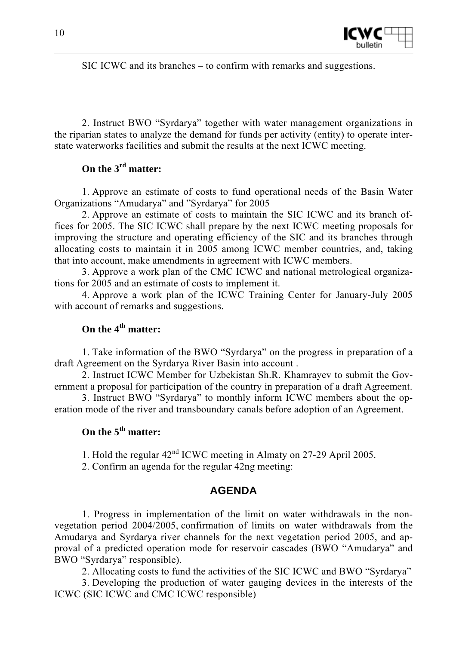

SIC ICWC and its branches – to confirm with remarks and suggestions.

2. Instruct BWO "Syrdarya" together with water management organizations in the riparian states to analyze the demand for funds per activity (entity) to operate interstate waterworks facilities and submit the results at the next ICWC meeting.

## **On the 3rd matter:**

1. Approve an estimate of costs to fund operational needs of the Basin Water Organizations "Amudarya" and "Syrdarya" for 2005

2. Approve an estimate of costs to maintain the SIC ICWC and its branch offices for 2005. The SIC ICWC shall prepare by the next ICWC meeting proposals for improving the structure and operating efficiency of the SIC and its branches through allocating costs to maintain it in 2005 among ICWC member countries, and, taking that into account, make amendments in agreement with ICWC members.

3. Approve a work plan of the CMC ICWC and national metrological organizations for 2005 and an estimate of costs to implement it.

4. Approve a work plan of the ICWC Training Center for January-July 2005 with account of remarks and suggestions.

# **On the 4th matter:**

1. Take information of the BWO "Syrdarya" on the progress in preparation of a draft Agreement on the Syrdarya River Basin into account .

2. Instruct ICWC Member for Uzbekistan Sh.R. Khamrayev to submit the Government a proposal for participation of the country in preparation of a draft Agreement.

3. Instruct BWO "Syrdarya" to monthly inform ICWC members about the operation mode of the river and transboundary canals before adoption of an Agreement.

# **On the 5th matter:**

1. Hold the regular 42nd ICWC meeting in Almaty on 27-29 April 2005.

2. Confirm an agenda for the regular 42ng meeting:

#### **AGENDA**

1. Progress in implementation of the limit on water withdrawals in the nonvegetation period 2004/2005, confirmation of limits on water withdrawals from the Amudarya and Syrdarya river channels for the next vegetation period 2005, and approval of a predicted operation mode for reservoir cascades (BWO "Amudarya" and BWO "Syrdarya" responsible).

2. Allocating costs to fund the activities of the SIC ICWC and BWO "Syrdarya"

3. Developing the production of water gauging devices in the interests of the ICWC (SIC ICWC and CMC ICWC responsible)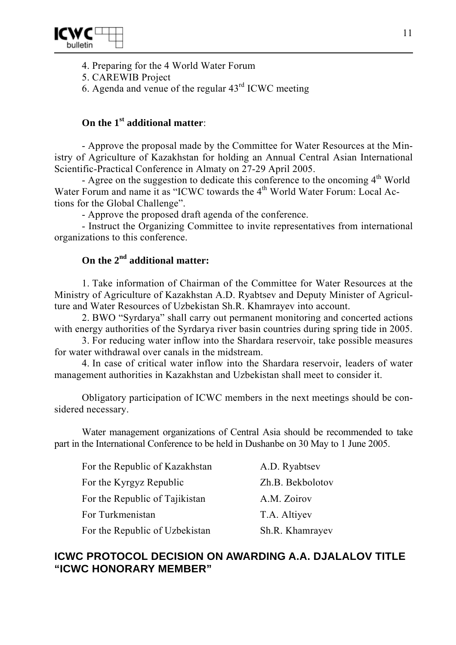

- 4. Preparing for the 4 World Water Forum
- 5. CAREWIB Project

6. Agenda and venue of the regular  $43<sup>rd</sup>$  ICWC meeting

# **On the 1st additional matter**:

- Approve the proposal made by the Committee for Water Resources at the Ministry of Agriculture of Kazakhstan for holding an Annual Central Asian International Scientific-Practical Conference in Almaty on 27-29 April 2005.

- Agree on the suggestion to dedicate this conference to the oncoming  $4<sup>th</sup>$  World Water Forum and name it as "ICWC towards the  $4<sup>th</sup>$  World Water Forum: Local Actions for the Global Challenge".

- Approve the proposed draft agenda of the conference.

- Instruct the Organizing Committee to invite representatives from international organizations to this conference.

# **On the 2nd additional matter:**

1. Take information of Chairman of the Committee for Water Resources at the Ministry of Agriculture of Kazakhstan A.D. Ryabtsev and Deputy Minister of Agriculture and Water Resources of Uzbekistan Sh.R. Khamrayev into account.

2. BWO "Syrdarya" shall carry out permanent monitoring and concerted actions with energy authorities of the Syrdarya river basin countries during spring tide in 2005.

3. For reducing water inflow into the Shardara reservoir, take possible measures for water withdrawal over canals in the midstream.

4. In case of critical water inflow into the Shardara reservoir, leaders of water management authorities in Kazakhstan and Uzbekistan shall meet to consider it.

Obligatory participation of ICWC members in the next meetings should be considered necessary.

Water management organizations of Central Asia should be recommended to take part in the International Conference to be held in Dushanbe on 30 May to 1 June 2005.

| For the Republic of Kazakhstan | A.D. Ryabtsev    |
|--------------------------------|------------------|
| For the Kyrgyz Republic        | Zh.B. Bekbolotov |
| For the Republic of Tajikistan | A.M. Zoirov      |
| For Turkmenistan               | T.A. Altiyev     |
| For the Republic of Uzbekistan | Sh.R. Khamrayev  |

# **ICWC PROTOCOL DECISION ON AWARDING A.A. DJALALOV TITLE "ICWC HONORARY MEMBER"**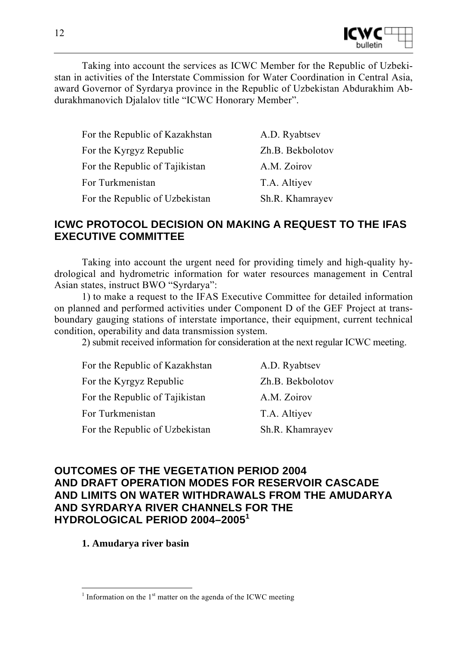

Taking into account the services as ICWC Member for the Republic of Uzbekistan in activities of the Interstate Commission for Water Coordination in Central Asia, award Governor of Syrdarya province in the Republic of Uzbekistan Abdurakhim Abdurakhmanovich Djalalov title "ICWC Honorary Member".

| For the Republic of Kazakhstan | A.D. Ryabtsev    |
|--------------------------------|------------------|
| For the Kyrgyz Republic        | Zh.B. Bekbolotov |
| For the Republic of Tajikistan | A.M. Zoirov      |
| For Turkmenistan               | T.A. Altiyev     |
| For the Republic of Uzbekistan | Sh.R. Khamrayev  |

# **ICWC PROTOCOL DECISION ON MAKING A REQUEST TO THE IFAS EXECUTIVE COMMITTEE**

Taking into account the urgent need for providing timely and high-quality hydrological and hydrometric information for water resources management in Central Asian states, instruct BWO "Syrdarya":

1) to make a request to the IFAS Executive Committee for detailed information on planned and performed activities under Component D of the GEF Project at transboundary gauging stations of interstate importance, their equipment, current technical condition, operability and data transmission system.

2) submit received information for consideration at the next regular ICWC meeting.

| For the Republic of Kazakhstan | A.D. Ryabtsev    |
|--------------------------------|------------------|
| For the Kyrgyz Republic        | Zh.B. Bekbolotov |
| For the Republic of Tajikistan | A.M. Zoirov      |
| For Turkmenistan               | T.A. Altiyev     |
| For the Republic of Uzbekistan | Sh.R. Khamrayev  |

# **OUTCOMES OF THE VEGETATION PERIOD 2004 AND DRAFT OPERATION MODES FOR RESERVOIR CASCADE AND LIMITS ON WATER WITHDRAWALS FROM THE AMUDARYA AND SYRDARYA RIVER CHANNELS FOR THE HYDROLOGICAL PERIOD 2004–2005<sup>1</sup>**

**1. Amudarya river basin** 

<sup>&</sup>lt;sup>1</sup> Information on the  $1<sup>st</sup>$  matter on the agenda of the ICWC meeting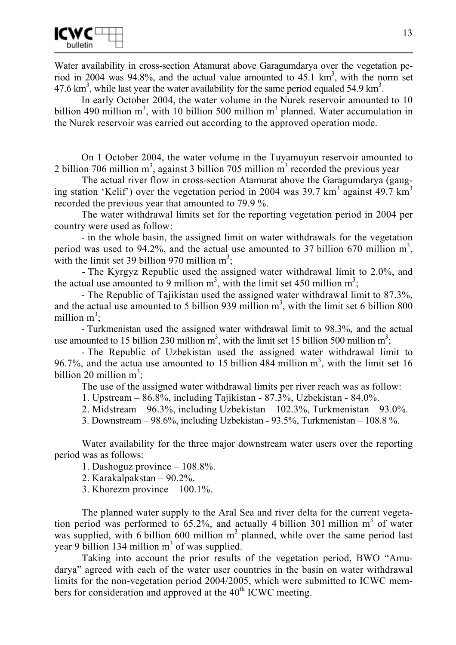Water availability in cross-section Atamurat above Garagumdarya over the vegetation period in 2004 was 94.8%, and the actual value amounted to  $45.1 \text{ km}^3$ , with the norm set 47.6 km<sup>3</sup>, while last year the water availability for the same period equaled 54.9 km<sup>3</sup>.

In early October 2004, the water volume in the Nurek reservoir amounted to 10 billion 490 million  $m^3$ , with 10 billion 500 million  $m^3$  planned. Water accumulation in the Nurek reservoir was carried out according to the approved operation mode.

On 1 October 2004, the water volume in the Tuyamuyun reservoir amounted to 2 billion 706 million  $m<sup>3</sup>$ , against 3 billion 705 million  $m<sup>3</sup>$  recorded the previous year

The actual river flow in cross-section Atamurat above the Garagumdarya (gauging station 'Kelif') over the vegetation period in 2004 was 39.7 km<sup>3</sup> against 49.7 km<sup>3</sup> recorded the previous year that amounted to 79.9 %.

The water withdrawal limits set for the reporting vegetation period in 2004 per country were used as follow:

- in the whole basin, the assigned limit on water withdrawals for the vegetation period was used to 94.2%, and the actual use amounted to 37 billion 670 million  $m^3$ , with the limit set 39 billion 970 million  $m^3$ ;

- The Kyrgyz Republic used the assigned water withdrawal limit to 2.0%, and the actual use amounted to 9 million  $m^3$ , with the limit set 450 million  $m^3$ ;

- The Republic of Tajikistan used the assigned water withdrawal limit to 87.3%, and the actual use amounted to 5 billion 939 million  $m<sup>3</sup>$ , with the limit set 6 billion 800 million  $m^3$ ;

- Turkmenistan used the assigned water withdrawal limit to 98.3%, and the actual use amounted to 15 billion 230 million  $m^3$ , with the limit set 15 billion 500 million  $m^3$ ;

- The Republic of Uzbekistan used the assigned water withdrawal limit to 96.7%, and the actua use amounted to 15 billion 484 million  $m<sup>3</sup>$ , with the limit set 16 billion 20 million  $m^3$ ;

The use of the assigned water withdrawal limits per river reach was as follow:

1. Upstream – 86.8%, including Tajikistan - 87.3%, Uzbekistan - 84.0%.

2. Midstream – 96.3%, including Uzbekistan – 102.3%, Turkmenistan – 93.0%.

3. Downstream – 98.6%, including Uzbekistan - 93.5%, Turkmenistan – 108.8 %.

Water availability for the three major downstream water users over the reporting period was as follows:

1. Dashoguz province – 108.8%.

2. Karakalpakstan – 90.2%.

3. Khorezm province – 100.1%.

The planned water supply to the Aral Sea and river delta for the current vegetation period was performed to  $65.2\%$ , and actually 4 billion 301 million  $m<sup>3</sup>$  of water was supplied, with 6 billion 600 million  $m<sup>3</sup>$  planned, while over the same period last year 9 billion 134 million  $m<sup>3</sup>$  of was supplied.

Taking into account the prior results of the vegetation period, BWO "Amudarya" agreed with each of the water user countries in the basin on water withdrawal limits for the non-vegetation period 2004/2005, which were submitted to ICWC members for consideration and approved at the  $40<sup>th</sup>$  ICWC meeting.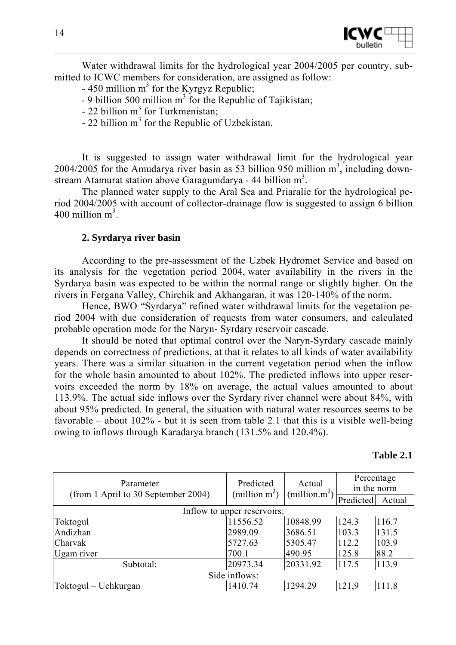

Water withdrawal limits for the hydrological year 2004/2005 per country, submitted to ICWC members for consideration, are assigned as follow:

- $-450$  million m<sup>3</sup> for the Kyrgyz Republic;
- $-9$  billion 500 million m<sup>3</sup> for the Republic of Tajikistan;
- $-22$  billion m<sup>3</sup> for Turkmenistan;
- $-22$  billion m<sup>3</sup> for the Republic of Uzbekistan.

It is suggested to assign water withdrawal limit for the hydrological year 2004/2005 for the Amudarya river basin as 53 billion 950 million  $m<sup>3</sup>$ , including downstream Atamurat station above Garagumdarya - 44 billion  $m^3$ .

The planned water supply to the Aral Sea and Priaralie for the hydrological period 2004/2005 with account of collector-drainage flow is suggested to assign 6 billion  $400$  million m<sup>3</sup>.

#### **2. Syrdarya river basin**

According to the pre-assessment of the Uzbek Hydromet Service and based on its analysis for the vegetation period 2004, water availability in the rivers in the Syrdarya basin was expected to be within the normal range or slightly higher. On the rivers in Fergana Valley, Chirchik and Akhangaran, it was 120-140% of the norm.

Hence, BWO "Syrdarya" refined water withdrawal limits for the vegetation period 2004 with due consideration of requests from water consumers, and calculated probable operation mode for the Naryn- Syrdary reservoir cascade.

It should be noted that optimal control over the Naryn-Syrdary cascade mainly depends on correctness of predictions, at that it relates to all kinds of water availability years. There was a similar situation in the current vegetation period when the inflow for the whole basin amounted to about 102%. The predicted inflows into upper reservoirs exceeded the norm by 18% on average, the actual values amounted to about 113.9%. The actual side inflows over the Syrdary river channel were about 84%, with about 95% predicted. In general, the situation with natural water resources seems to be favorable – about 102% - but it is seen from table 2.1 that this is a visible well-being owing to inflows through Karadarya branch (131.5% and 120.4%).

| Parameter<br>(from 1 April to 30 September 2004) | Predicted<br>(million $m^3$ ) | Actual<br>(million.m <sup>3</sup> ) | Percentage<br>in the norm |        |
|--------------------------------------------------|-------------------------------|-------------------------------------|---------------------------|--------|
|                                                  |                               |                                     | Predicted                 | Actual |
|                                                  | Inflow to upper reservoirs:   |                                     |                           |        |
| Toktogul                                         | 11556.52                      | 10848.99                            | 124.3                     | 116.7  |
| Andizhan                                         | 2989.09                       | 3686.51                             | 103.3                     | 131.5  |
| Charvak                                          | 5727.63                       | 5305.47                             | 112.2                     | 103.9  |
| Ugam river                                       | 700.1                         | 490.95                              | 125.8                     | 88.2   |
| Subtotal:                                        | 20973.34                      | 20331.92                            | 117.5                     | 113.9  |
| Side inflows:                                    |                               |                                     |                           |        |
| Toktogul – Uchkurgan                             | 1410.74                       | 1294.29                             | 121,9                     | 111.8  |

#### **Table 2.1**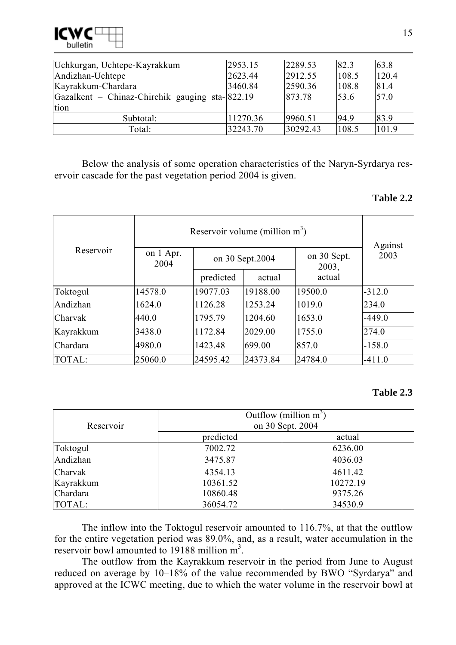

| Uchkurgan, Uchtepe-Kayrakkum                    | 2953.15  | 2289.53  | 82.3  | 63.8  |
|-------------------------------------------------|----------|----------|-------|-------|
| Andizhan-Uchtepe                                | 2623.44  | 2912.55  | 108.5 | 120.4 |
| Kayrakkum-Chardara                              | 3460.84  | 2590.36  | 108.8 | 81.4  |
| Gazalkent – Chinaz-Chirchik gauging sta-1822.19 |          | 873.78   | 153.6 | 57.0  |
| tion                                            |          |          |       |       |
| Subtotal:                                       | 11270.36 | 9960.51  | 94.9  | 83.9  |
| Total:                                          | 32243.70 | 30292.43 | 108.5 | 101.9 |

Below the analysis of some operation characteristics of the Naryn-Syrdarya reservoir cascade for the past vegetation period 2004 is given.

#### **Table 2.2**

|           | Reservoir volume (million $m^3$ ) | Against   |                  |                      |          |
|-----------|-----------------------------------|-----------|------------------|----------------------|----------|
| Reservoir | on 1 Apr.<br>2004                 |           | on 30 Sept. 2004 | on 30 Sept.<br>2003, | 2003     |
|           |                                   | predicted | actual           | actual               |          |
| Toktogul  | 14578.0                           | 19077.03  | 19188.00         | 19500.0              | $-312.0$ |
| Andizhan  | 1624.0                            | 1126.28   | 1253.24          | 1019.0               | 234.0    |
| Charvak   | 440.0                             | 1795.79   | 1204.60          | 1653.0               | $-449.0$ |
| Kayrakkum | 3438.0                            | 1172.84   | 2029.00          | 1755.0               | 274.0    |
| Chardara  | 4980.0                            | 1423.48   | 699.00           | 857.0                | $-158.0$ |
| TOTAL:    | 25060.0                           | 24595.42  | 24373.84         | 24784.0              | $-411.0$ |

#### **Table 2.3**

| Reservoir | Outflow (million $m^3$ )<br>on 30 Sept. 2004 |          |  |  |  |
|-----------|----------------------------------------------|----------|--|--|--|
|           | predicted                                    | actual   |  |  |  |
| Toktogul  | 7002.72                                      | 6236.00  |  |  |  |
| Andizhan  | 3475.87                                      | 4036.03  |  |  |  |
| Charvak   | 4354.13                                      | 4611.42  |  |  |  |
| Kayrakkum | 10361.52                                     | 10272.19 |  |  |  |
| Chardara  | 10860.48                                     | 9375.26  |  |  |  |
| TOTAL:    | 36054.72                                     | 34530.9  |  |  |  |

The inflow into the Toktogul reservoir amounted to 116.7%, at that the outflow for the entire vegetation period was 89.0%, and, as a result, water accumulation in the reservoir bowl amounted to 19188 million  $m^3$ .

The outflow from the Kayrakkum reservoir in the period from June to August reduced on average by 10–18% of the value recommended by BWO "Syrdarya" and approved at the ICWC meeting, due to which the water volume in the reservoir bowl at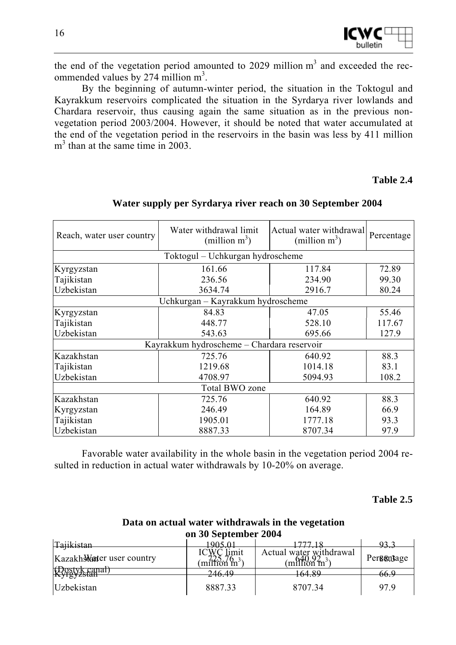

the end of the vegetation period amounted to 2029 million  $m<sup>3</sup>$  and exceeded the recommended values by 274 million  $m^3$ .

By the beginning of autumn-winter period, the situation in the Toktogul and Kayrakkum reservoirs complicated the situation in the Syrdarya river lowlands and Chardara reservoir, thus causing again the same situation as in the previous nonvegetation period 2003/2004. However, it should be noted that water accumulated at the end of the vegetation period in the reservoirs in the basin was less by 411 million m<sup>3</sup> than at the same time in 2003.

#### **Table 2.4**

| Reach, water user country | Water withdrawal limit<br>(million $m^3$ ) | Actual water withdrawall<br>(million $m^3$ ) | Percentage |
|---------------------------|--------------------------------------------|----------------------------------------------|------------|
|                           | Toktogul – Uchkurgan hydroscheme           |                                              |            |
| Kyrgyzstan                | 161.66                                     | 117.84                                       | 72.89      |
| Tajikistan                | 236.56                                     | 234.90                                       | 99.30      |
| Uzbekistan                | 3634.74                                    | 2916.7                                       | 80.24      |
|                           | Uchkurgan – Kayrakkum hydroscheme          |                                              |            |
| Kyrgyzstan                | 84.83                                      | 47.05                                        | 55.46      |
| Tajikistan                | 448.77                                     |                                              | 117.67     |
| Uzbekistan<br>543.63      |                                            | 695.66                                       | 127.9      |
|                           | Kayrakkum hydroscheme - Chardara reservoir |                                              |            |
| Kazakhstan                | 725.76                                     | 640.92                                       | 88.3       |
| Tajikistan                | 1219.68                                    | 1014.18                                      | 83.1       |
| Uzbekistan                | 4708.97                                    | 5094.93                                      | 108.2      |
|                           | Total BWO zone                             |                                              |            |
| Kazakhstan                | 725.76                                     | 640.92                                       | 88.3       |
| Kyrgyzstan                | 246.49                                     | 164.89                                       | 66.9       |
| Tajikistan                | 1905.01                                    | 1777.18                                      | 93.3       |
| Uzbekistan                | 8887.33                                    | 8707.34                                      | 97.9       |

#### **Water supply per Syrdarya river reach on 30 September 2004**

Favorable water availability in the whole basin in the vegetation period 2004 resulted in reduction in actual water withdrawals by 10-20% on average.

#### **Table 2.5**

## **Data on actual water withdrawals in the vegetation on 30 September 2004**

| Tajikistan                |                                                             |                                           |                       |
|---------------------------|-------------------------------------------------------------|-------------------------------------------|-----------------------|
| Kazakh Mater user country | .1m1†<br>$^{\prime}$ m <sup>3</sup><br>m/I <del>ti</del> nn | Actual water withdrawal<br>mPHKm<br>. 4n- | , , , ,<br>Pergentage |
| ∿ιγ <u>η ι</u> γα∏αι)     | 246.49                                                      | $\sqrt{24}$ Q $\alpha$                    | 66.S                  |
| $\mathbf{xy}$ is y zo tan |                                                             | 104.OY                                    |                       |
| <b>Uzbekistan</b>         | 8887.33                                                     | 870734                                    | 97.9                  |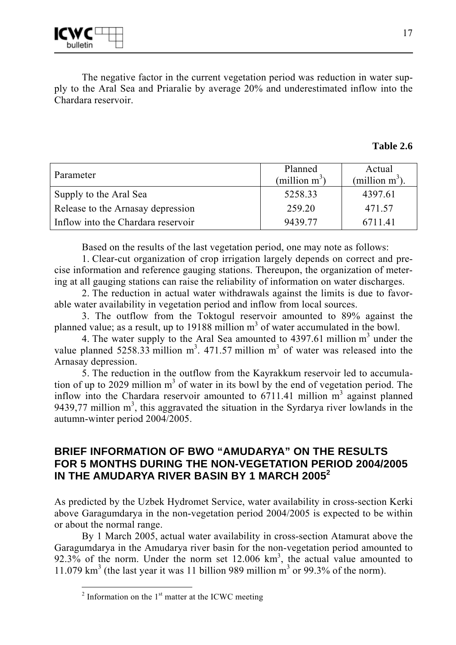The negative factor in the current vegetation period was reduction in water supply to the Aral Sea and Priaralie by average 20% and underestimated inflow into the Chardara reservoir.

#### **Table 2.6**

| Parameter                          | Planned<br>(million $m^3$ ) | Actual<br>(million $m^3$ ) |
|------------------------------------|-----------------------------|----------------------------|
| Supply to the Aral Sea             | 5258.33                     | 4397.61                    |
| Release to the Arnasay depression  | 259.20                      | 471.57                     |
| Inflow into the Chardara reservoir | 9439.77                     | 6711.41                    |

Based on the results of the last vegetation period, one may note as follows:

1. Clear-cut organization of crop irrigation largely depends on correct and precise information and reference gauging stations. Thereupon, the organization of metering at all gauging stations can raise the reliability of information on water discharges.

2. The reduction in actual water withdrawals against the limits is due to favorable water availability in vegetation period and inflow from local sources.

3. The outflow from the Toktogul reservoir amounted to 89% against the planned value; as a result, up to 19188 million  $m<sup>3</sup>$  of water accumulated in the bowl.

4. The water supply to the Aral Sea amounted to  $4397.61$  million m<sup>3</sup> under the value planned 5258.33 million  $m^3$ . 471.57 million  $m^3$  of water was released into the Arnasay depression.

5. The reduction in the outflow from the Kayrakkum reservoir led to accumulation of up to 2029 million  $m<sup>3</sup>$  of water in its bowl by the end of vegetation period. The inflow into the Chardara reservoir amounted to  $6711.41$  million  $m<sup>3</sup>$  against planned 9439,77 million  $m<sup>3</sup>$ , this aggravated the situation in the Syrdarya river lowlands in the autumn-winter period 2004/2005.

# **BRIEF INFORMATION OF BWO "AMUDARYA" ON THE RESULTS FOR 5 MONTHS DURING THE NON-VEGETATION PERIOD 2004/2005 IN THE AMUDARYA RIVER BASIN BY 1 MARCH 2005<sup>2</sup>**

As predicted by the Uzbek Hydromet Service, water availability in cross-section Kerki above Garagumdarya in the non-vegetation period 2004/2005 is expected to be within or about the normal range.

By 1 March 2005, actual water availability in cross-section Atamurat above the Garagumdarya in the Amudarya river basin for the non-vegetation period amounted to  $92.3\%$  of the norm. Under the norm set 12.006 km<sup>3</sup>, the actual value amounted to 11.079  $\text{km}^3$  (the last year it was 11 billion 989 million  $\text{m}^3$  or 99.3% of the norm).

 $\overline{a^2}$  Information on the 1<sup>st</sup> matter at the ICWC meeting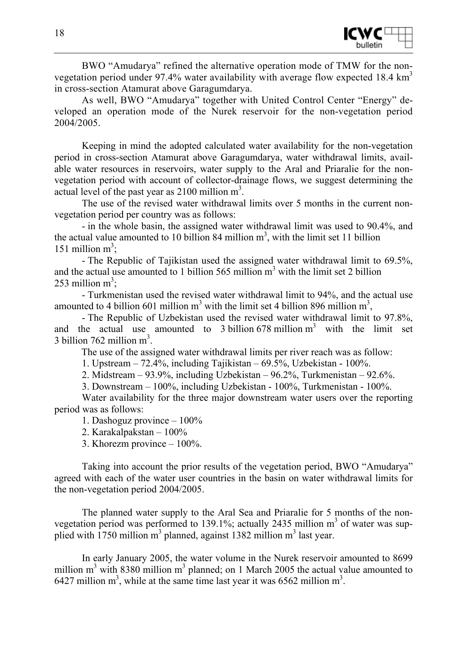

BWO "Amudarya" refined the alternative operation mode of TMW for the nonvegetation period under 97.4% water availability with average flow expected 18.4 km<sup>3</sup> in cross-section Atamurat above Garagumdarya.

As well, BWO "Amudarya" together with United Control Center "Energy" developed an operation mode of the Nurek reservoir for the non-vegetation period 2004/2005.

Keeping in mind the adopted calculated water availability for the non-vegetation period in cross-section Atamurat above Garagumdarya, water withdrawal limits, available water resources in reservoirs, water supply to the Aral and Priaralie for the nonvegetation period with account of collector-drainage flows, we suggest determining the actual level of the past year as  $2100$  million m<sup>3</sup>.

The use of the revised water withdrawal limits over 5 months in the current nonvegetation period per country was as follows:

- in the whole basin, the assigned water withdrawal limit was used to 90.4%, and the actual value amounted to 10 billion 84 million  $m<sup>3</sup>$ , with the limit set 11 billion 151 million  $m^3$ ;

- The Republic of Tajikistan used the assigned water withdrawal limit to 69.5%, and the actual use amounted to 1 billion  $565$  million  $m<sup>3</sup>$  with the limit set 2 billion 253 million  $m^3$ ;

- Turkmenistan used the revised water withdrawal limit to 94%, and the actual use amounted to 4 billion 601 million  $m^3$  with the limit set 4 billion 896 million  $m^3$ ,

- The Republic of Uzbekistan used the revised water withdrawal limit to 97.8%, and the actual use amounted to 3 billion  $678$  million  $m<sup>3</sup>$  with the limit set 3 billion 762 million  $m^3$ .

The use of the assigned water withdrawal limits per river reach was as follow:

1. Upstream – 72.4%, including Tajikistan – 69.5%, Uzbekistan - 100%.

2. Midstream – 93.9%, including Uzbekistan – 96.2%, Turkmenistan – 92.6%.

3. Downstream – 100%, including Uzbekistan - 100%, Turkmenistan - 100%.

Water availability for the three major downstream water users over the reporting period was as follows:

1. Dashoguz province – 100%

2. Karakalpakstan – 100%

3. Khorezm province – 100%.

Taking into account the prior results of the vegetation period, BWO "Amudarya" agreed with each of the water user countries in the basin on water withdrawal limits for the non-vegetation period 2004/2005.

The planned water supply to the Aral Sea and Priaralie for 5 months of the nonvegetation period was performed to 139.1%; actually 2435 million  $m<sup>3</sup>$  of water was supplied with  $1750$  million m<sup>3</sup> planned, against 1382 million m<sup>3</sup> last year.

In early January 2005, the water volume in the Nurek reservoir amounted to 8699 million  $m<sup>3</sup>$  with 8380 million  $m<sup>3</sup>$  planned; on 1 March 2005 the actual value amounted to 6427 million  $m^3$ , while at the same time last year it was 6562 million  $m^3$ .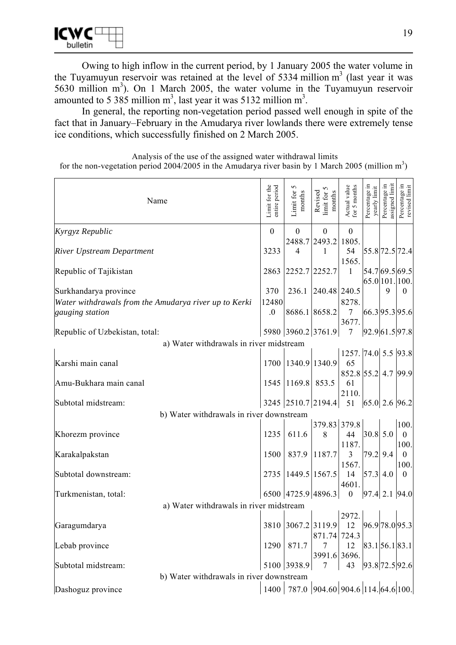

Owing to high inflow in the current period, by 1 January 2005 the water volume in the Tuyamuyun reservoir was retained at the level of 5334 million  $m<sup>3</sup>$  (last year it was 5630 million  $m<sup>3</sup>$ ). On 1 March 2005, the water volume in the Tuyamuyun reservoir amounted to 5 385 million  $m^3$ , last year it was 5132 million  $m^3$ .

In general, the reporting non-vegetation period passed well enough in spite of the fact that in January–February in the Amudarya river lowlands there were extremely tense ice conditions, which successfully finished on 2 March 2005.

Analysis of the use of the assigned water withdrawal limits for the non-vegetation period 2004/2005 in the Amudarya river basin by 1 March 2005 (million  $m<sup>3</sup>$ )

| Name                                                                     | Limit for the<br>entire period | 5<br>Limit for<br>months | imit for 5<br>Revised<br>${\rm months}$            | Actual value<br>for 5 months                     | Percentage in<br>yearly limit | Percentage in<br>assigned limit | Percentage in<br>revised limit                 |
|--------------------------------------------------------------------------|--------------------------------|--------------------------|----------------------------------------------------|--------------------------------------------------|-------------------------------|---------------------------------|------------------------------------------------|
| Kyrgyz Republic                                                          | $\boldsymbol{0}$               | $\mathbf{0}$             | $\boldsymbol{0}$                                   | $\boldsymbol{0}$                                 |                               |                                 |                                                |
| <b>River Upstream Department</b>                                         | 3233                           | $\overline{4}$           | 2488.7 2493.2<br>1                                 | 1805.<br>54<br>1565.                             |                               |                                 | 55.872.572.4                                   |
| Republic of Tajikistan                                                   | 2863                           | 2252.7 2252.7            |                                                    | $\mathbf{1}$                                     |                               |                                 | 54.7 69.5 69.5<br>65.0 101. 100.               |
| Surkhandarya province                                                    | 370                            | 236.1                    | $240.48$ 240.5                                     |                                                  |                               | 9                               | $\theta$                                       |
| Water withdrawals from the Amudarya river up to Kerki<br>gauging station | 12480<br>.0                    |                          | 8686.1 8658.2                                      | 8278.<br>$\tau$                                  |                               |                                 | [66.3]95.3]95.6                                |
| Republic of Uzbekistan, total:                                           |                                |                          | 5980 3960.2 3761.9                                 | 3677.<br>$\overline{7}$                          |                               |                                 | 92.9 61.5 97.8                                 |
| a) Water withdrawals in river midstream                                  |                                |                          |                                                    |                                                  |                               |                                 |                                                |
| Karshi main canal                                                        |                                | 1700 1340.9 1340.9       |                                                    | 1257. 74.0 5.5 93.8<br>65<br>852.8 55.2 4.7 99.9 |                               |                                 |                                                |
| Amu-Bukhara main canal                                                   | 1545                           | 1169.8 853.5             |                                                    | 61<br>2110.                                      |                               |                                 |                                                |
| Subtotal midstream:                                                      |                                |                          | 3245 2510.7 2194.4 51                              |                                                  |                               |                                 | 65.0 2.6 96.2                                  |
| b) Water withdrawals in river downstream                                 |                                |                          |                                                    |                                                  |                               |                                 |                                                |
| Khorezm province                                                         | 1235                           | 611.6                    | 379.83 379.8<br>8                                  | 44<br>1187.                                      | 30.8 5.0                      |                                 | 100.<br>$\overline{0}$<br>100.                 |
| Karakalpakstan                                                           | 1500                           | 837.9                    | 1187.7                                             | $\overline{3}$<br>1567.                          | 79.2                          | 9.4                             | $\theta$<br>100.                               |
| Subtotal downstream:                                                     | 2735                           |                          | 1449.5 1567.5                                      | 14<br>4601.                                      | 57.3                          | 4.0                             | $\theta$                                       |
| Turkmenistan, total:                                                     |                                |                          | 6500 4725.9 4896.3                                 | $\boldsymbol{0}$                                 |                               |                                 | $97.4$ 2.1 $94.0$                              |
| a) Water withdrawals in river midstream                                  |                                |                          |                                                    |                                                  |                               |                                 |                                                |
| Garagumdarya                                                             |                                |                          | 3810 3067.2 3119.9<br>871.74 724.3                 | 2972.<br>-12                                     |                               |                                 | 96.9 78.0 95.3                                 |
| Lebab province                                                           | 1290                           | 871.7                    | 7<br>3991.6 3696.                                  | 12                                               |                               |                                 | $\left  83.1 \right  56.1 \left  83.1 \right $ |
| Subtotal midstream:<br>b) Water withdrawals in river downstream          |                                | 5100 3938.9              | $7 \quad \blacksquare$                             |                                                  |                               |                                 | 43 93.8 72.5 92.6                              |
| Dashoguz province                                                        |                                |                          | 1400   787.0   904.60   904.6   114.   64.6   100. |                                                  |                               |                                 |                                                |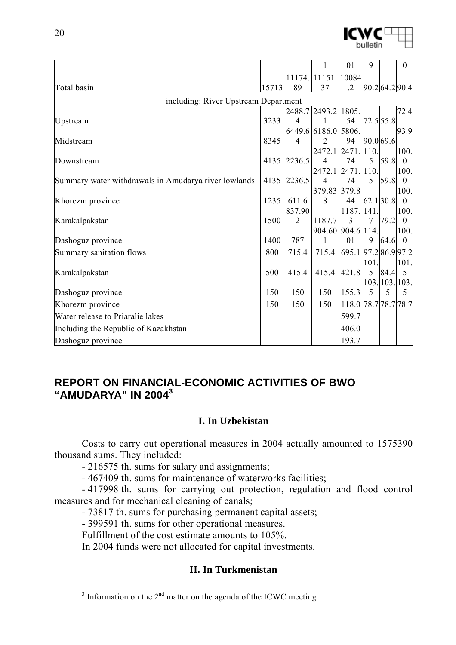|                                                      |       |                | $\mathbf{1}$        | 01                   | 9              |                | $\boldsymbol{0}$ |
|------------------------------------------------------|-------|----------------|---------------------|----------------------|----------------|----------------|------------------|
|                                                      |       |                | 11174. 11151. 10084 |                      |                |                |                  |
| Total basin                                          | 15713 | 89             | 37                  | $\cdot$ 2            |                | 90.2 64.2 90.4 |                  |
| including: River Upstream Department                 |       |                |                     |                      |                |                |                  |
|                                                      |       |                | 2488.7 2493.2 1805. |                      |                |                | 72.4             |
| Upstream                                             | 3233  | $\overline{4}$ |                     | 54                   |                | 72.5 55.8      |                  |
|                                                      |       |                | 6449.6 6186.0 5806. |                      |                |                | 93.9             |
| Midstream                                            | 8345  | $\overline{4}$ | 2                   | 94                   | 90.0 69.6      |                |                  |
|                                                      |       |                | 2472.1 2471. 110.   |                      |                |                | 100.             |
| Downstream                                           |       | 4135 2236.5    | $\overline{4}$      | 74                   | 5              | 59.8           | $\theta$         |
|                                                      |       |                | 2472.1 2471. 110.   |                      |                |                | 100.             |
| Summary water withdrawals in Amudarya river lowlands | 4135  | 2236.5         | $\overline{4}$      | 74                   | 5              | 59.8           | $\theta$         |
|                                                      |       |                | 379.83 379.8        |                      |                |                | 100.             |
| Khorezm province                                     | 1235  | 611.6          | 8                   | 44                   |                | 62.130.8       | $\overline{0}$   |
|                                                      |       | 837.90         |                     | 1187. 141.           |                |                | 100.             |
| Karakalpakstan                                       | 1500  | $\overline{2}$ | 1187.7              | 3                    | $\overline{7}$ | 79.2           | $\Omega$         |
|                                                      |       |                | 904.60 904.6 114.   |                      |                |                | 100.             |
| Dashoguz province                                    | 1400  | 787            | 1                   | 01                   | 9              | 64.6           | $\boldsymbol{0}$ |
| Summary sanitation flows                             | 800   | 715.4          | 715.4               | 695.1 97.2 86.9 97.2 |                |                |                  |
|                                                      |       |                |                     |                      | 101            |                | 101.             |
| Karakalpakstan                                       | 500   | 415.4          | 415.4               | 421.8                | 5              | 84.4           | $5\overline{)}$  |
|                                                      |       |                |                     |                      |                | 103. 103. 103. |                  |
| Dashoguz province                                    | 150   | 150            | 150                 | 155.3                | 5              | 5              | 5                |
| Khorezm province                                     | 150   | 150            | 150                 | 118.0 78.7 78.7 78.7 |                |                |                  |
| Water release to Priaralie lakes                     |       |                |                     | 599.7                |                |                |                  |
| Including the Republic of Kazakhstan                 |       |                |                     | 406.0                |                |                |                  |
| Dashoguz province                                    |       |                |                     | 193.7                |                |                |                  |
|                                                      |       |                |                     |                      |                |                |                  |

# **REPORT ON FINANCIAL-ECONOMIC ACTIVITIES OF BWO "AMUDARYA" IN 2004<sup>3</sup>**

## **I. In Uzbekistan**

Costs to carry out operational measures in 2004 actually amounted to 1575390 thousand sums. They included:

- 216575 th. sums for salary and assignments;

- 467409 th. sums for maintenance of waterworks facilities;

- 417998 th. sums for carrying out protection, regulation and flood control measures and for mechanical cleaning of canals;

- 73817 th. sums for purchasing permanent capital assets;

- 399591 th. sums for other operational measures.

Fulfillment of the cost estimate amounts to 105%.

In 2004 funds were not allocated for capital investments.

## **II. In Turkmenistan**

 $\frac{3}{3}$  Information on the  $2^{nd}$  matter on the agenda of the ICWC meeting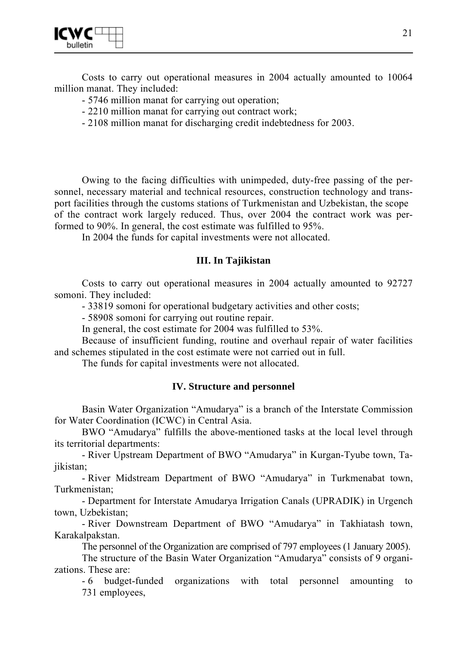

Costs to carry out operational measures in 2004 actually amounted to 10064 million manat. They included:

- 5746 million manat for carrying out operation;
- 2210 million manat for carrying out contract work;
- 2108 million manat for discharging credit indebtedness for 2003.

Owing to the facing difficulties with unimpeded, duty-free passing of the personnel, necessary material and technical resources, construction technology and transport facilities through the customs stations of Turkmenistan and Uzbekistan, the scope of the contract work largely reduced. Thus, over 2004 the contract work was performed to 90%. In general, the cost estimate was fulfilled to 95%.

In 2004 the funds for capital investments were not allocated.

#### **III. In Tajikistan**

Costs to carry out operational measures in 2004 actually amounted to 92727 somoni. They included:

- 33819 somoni for operational budgetary activities and other costs;

- 58908 somoni for carrying out routine repair.

In general, the cost estimate for 2004 was fulfilled to 53%.

Because of insufficient funding, routine and overhaul repair of water facilities and schemes stipulated in the cost estimate were not carried out in full.

The funds for capital investments were not allocated.

#### **IV. Structure and personnel**

Basin Water Organization "Amudarya" is a branch of the Interstate Commission for Water Coordination (ICWC) in Central Asia.

BWO "Amudarya" fulfills the above-mentioned tasks at the local level through its territorial departments:

- River Upstream Department of BWO "Amudarya" in Kurgan-Tyube town, Tajikistan;

- River Midstream Department of BWO "Amudarya" in Turkmenabat town, Turkmenistan;

- Department for Interstate Amudarya Irrigation Canals (UPRADIK) in Urgench town, Uzbekistan;

- River Downstream Department of BWO "Amudarya" in Takhiatash town, Karakalpakstan.

The personnel of the Organization are comprised of 797 employees (1 January 2005).

The structure of the Basin Water Organization "Amudarya" consists of 9 organizations. These are:

- 6 budget-funded organizations with total personnel amounting to 731 employees,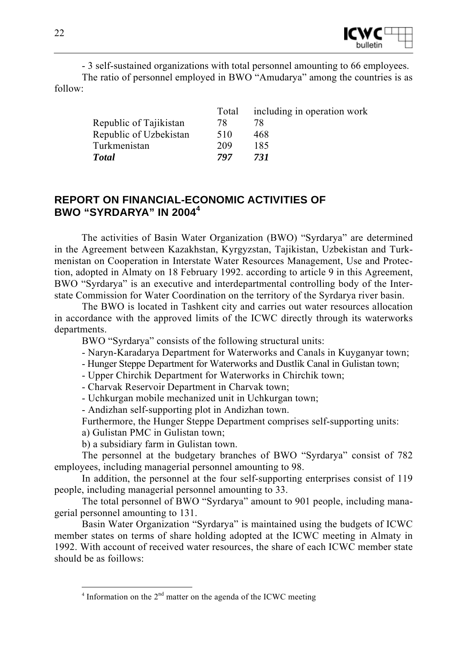

- 3 self-sustained organizations with total personnel amounting to 66 employees. The ratio of personnel employed in BWO "Amudarya" among the countries is as follow:

|                        | Total | including in operation work |
|------------------------|-------|-----------------------------|
| Republic of Tajikistan | 78    |                             |
| Republic of Uzbekistan | 510   | 468                         |
| Turkmenistan           | 209   | 185                         |
| <b>Total</b>           | 797   | 731                         |

# **REPORT ON FINANCIAL-ECONOMIC ACTIVITIES OF BWO "SYRDARYA" IN 2004<sup>4</sup>**

The activities of Basin Water Organization (BWO) "Syrdarya" are determined in the Agreement between Kazakhstan, Kyrgyzstan, Tajikistan, Uzbekistan and Turkmenistan on Cooperation in Interstate Water Resources Management, Use and Protection, adopted in Almaty on 18 February 1992. according to article 9 in this Agreement, BWO "Syrdarya" is an executive and interdepartmental controlling body of the Interstate Commission for Water Coordination on the territory of the Syrdarya river basin.

The BWO is located in Tashkent city and carries out water resources allocation in accordance with the approved limits of the ICWC directly through its waterworks departments.

BWO "Syrdarya" consists of the following structural units:

- Naryn-Karadarya Department for Waterworks and Canals in Kuyganyar town;

- Hunger Steppe Department for Waterworks and Dustlik Canal in Gulistan town;
- Upper Chirchik Department for Waterworks in Chirchik town;
- Charvak Reservoir Department in Charvak town;
- Uchkurgan mobile mechanized unit in Uchkurgan town;

- Andizhan self-supporting plot in Andizhan town.

Furthermore, the Hunger Steppe Department comprises self-supporting units:

a) Gulistan PMC in Gulistan town;

 $\overline{a}$ 

b) a subsidiary farm in Gulistan town.

The personnel at the budgetary branches of BWO "Syrdarya" consist of 782 employees, including managerial personnel amounting to 98.

In addition, the personnel at the four self-supporting enterprises consist of 119 people, including managerial personnel amounting to 33.

The total personnel of BWO "Syrdarya" amount to 901 people, including managerial personnel amounting to 131.

Basin Water Organization "Syrdarya" is maintained using the budgets of ICWC member states on terms of share holding adopted at the ICWC meeting in Almaty in 1992. With account of received water resources, the share of each ICWC member state should be as foillows:

 $4$  Information on the  $2<sup>nd</sup>$  matter on the agenda of the ICWC meeting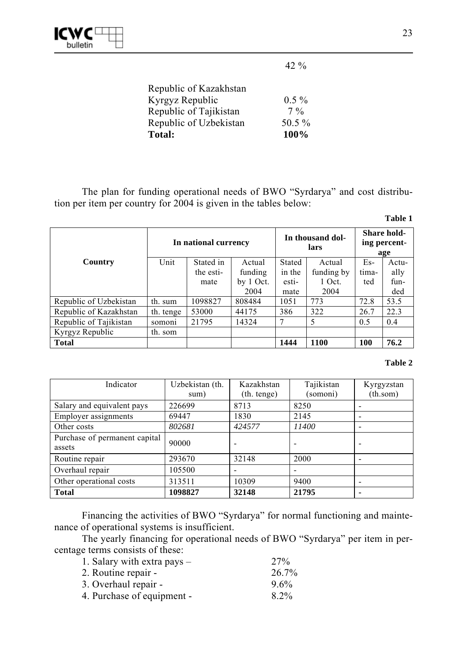

42 %

| <b>Total:</b>          | 100%     |
|------------------------|----------|
| Republic of Uzbekistan | 50.5 %   |
| Republic of Tajikistan | $7\%$    |
| Kyrgyz Republic        | $0.5 \%$ |
| Republic of Kazakhstan |          |

The plan for funding operational needs of BWO "Syrdarya" and cost distribution per item per country for 2004 is given in the tables below:

| ۱<br>ш |  |
|--------|--|
|        |  |

|                        | In national currency |           | In thousand dol-<br>lars |               |            | <b>Share hold-</b><br>ing percent-<br>age |       |  |
|------------------------|----------------------|-----------|--------------------------|---------------|------------|-------------------------------------------|-------|--|
| Country                | Unit                 | Stated in | Actual                   | <b>Stated</b> | Actual     | $Es-$                                     | Actu- |  |
|                        |                      | the esti- | funding                  | in the        | funding by | tima-                                     | ally  |  |
|                        |                      | mate      | by 1 Oct.                | esti-         | 1 Oct.     | ted                                       | fun-  |  |
|                        |                      |           | 2004                     | mate          | 2004       |                                           | ded   |  |
| Republic of Uzbekistan | th. sum              | 1098827   | 808484                   | 1051          | 773        | 72.8                                      | 53.5  |  |
| Republic of Kazakhstan | th. tenge            | 53000     | 44175                    | 386           | 322        | 26.7                                      | 22.3  |  |
| Republic of Tajikistan | somon <sub>1</sub>   | 21795     | 14324                    |               | 5          | 0.5                                       | 0.4   |  |
| Kyrgyz Republic        | th. som              |           |                          |               |            |                                           |       |  |
| <b>Total</b>           |                      |           |                          | 1444          | 1100       | 100                                       | 76.2  |  |

#### **Table 2**

| Indicator                     | Uzbekistan (th. | Kazakhstan  | Tajikistan | Kyrgyzstan |
|-------------------------------|-----------------|-------------|------------|------------|
|                               | sum)            | (th. tenge) | (somoni)   | (th.som)   |
| Salary and equivalent pays    | 226699          | 8713        | 8250       |            |
| <b>Employer</b> assignments   | 69447           | 1830        | 2145       |            |
| Other costs                   | 802681          | 424577      | 11400      |            |
| Purchase of permanent capital | 90000           |             |            |            |
| assets                        |                 |             |            |            |
| Routine repair                | 293670          | 32148       | 2000       |            |
| Overhaul repair               | 105500          |             |            |            |
| Other operational costs       | 313511          | 10309       | 9400       |            |
| <b>Total</b>                  | 1098827         | 32148       | 21795      |            |

Financing the activities of BWO "Syrdarya" for normal functioning and maintenance of operational systems is insufficient.

The yearly financing for operational needs of BWO "Syrdarya" per item in percentage terms consists of these:

| 27%     |
|---------|
| 26.7%   |
| $9.6\%$ |
| 8.2%    |
|         |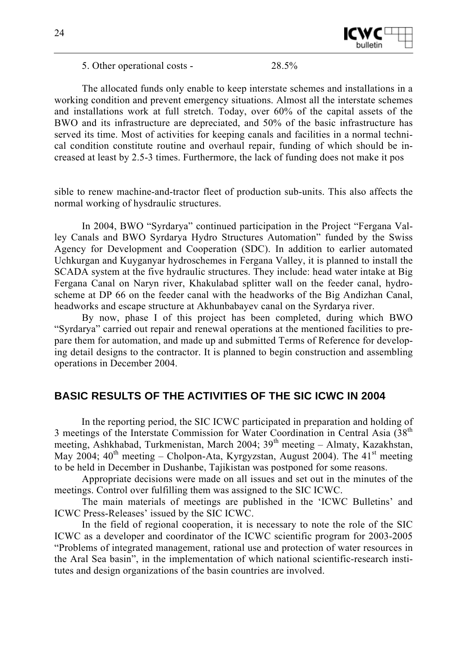

5. Other operational costs - 28.5%

The allocated funds only enable to keep interstate schemes and installations in a working condition and prevent emergency situations. Almost all the interstate schemes and installations work at full stretch. Today, over 60% of the capital assets of the BWO and its infrastructure are depreciated, and 50% of the basic infrastructure has served its time. Most of activities for keeping canals and facilities in a normal technical condition constitute routine and overhaul repair, funding of which should be increased at least by 2.5-3 times. Furthermore, the lack of funding does not make it pos

sible to renew machine-and-tractor fleet of production sub-units. This also affects the normal working of hysdraulic structures.

In 2004, BWO "Syrdarya" continued participation in the Project "Fergana Valley Canals and BWO Syrdarya Hydro Structures Automation" funded by the Swiss Agency for Development and Cooperation (SDC). In addition to earlier automated Uchkurgan and Kuyganyar hydroschemes in Fergana Valley, it is planned to install the SCADA system at the five hydraulic structures. They include: head water intake at Big Fergana Canal on Naryn river, Khakulabad splitter wall on the feeder canal, hydroscheme at DP 66 on the feeder canal with the headworks of the Big Andizhan Canal, headworks and escape structure at Akhunbabayev canal on the Syrdarya river.

By now, phase I of this project has been completed, during which BWO "Syrdarya" carried out repair and renewal operations at the mentioned facilities to prepare them for automation, and made up and submitted Terms of Reference for developing detail designs to the contractor. It is planned to begin construction and assembling operations in December 2004.

# **BASIC RESULTS OF THE ACTIVITIES OF THE SIC ICWC IN 2004**

In the reporting period, the SIC ICWC participated in preparation and holding of 3 meetings of the Interstate Commission for Water Coordination in Central Asia (38<sup>th</sup>) meeting, Ashkhabad, Turkmenistan, March 2004;  $39<sup>th</sup>$  meeting – Almaty, Kazakhstan, May 2004;  $40^{th}$  meeting – Cholpon-Ata, Kyrgyzstan, August 2004). The  $41^{st}$  meeting to be held in December in Dushanbe, Tajikistan was postponed for some reasons.

Appropriate decisions were made on all issues and set out in the minutes of the meetings. Control over fulfilling them was assigned to the SIC ICWC.

The main materials of meetings are published in the 'ICWC Bulletins' and ICWC Press-Releases' issued by the SIC ICWC.

In the field of regional cooperation, it is necessary to note the role of the SIC ICWC as a developer and coordinator of the ICWC scientific program for 2003-2005 "Problems of integrated management, rational use and protection of water resources in the Aral Sea basin", in the implementation of which national scientific-research institutes and design organizations of the basin countries are involved.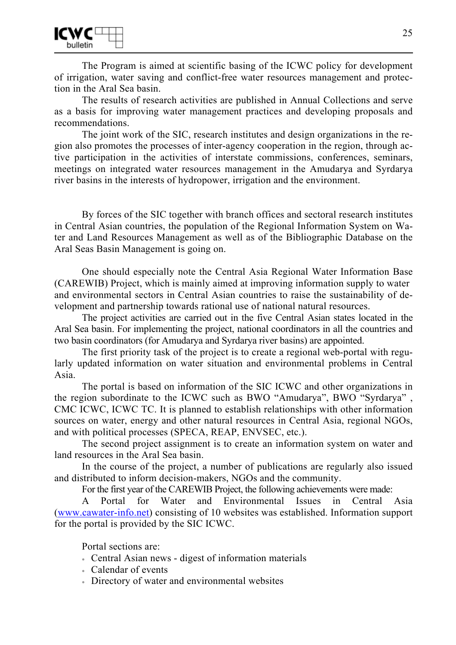

The Program is aimed at scientific basing of the ICWC policy for development of irrigation, water saving and conflict-free water resources management and protection in the Aral Sea basin.

The results of research activities are published in Annual Collections and serve as a basis for improving water management practices and developing proposals and recommendations.

The joint work of the SIC, research institutes and design organizations in the region also promotes the processes of inter-agency cooperation in the region, through active participation in the activities of interstate commissions, conferences, seminars, meetings on integrated water resources management in the Amudarya and Syrdarya river basins in the interests of hydropower, irrigation and the environment.

By forces of the SIC together with branch offices and sectoral research institutes in Central Asian countries, the population of the Regional Information System on Water and Land Resources Management as well as of the Bibliographic Database on the Aral Seas Basin Management is going on.

One should especially note the Central Asia Regional Water Information Base (CAREWIB) Project, which is mainly aimed at improving information supply to water and environmental sectors in Central Asian countries to raise the sustainability of development and partnership towards rational use of national natural resources.

The project activities are carried out in the five Central Asian states located in the Aral Sea basin. For implementing the project, national coordinators in all the countries and two basin coordinators (for Amudarya and Syrdarya river basins) are appointed.

The first priority task of the project is to create a regional web-portal with regularly updated information on water situation and environmental problems in Central Asia.

The portal is based on information of the SIC ICWC and other organizations in the region subordinate to the ICWC such as BWO "Amudarya", BWO "Syrdarya" , CMC ICWC, ICWC TC. It is planned to establish relationships with other information sources on water, energy and other natural resources in Central Asia, regional NGOs, and with political processes (SPECA, REAP, ENVSEC, etc.).

The second project assignment is to create an information system on water and land resources in the Aral Sea basin.

In the course of the project, a number of publications are regularly also issued and distributed to inform decision-makers, NGOs and the community.

For the first year of the CAREWIB Project, the following achievements were made:

A Portal for Water and Environmental Issues in Central Asia (www.cawater-info.net) consisting of 10 websites was established. Information support for the portal is provided by the SIC ICWC.

Portal sections are:

- Central Asian news digest of information materials
- Calendar of events
- Directory of water and environmental websites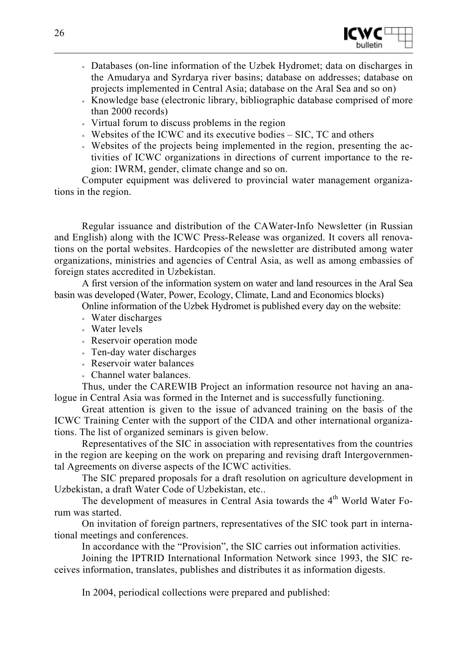

- Databases (on-line information of the Uzbek Hydromet; data on discharges in the Amudarya and Syrdarya river basins; database on addresses; database on projects implemented in Central Asia; database on the Aral Sea and so on)
- Knowledge base (electronic library, bibliographic database comprised of more than 2000 records)
- Virtual forum to discuss problems in the region
- Websites of the ICWC and its executive bodies SIC, TC and others
- Websites of the projects being implemented in the region, presenting the activities of ICWC organizations in directions of current importance to the region: IWRM, gender, climate change and so on.

Computer equipment was delivered to provincial water management organizations in the region.

Regular issuance and distribution of the CAWater-Info Newsletter (in Russian and English) along with the ICWC Press-Release was organized. It covers all renovations on the portal websites. Hardcopies of the newsletter are distributed among water organizations, ministries and agencies of Central Asia, as well as among embassies of foreign states accredited in Uzbekistan.

A first version of the information system on water and land resources in the Aral Sea basin was developed (Water, Power, Ecology, Climate, Land and Economics blocks)

- Online information of the Uzbek Hydromet is published every day on the website:
- Water discharges
- Water levels
- Reservoir operation mode
- Ten-day water discharges
- Reservoir water balances
- Channel water balances.

Thus, under the CAREWIB Project an information resource not having an analogue in Central Asia was formed in the Internet and is successfully functioning.

Great attention is given to the issue of advanced training on the basis of the ICWC Training Center with the support of the CIDA and other international organizations. The list of organized seminars is given below.

Representatives of the SIC in association with representatives from the countries in the region are keeping on the work on preparing and revising draft Intergovernmental Agreements on diverse aspects of the ICWC activities.

The SIC prepared proposals for a draft resolution on agriculture development in Uzbekistan, a draft Water Code of Uzbekistan, etc..

The development of measures in Central Asia towards the 4<sup>th</sup> World Water Forum was started.

On invitation of foreign partners, representatives of the SIC took part in international meetings and conferences.

In accordance with the "Provision", the SIC carries out information activities.

Joining the IPTRID International Information Network since 1993, the SIC receives information, translates, publishes and distributes it as information digests.

In 2004, periodical collections were prepared and published: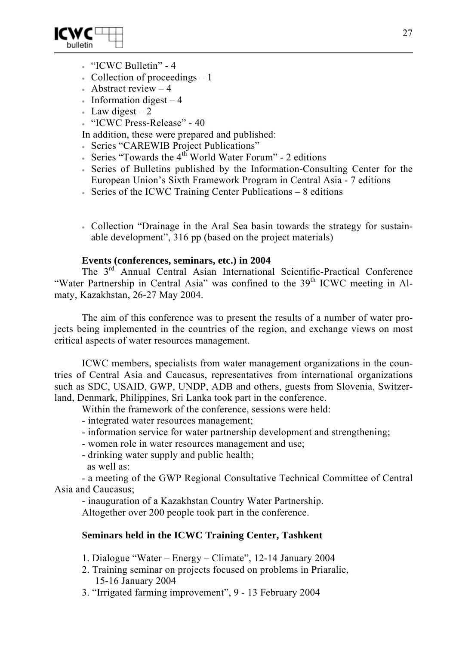

- "ICWC Bulletin" 4
- Collection of proceedings  $-1$
- Abstract review  $-4$
- Information digest  $-4$
- Law digest  $-2$
- "ICWC Press-Release" 40

In addition, these were prepared and published:

- Series "CAREWIB Project Publications"
- Series "Towards the  $4<sup>th</sup>$  World Water Forum" 2 editions
- Series of Bulletins published by the Information-Consulting Center for the European Union's Sixth Framework Program in Central Asia - 7 editions
- Series of the ICWC Training Center Publications 8 editions
- Collection "Drainage in the Aral Sea basin towards the strategy for sustainable development", 316 pp (based on the project materials)

#### **Events (conferences, seminars, etc.) in 2004**

The 3rd Annual Central Asian International Scientific-Practical Conference "Water Partnership in Central Asia" was confined to the 39<sup>th</sup> ICWC meeting in Almaty, Kazakhstan, 26-27 May 2004.

The aim of this conference was to present the results of a number of water projects being implemented in the countries of the region, and exchange views on most critical aspects of water resources management.

ICWC members, specialists from water management organizations in the countries of Central Asia and Caucasus, representatives from international organizations such as SDC, USAID, GWP, UNDP, ADB and others, guests from Slovenia, Switzerland, Denmark, Philippines, Sri Lanka took part in the conference.

Within the framework of the conference, sessions were held:

- integrated water resources management;
- information service for water partnership development and strengthening;
- women role in water resources management and use;
- drinking water supply and public health;
- as well as:

- a meeting of the GWP Regional Consultative Technical Committee of Central Asia and Caucasus;

- inauguration of a Kazakhstan Country Water Partnership.

Altogether over 200 people took part in the conference.

## **Seminars held in the ICWC Training Center, Tashkent**

1. Dialogue "Water – Energy – Climate", 12-14 January 2004

- 2. Training seminar on projects focused on problems in Priaralie, 15-16 January 2004
- 3. "Irrigated farming improvement", 9 13 February 2004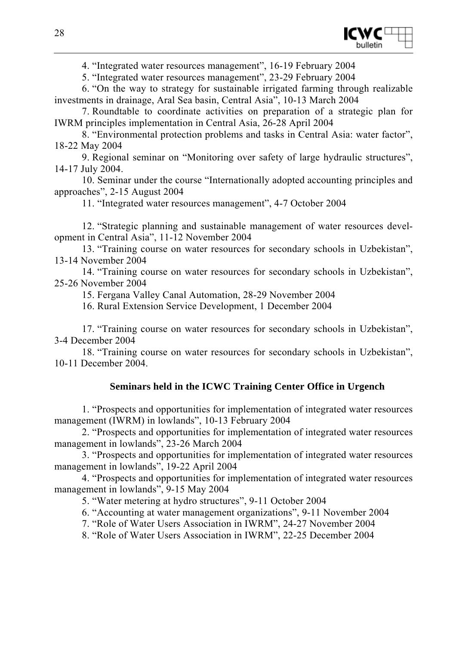

4. "Integrated water resources management", 16-19 February 2004

5. "Integrated water resources management", 23-29 February 2004

6. "On the way to strategy for sustainable irrigated farming through realizable investments in drainage, Aral Sea basin, Central Asia", 10-13 March 2004

7. Roundtable to coordinate activities on preparation of a strategic plan for IWRM principles implementation in Central Asia, 26-28 April 2004

8. "Environmental protection problems and tasks in Central Asia: water factor", 18-22 May 2004

9. Regional seminar on "Monitoring over safety of large hydraulic structures", 14-17 July 2004.

10. Seminar under the course "Internationally adopted accounting principles and approaches", 2-15 August 2004

11. "Integrated water resources management", 4-7 October 2004

12. "Strategic planning and sustainable management of water resources development in Central Asia", 11-12 November 2004

13. "Training course on water resources for secondary schools in Uzbekistan", 13-14 November 2004

14. "Training course on water resources for secondary schools in Uzbekistan", 25-26 November 2004

15. Fergana Valley Canal Automation, 28-29 November 2004

16. Rural Extension Service Development, 1 December 2004

17. "Training course on water resources for secondary schools in Uzbekistan", 3-4 December 2004

18. "Training course on water resources for secondary schools in Uzbekistan", 10-11 December 2004.

## **Seminars held in the ICWC Training Center Office in Urgench**

1. "Prospects and opportunities for implementation of integrated water resources management (IWRM) in lowlands", 10-13 February 2004

2. "Prospects and opportunities for implementation of integrated water resources management in lowlands", 23-26 March 2004

3. "Prospects and opportunities for implementation of integrated water resources management in lowlands", 19-22 April 2004

4. "Prospects and opportunities for implementation of integrated water resources management in lowlands", 9-15 May 2004

5. "Water metering at hydro structures", 9-11 October 2004

6. "Accounting at water management organizations", 9-11 November 2004

7. "Role of Water Users Association in IWRM", 24-27 November 2004

8. "Role of Water Users Association in IWRM", 22-25 December 2004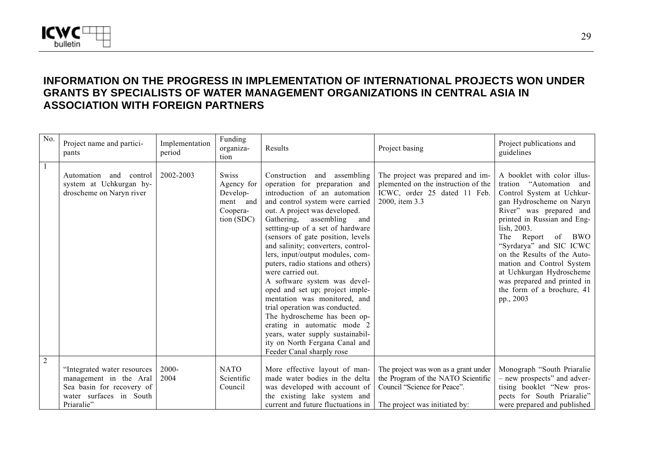

# **INFORMATION ON THE PROGRESS IN IMPLEMENTATION OF INTERNATIONAL PROJECTS WON UNDER GRANTS BY SPECIALISTS OF WATER MANAGEMENT ORGANIZATIONS IN CENTRAL ASIA IN ASSOCIATION WITH FOREIGN PARTNERS**

| No.            | Project name and partici-<br>pants                                                                                          | Implementation<br>period | Funding<br>organiza-<br>tion                                                 | Results                                                                                                                                                                                                                                                                                                                                                                                                                                                                                                                                                                                                                                                                                                                   | Project basing                                                                                                                              | Project publications and<br>guidelines                                                                                                                                                                                                                                                                                                                                                                            |
|----------------|-----------------------------------------------------------------------------------------------------------------------------|--------------------------|------------------------------------------------------------------------------|---------------------------------------------------------------------------------------------------------------------------------------------------------------------------------------------------------------------------------------------------------------------------------------------------------------------------------------------------------------------------------------------------------------------------------------------------------------------------------------------------------------------------------------------------------------------------------------------------------------------------------------------------------------------------------------------------------------------------|---------------------------------------------------------------------------------------------------------------------------------------------|-------------------------------------------------------------------------------------------------------------------------------------------------------------------------------------------------------------------------------------------------------------------------------------------------------------------------------------------------------------------------------------------------------------------|
|                | Automation<br>control<br>and<br>system at Uchkurgan hy-<br>droscheme on Naryn river                                         | 2002-2003                | <b>Swiss</b><br>Agency for<br>Develop-<br>ment and<br>Coopera-<br>tion (SDC) | and assembling<br>Construction<br>operation for preparation and<br>introduction of an automation<br>and control system were carried<br>out. A project was developed.<br>Gathering,<br>assembling and<br>settting-up of a set of hardware<br>(sensors of gate position, levels<br>and salinity; converters, control-<br>lers, input/output modules, com-<br>puters, radio stations and others)<br>were carried out.<br>A software system was devel-<br>oped and set up; project imple-<br>mentation was monitored, and<br>trial operation was conducted.<br>The hydroscheme has been op-<br>erating in automatic mode 2<br>years, water supply sustainabil-<br>ity on North Fergana Canal and<br>Feeder Canal sharply rose | The project was prepared and im-<br>plemented on the instruction of the<br>ICWC, order 25 dated 11 Feb.<br>2000, item 3.3                   | A booklet with color illus-<br>tration "Automation"<br>and<br>Control System at Uchkur-<br>gan Hydroscheme on Naryn<br>River" was prepared and<br>printed in Russian and Eng-<br>lish, 2003.<br>Report of BWO<br>The<br>"Syrdarya" and SIC ICWC<br>on the Results of the Auto-<br>mation and Control System<br>at Uchkurgan Hydroscheme<br>was prepared and printed in<br>the form of a brochure, 41<br>pp., 2003 |
| $\overline{2}$ | "Integrated water resources<br>management in the Aral<br>Sea basin for recovery of<br>water surfaces in South<br>Priaralie" | 2000-<br>2004            | <b>NATO</b><br>Scientific<br>Council                                         | More effective layout of man-<br>made water bodies in the delta<br>was developed with account of<br>the existing lake system and<br>current and future fluctuations in                                                                                                                                                                                                                                                                                                                                                                                                                                                                                                                                                    | The project was won as a grant under<br>the Program of the NATO Scientific<br>Council "Science for Peace".<br>The project was initiated by: | Monograph "South Priaralie"<br>- new prospects" and adver-<br>tising booklet "New pros-<br>pects for South Priaralie"<br>were prepared and published                                                                                                                                                                                                                                                              |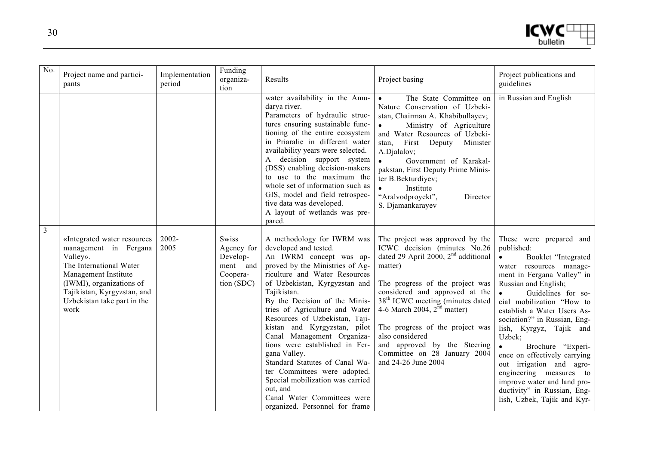```
ICMC^{\text{U}}
```

| No.            | Project name and partici-<br>pants                                                                                                                                                                                    | Implementation<br>period | Funding<br>organiza-<br>tion                                                 | Results                                                                                                                                                                                                                                                                                                                                                                                                                                                                                                                                                                                                    | Project basing                                                                                                                                                                                                                                                                                                                                                                                                                    | Project publications and<br>guidelines                                                                                                                                                                                                                                                                                                                                                                                                                                                                                                               |
|----------------|-----------------------------------------------------------------------------------------------------------------------------------------------------------------------------------------------------------------------|--------------------------|------------------------------------------------------------------------------|------------------------------------------------------------------------------------------------------------------------------------------------------------------------------------------------------------------------------------------------------------------------------------------------------------------------------------------------------------------------------------------------------------------------------------------------------------------------------------------------------------------------------------------------------------------------------------------------------------|-----------------------------------------------------------------------------------------------------------------------------------------------------------------------------------------------------------------------------------------------------------------------------------------------------------------------------------------------------------------------------------------------------------------------------------|------------------------------------------------------------------------------------------------------------------------------------------------------------------------------------------------------------------------------------------------------------------------------------------------------------------------------------------------------------------------------------------------------------------------------------------------------------------------------------------------------------------------------------------------------|
|                |                                                                                                                                                                                                                       |                          |                                                                              | water availability in the Amu-<br>darya river.<br>Parameters of hydraulic struc-<br>tures ensuring sustainable func-<br>tioning of the entire ecosystem<br>in Priaralie in different water<br>availability years were selected.<br>A decision support system<br>(DSS) enabling decision-makers<br>to use to the maximum the<br>whole set of information such as<br>GIS, model and field retrospec-<br>tive data was developed.<br>A layout of wetlands was pre-<br>pared.                                                                                                                                  | The State Committee on<br>$\bullet$<br>Nature Conservation of Uzbeki-<br>stan, Chairman A. Khabibullayev;<br>Ministry of Agriculture<br>$\bullet$<br>and Water Resources of Uzbeki-<br>First<br>Deputy<br>Minister<br>stan.<br>A.Djalalov;<br>Government of Karakal-<br>$\bullet$<br>pakstan, First Deputy Prime Minis-<br>ter B.Bekturdiyev;<br>Institute<br>"Aralvodproyekt",<br>Director<br>S. Djamankarayev                   | in Russian and English                                                                                                                                                                                                                                                                                                                                                                                                                                                                                                                               |
| $\overline{3}$ | «Integrated water resources<br>management in Fergana<br>Valley».<br>The International Water<br>Management Institute<br>(IWMI), organizations of<br>Tajikistan, Kyrgyzstan, and<br>Uzbekistan take part in the<br>work | 2002-<br>2005            | <b>Swiss</b><br>Agency for<br>Develop-<br>ment and<br>Coopera-<br>tion (SDC) | A methodology for IWRM was<br>developed and tested.<br>An IWRM concept was ap-<br>proved by the Ministries of Ag-<br>riculture and Water Resources<br>of Uzbekistan, Kyrgyzstan and<br>Tajikistan.<br>By the Decision of the Minis-<br>tries of Agriculture and Water<br>Resources of Uzbekistan, Taji-<br>kistan and Kyrgyzstan, pilot<br>Canal Management Organiza-<br>tions were established in Fer-<br>gana Valley.<br>Standard Statutes of Canal Wa-<br>ter Committees were adopted.<br>Special mobilization was carried<br>out, and<br>Canal Water Committees were<br>organized. Personnel for frame | The project was approved by the<br>ICWC decision (minutes No.26)<br>dated 29 April 2000, 2 <sup>nd</sup> additional<br>matter)<br>The progress of the project was<br>considered and approved at the<br>38 <sup>th</sup> ICWC meeting (minutes dated<br>4-6 March 2004, $2nd$ matter)<br>The progress of the project was<br>also considered<br>and approved by the Steering<br>Committee on 28 January 2004<br>and 24-26 June 2004 | These were prepared and<br>published:<br>Booklet "Integrated<br>$\bullet$<br>water resources manage-<br>ment in Fergana Valley" in<br>Russian and English;<br>Guidelines for so-<br>$\bullet$<br>cial mobilization "How to<br>establish a Water Users As-<br>sociation?" in Russian, Eng-<br>lish, Kyrgyz, Tajik and<br>Uzbek;<br>Brochure "Experi-<br>$\bullet$<br>ence on effectively carrying<br>out irrigation and agro-<br>engineering measures to<br>improve water and land pro-<br>ductivity" in Russian, Eng-<br>lish, Uzbek, Tajik and Kyr- |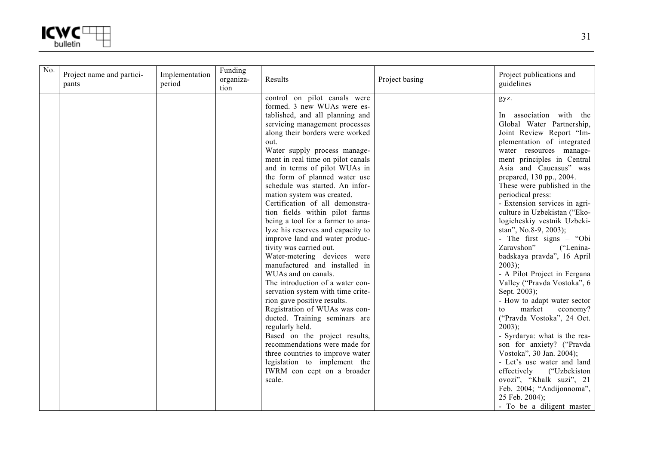

| No. | Project name and partici-<br>pants | Implementation<br>period | Funding<br>organiza-<br>tion | Results                                                                                                                                                                                                                                                                                                                                                                                                                                                                                                                                                                                                                                                                                                                                                                                                                                                                                                                                                                                                                                                           | Project basing | Project publications and<br>guidelines                                                                                                                                                                                                                                                                                                                                                                                                                                                                                                                                                                                                                                                                                                                                                                                                                                                                                                                                |
|-----|------------------------------------|--------------------------|------------------------------|-------------------------------------------------------------------------------------------------------------------------------------------------------------------------------------------------------------------------------------------------------------------------------------------------------------------------------------------------------------------------------------------------------------------------------------------------------------------------------------------------------------------------------------------------------------------------------------------------------------------------------------------------------------------------------------------------------------------------------------------------------------------------------------------------------------------------------------------------------------------------------------------------------------------------------------------------------------------------------------------------------------------------------------------------------------------|----------------|-----------------------------------------------------------------------------------------------------------------------------------------------------------------------------------------------------------------------------------------------------------------------------------------------------------------------------------------------------------------------------------------------------------------------------------------------------------------------------------------------------------------------------------------------------------------------------------------------------------------------------------------------------------------------------------------------------------------------------------------------------------------------------------------------------------------------------------------------------------------------------------------------------------------------------------------------------------------------|
|     |                                    |                          |                              | control on pilot canals were<br>formed. 3 new WUAs were es-<br>tablished, and all planning and<br>servicing management processes<br>along their borders were worked<br>out.<br>Water supply process manage-<br>ment in real time on pilot canals<br>and in terms of pilot WUAs in<br>the form of planned water use<br>schedule was started. An infor-<br>mation system was created.<br>Certification of all demonstra-<br>tion fields within pilot farms<br>being a tool for a farmer to ana-<br>lyze his reserves and capacity to<br>improve land and water produc-<br>tivity was carried out.<br>Water-metering devices were<br>manufactured and installed in<br>WUAs and on canals.<br>The introduction of a water con-<br>servation system with time crite-<br>rion gave positive results.<br>Registration of WUAs was con-<br>ducted. Training seminars are<br>regularly held.<br>Based on the project results,<br>recommendations were made for<br>three countries to improve water<br>legislation to implement the<br>IWRM con cept on a broader<br>scale. |                | gyz.<br>In association with the<br>Global Water Partnership,<br>Joint Review Report "Im-<br>plementation of integrated<br>water resources manage-<br>ment principles in Central<br>Asia and Caucasus" was<br>prepared, 130 pp., 2004.<br>These were published in the<br>periodical press:<br>- Extension services in agri-<br>culture in Uzbekistan ("Eko-<br>logicheskiy vestnik Uzbeki-<br>stan", No.8-9, 2003);<br>- The first signs – "Obi<br>Zaravshon"<br>("Lenina-<br>badskaya pravda", 16 April<br>$2003$ ;<br>- A Pilot Project in Fergana<br>Valley ("Pravda Vostoka", 6<br>Sept. 2003);<br>- How to adapt water sector<br>market<br>economy?<br>to<br>("Pravda Vostoka", 24 Oct.<br>$2003$ ;<br>- Syrdarya: what is the rea-<br>son for anxiety? ("Pravda<br>Vostoka", 30 Jan. 2004);<br>- Let's use water and land<br>("Uzbekiston<br>effectively<br>ovozi", "Khalk suzi", 21<br>Feb. 2004; "Andijonnoma",<br>25 Feb. 2004);<br>- To be a diligent master |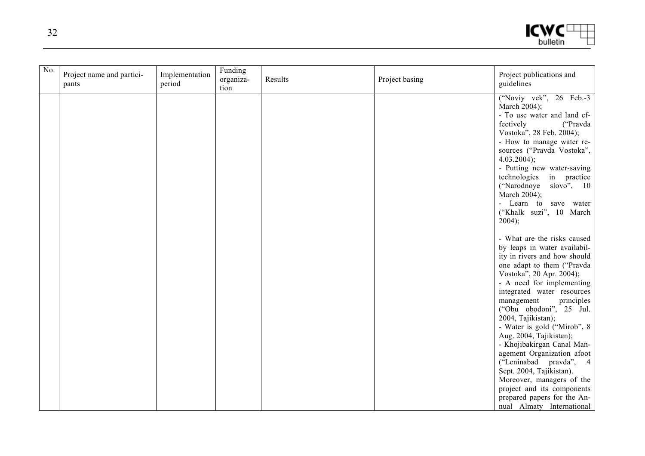$ICMC^{\text{U}}$ 

| No. | Project name and partici-<br>pants | Implementation<br>period | Funding<br>organiza-<br>tion | Results | Project basing | Project publications and<br>guidelines                                                                                                                                                                                                                                                                                                                                                                                                                                                                                                                                                           |
|-----|------------------------------------|--------------------------|------------------------------|---------|----------------|--------------------------------------------------------------------------------------------------------------------------------------------------------------------------------------------------------------------------------------------------------------------------------------------------------------------------------------------------------------------------------------------------------------------------------------------------------------------------------------------------------------------------------------------------------------------------------------------------|
|     |                                    |                          |                              |         |                | ("Noviy vek", 26 Feb.-3<br>March 2004);<br>- To use water and land ef-<br>fectively<br>("Pravda<br>Vostoka", 28 Feb. 2004);<br>- How to manage water re-<br>sources ("Pravda Vostoka",<br>$4.03.2004$ ;<br>- Putting new water-saving<br>technologies in practice<br>("Narodnoye slovo", 10<br>March 2004);<br>- Learn to save water<br>("Khalk suzi", 10 March<br>2004);                                                                                                                                                                                                                        |
|     |                                    |                          |                              |         |                | - What are the risks caused<br>by leaps in water availabil-<br>ity in rivers and how should<br>one adapt to them ("Pravda<br>Vostoka", 20 Apr. 2004);<br>- A need for implementing<br>integrated water resources<br>management<br>principles<br>("Obu obodoni", 25 Jul.<br>2004, Tajikistan);<br>- Water is gold ("Mirob", 8<br>Aug. 2004, Tajikistan);<br>- Khojibakirgan Canal Man-<br>agement Organization afoot<br>("Leninabad pravda", 4<br>Sept. 2004, Tajikistan).<br>Moreover, managers of the<br>project and its components<br>prepared papers for the An-<br>nual Almaty International |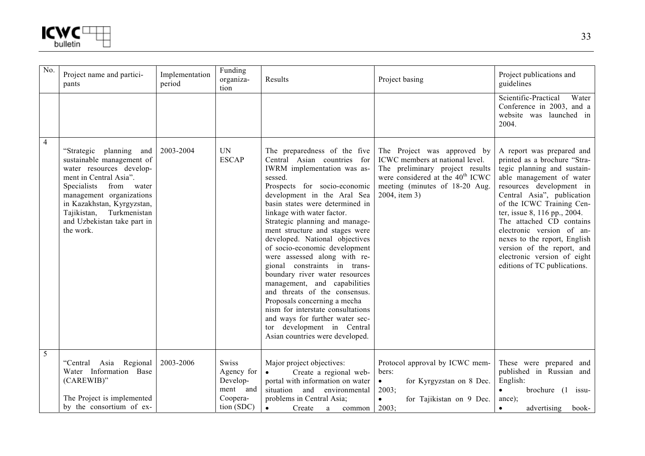

| $\overline{No}$ . | Project name and partici-<br>pants                                                                                                                                                                                                                                                 | Implementation<br>period | Funding<br>organiza-<br>tion                                          | Results                                                                                                                                                                                                                                                                                                                                                                                                                                                                                                                                                                                                                                                                                                                     | Project basing                                                                                                                                                                                       | Project publications and<br>guidelines                                                                                                                                                                                                                                                                                                                                                                                            |
|-------------------|------------------------------------------------------------------------------------------------------------------------------------------------------------------------------------------------------------------------------------------------------------------------------------|--------------------------|-----------------------------------------------------------------------|-----------------------------------------------------------------------------------------------------------------------------------------------------------------------------------------------------------------------------------------------------------------------------------------------------------------------------------------------------------------------------------------------------------------------------------------------------------------------------------------------------------------------------------------------------------------------------------------------------------------------------------------------------------------------------------------------------------------------------|------------------------------------------------------------------------------------------------------------------------------------------------------------------------------------------------------|-----------------------------------------------------------------------------------------------------------------------------------------------------------------------------------------------------------------------------------------------------------------------------------------------------------------------------------------------------------------------------------------------------------------------------------|
|                   |                                                                                                                                                                                                                                                                                    |                          |                                                                       |                                                                                                                                                                                                                                                                                                                                                                                                                                                                                                                                                                                                                                                                                                                             |                                                                                                                                                                                                      | Scientific-Practical<br>Water<br>Conference in 2003, and a<br>website was launched in<br>2004.                                                                                                                                                                                                                                                                                                                                    |
| $\overline{4}$    | "Strategic<br>planning<br>and<br>sustainable management of<br>water resources develop-<br>ment in Central Asia".<br>Specialists<br>from<br>water<br>management organizations<br>in Kazakhstan, Kyrgyzstan,<br>Tajikistan, Turkmenistan<br>and Uzbekistan take part in<br>the work. | 2003-2004                | <b>UN</b><br><b>ESCAP</b>                                             | The preparedness of the five<br>Central Asian countries for<br>IWRM implementation was as-<br>sessed.<br>Prospects for socio-economic<br>development in the Aral Sea<br>basin states were determined in<br>linkage with water factor.<br>Strategic planning and manage-<br>ment structure and stages were<br>developed. National objectives<br>of socio-economic development<br>were assessed along with re-<br>gional constraints in trans-<br>boundary river water resources<br>management, and capabilities<br>and threats of the consensus.<br>Proposals concerning a mecha<br>nism for interstate consultations<br>and ways for further water sec-<br>development in Central<br>tor<br>Asian countries were developed. | The Project was approved by<br>ICWC members at national level.<br>The preliminary project results<br>were considered at the 40 <sup>th</sup> ICWC<br>meeting (minutes of 18-20 Aug.<br>2004, item 3) | A report was prepared and<br>printed as a brochure "Stra-<br>tegic planning and sustain-<br>able management of water<br>resources development in<br>Central Asia", publication<br>of the ICWC Training Cen-<br>ter, issue 8, 116 pp., 2004.<br>The attached CD contains<br>electronic version of an-<br>nexes to the report, English<br>version of the report, and<br>electronic version of eight<br>editions of TC publications. |
| 5                 | "Central Asia Regional<br>Water Information Base<br>(CAREWIB)"<br>The Project is implemented<br>by the consortium of ex-                                                                                                                                                           | 2003-2006                | Swiss<br>Agency for<br>Develop-<br>ment and<br>Coopera-<br>tion (SDC) | Major project objectives:<br>Create a regional web-<br>$\bullet$<br>portal with information on water<br>situation and<br>environmental<br>problems in Central Asia;<br>Create<br>$\bullet$<br>a<br>common                                                                                                                                                                                                                                                                                                                                                                                                                                                                                                                   | Protocol approval by ICWC mem-<br>bers:<br>for Kyrgyzstan on 8 Dec.<br>$\bullet$<br>2003;<br>$\bullet$<br>for Tajikistan on 9 Dec.<br>2003;                                                          | These were prepared and<br>published in Russian and<br>English:<br>brochure $(1$ issu-<br>$\bullet$<br>ance);<br>advertising<br>book-<br>$\bullet$                                                                                                                                                                                                                                                                                |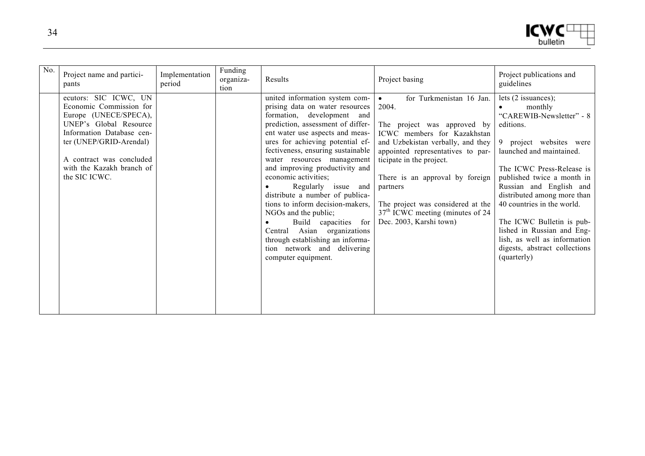```
ICMC<sup>[</sup>bulletin
```

| No. | Project name and partici-<br>pants                                                                                                                                                                                                    | Implementation<br>period | Funding<br>organiza-<br>tion | Results                                                                                                                                                                                                                                                                                                                                                                                                                                                                                                                                                                                                         | Project basing                                                                                                                                                                                                                                                                                                                                                          | Project publications and<br>guidelines                                                                                                                                                                                                                                                                                                                                                                                         |
|-----|---------------------------------------------------------------------------------------------------------------------------------------------------------------------------------------------------------------------------------------|--------------------------|------------------------------|-----------------------------------------------------------------------------------------------------------------------------------------------------------------------------------------------------------------------------------------------------------------------------------------------------------------------------------------------------------------------------------------------------------------------------------------------------------------------------------------------------------------------------------------------------------------------------------------------------------------|-------------------------------------------------------------------------------------------------------------------------------------------------------------------------------------------------------------------------------------------------------------------------------------------------------------------------------------------------------------------------|--------------------------------------------------------------------------------------------------------------------------------------------------------------------------------------------------------------------------------------------------------------------------------------------------------------------------------------------------------------------------------------------------------------------------------|
|     | ecutors: SIC ICWC, UN<br>Economic Commission for<br>Europe (UNECE/SPECA),<br>UNEP's Global Resource<br>Information Database cen-<br>ter (UNEP/GRID-Arendal)<br>A contract was concluded<br>with the Kazakh branch of<br>the SIC ICWC. |                          |                              | united information system com-<br>prising data on water resources<br>formation, development and<br>prediction, assessment of differ-<br>ent water use aspects and meas-<br>ures for achieving potential ef-<br>fectiveness, ensuring sustainable<br>water resources management<br>and improving productivity and<br>economic activities;<br>Regularly issue and<br>distribute a number of publica-<br>tions to inform decision-makers,<br>NGOs and the public;<br>Build capacities for<br>Central Asian organizations<br>through establishing an informa-<br>tion network and delivering<br>computer equipment. | for Turkmenistan 16 Jan.<br>$\bullet$<br>2004.<br>The project was approved by<br>ICWC members for Kazakhstan<br>and Uzbekistan verbally, and they<br>appointed representatives to par-<br>ticipate in the project.<br>There is an approval by foreign<br>partners<br>The project was considered at the<br>$37th$ ICWC meeting (minutes of 24<br>Dec. 2003, Karshi town) | lets $(2$ issuances);<br>monthly<br>"CAREWIB-Newsletter" - 8<br>editions.<br>9 project websites were<br>launched and maintained.<br>The ICWC Press-Release is<br>published twice a month in<br>Russian and English and<br>distributed among more than<br>40 countries in the world.<br>The ICWC Bulletin is pub-<br>lished in Russian and Eng-<br>lish, as well as information<br>digests, abstract collections<br>(quarterly) |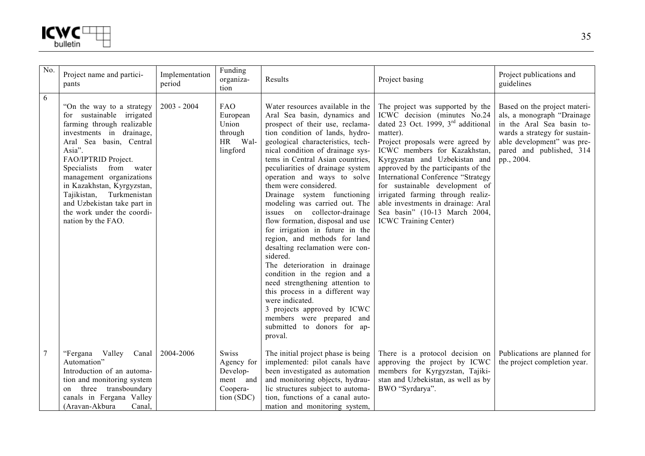

| No.            | Project name and partici-<br>pants                                                                                                                                                                                                                                                                                                                                                    | Implementation<br>period | Funding<br>organiza-<br>tion                                          | Results                                                                                                                                                                                                                                                                                                                                                                                                                                                                                                                                                                                                                                                                                                                                                                                                                                                                | Project basing                                                                                                                                                                                                                                                                                                                                                                                                                                                                                  | Project publications and<br>guidelines                                                                                                                                                           |
|----------------|---------------------------------------------------------------------------------------------------------------------------------------------------------------------------------------------------------------------------------------------------------------------------------------------------------------------------------------------------------------------------------------|--------------------------|-----------------------------------------------------------------------|------------------------------------------------------------------------------------------------------------------------------------------------------------------------------------------------------------------------------------------------------------------------------------------------------------------------------------------------------------------------------------------------------------------------------------------------------------------------------------------------------------------------------------------------------------------------------------------------------------------------------------------------------------------------------------------------------------------------------------------------------------------------------------------------------------------------------------------------------------------------|-------------------------------------------------------------------------------------------------------------------------------------------------------------------------------------------------------------------------------------------------------------------------------------------------------------------------------------------------------------------------------------------------------------------------------------------------------------------------------------------------|--------------------------------------------------------------------------------------------------------------------------------------------------------------------------------------------------|
| $\overline{6}$ | "On the way to a strategy<br>for sustainable irrigated<br>farming through realizable<br>investments in drainage,<br>Aral Sea basin, Central<br>Asia".<br>FAO/IPTRID Project.<br>Specialists<br>from water<br>management organizations<br>in Kazakhstan, Kyrgyzstan,<br>Turkmenistan<br>Tajikistan,<br>and Uzbekistan take part in<br>the work under the coordi-<br>nation by the FAO. | $2003 - 2004$            | FAO<br>European<br>Union<br>through<br>HR Wal-<br>lingford            | Water resources available in the<br>Aral Sea basin, dynamics and<br>prospect of their use, reclama-<br>tion condition of lands, hydro-<br>geological characteristics, tech-<br>nical condition of drainage sys-<br>tems in Central Asian countries,<br>peculiarities of drainage system<br>operation and ways to solve<br>them were considered.<br>Drainage system functioning<br>modeling was carried out. The<br>issues on collector-drainage<br>flow formation, disposal and use<br>for irrigation in future in the<br>region, and methods for land<br>desalting reclamation were con-<br>sidered.<br>The deterioration in drainage<br>condition in the region and a<br>need strengthening attention to<br>this process in a different way<br>were indicated.<br>3 projects approved by ICWC<br>members were prepared and<br>submitted to donors for ap-<br>proval. | The project was supported by the<br>ICWC decision (minutes No.24)<br>dated 23 Oct. 1999, 3 <sup>rd</sup> additional<br>matter).<br>Project proposals were agreed by<br>ICWC members for Kazakhstan,<br>Kyrgyzstan and Uzbekistan and<br>approved by the participants of the<br>International Conference "Strategy<br>for sustainable development of<br>irrigated farming through realiz-<br>able investments in drainage: Aral<br>Sea basin" (10-13 March 2004,<br><b>ICWC</b> Training Center) | Based on the project materi-<br>als, a monograph "Drainage<br>in the Aral Sea basin to-<br>wards a strategy for sustain-<br>able development" was pre-<br>pared and published, 314<br>pp., 2004. |
| $\overline{7}$ | "Fergana Valley<br>Canal<br>Automation"<br>Introduction of an automa-<br>tion and monitoring system<br>three transboundary<br>on<br>canals in Fergana Valley<br>(Aravan-Akbura<br>Canal.                                                                                                                                                                                              | 2004-2006                | Swiss<br>Agency for<br>Develop-<br>ment and<br>Coopera-<br>tion (SDC) | The initial project phase is being<br>implemented: pilot canals have<br>been investigated as automation<br>and monitoring objects, hydrau-<br>lic structures subject to automa-<br>tion, functions of a canal auto-<br>mation and monitoring system,                                                                                                                                                                                                                                                                                                                                                                                                                                                                                                                                                                                                                   | There is a protocol decision on<br>approving the project by ICWC<br>members for Kyrgyzstan, Tajiki-<br>stan and Uzbekistan, as well as by<br>BWO "Syrdarya".                                                                                                                                                                                                                                                                                                                                    | Publications are planned for<br>the project completion year.                                                                                                                                     |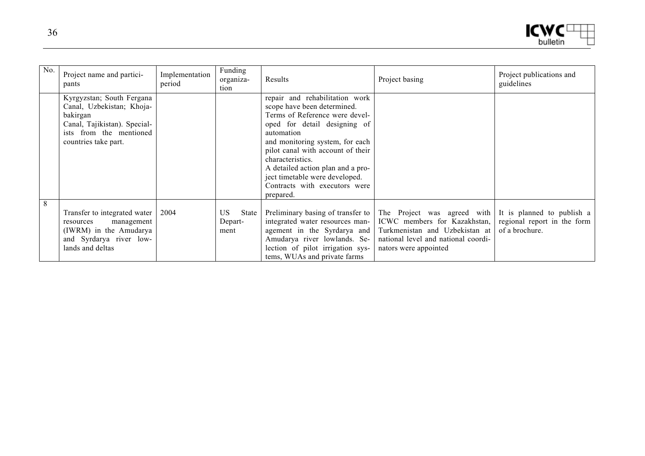| м        |  |
|----------|--|
| bulletin |  |

| No. | Project name and partici-<br>pants                                                                                                                    | Implementation<br>period | Funding<br>organiza-<br>tion          | Results                                                                                                                                                                                                                                                                                                                                                        | Project basing                                                                                                                                                | Project publications and<br>guidelines                                      |
|-----|-------------------------------------------------------------------------------------------------------------------------------------------------------|--------------------------|---------------------------------------|----------------------------------------------------------------------------------------------------------------------------------------------------------------------------------------------------------------------------------------------------------------------------------------------------------------------------------------------------------------|---------------------------------------------------------------------------------------------------------------------------------------------------------------|-----------------------------------------------------------------------------|
|     | Kyrgyzstan; South Fergana<br>Canal, Uzbekistan; Khoja-<br>bakirgan<br>Canal, Tajikistan). Special-<br>ists from the mentioned<br>countries take part. |                          |                                       | repair and rehabilitation work<br>scope have been determined.<br>Terms of Reference were devel-<br>oped for detail designing of<br>automation<br>and monitoring system, for each<br>pilot canal with account of their<br>characteristics.<br>A detailed action plan and a pro-<br>ject timetable were developed.<br>Contracts with executors were<br>prepared. |                                                                                                                                                               |                                                                             |
| 8   | Transfer to integrated water<br>management<br>resources<br>(IWRM) in the Amudarya<br>and Syrdarya river low-<br>lands and deltas                      | 2004                     | US<br><b>State</b><br>Depart-<br>ment | Preliminary basing of transfer to<br>integrated water resources man-<br>agement in the Syrdarya and<br>Amudarya river lowlands. Se-<br>lection of pilot irrigation sys-<br>tems, WUAs and private farms                                                                                                                                                        | The Project was agreed with<br>ICWC members for Kazakhstan,<br>Turkmenistan and Uzbekistan at<br>national level and national coordi-<br>nators were appointed | It is planned to publish a<br>regional report in the form<br>of a brochure. |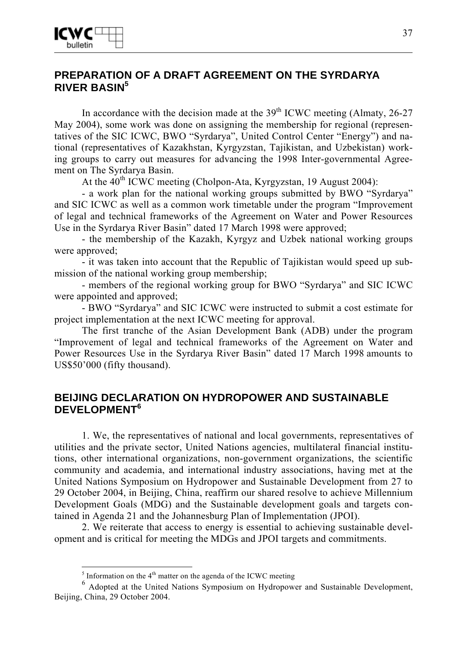# **PREPARATION OF A DRAFT AGREEMENT ON THE SYRDARYA RIVER BASIN<sup>5</sup>**

In accordance with the decision made at the  $39<sup>th</sup>$  ICWC meeting (Almaty, 26-27) May 2004), some work was done on assigning the membership for regional (representatives of the SIC ICWC, BWO "Syrdarya", United Control Center "Energy") and national (representatives of Kazakhstan, Kyrgyzstan, Tajikistan, and Uzbekistan) working groups to carry out measures for advancing the 1998 Inter-governmental Agreement on The Syrdarya Basin.

At the  $40^{th}$  ICWC meeting (Cholpon-Ata, Kyrgyzstan, 19 August 2004):

- a work plan for the national working groups submitted by BWO "Syrdarya" and SIC ICWC as well as a common work timetable under the program "Improvement of legal and technical frameworks of the Agreement on Water and Power Resources Use in the Syrdarya River Basin" dated 17 March 1998 were approved;

- the membership of the Kazakh, Kyrgyz and Uzbek national working groups were approved;

- it was taken into account that the Republic of Tajikistan would speed up submission of the national working group membership;

- members of the regional working group for BWO "Syrdarya" and SIC ICWC were appointed and approved;

- BWO "Syrdarya" and SIC ICWC were instructed to submit a cost estimate for project implementation at the next ICWC meeting for approval.

The first tranche of the Asian Development Bank (ADB) under the program "Improvement of legal and technical frameworks of the Agreement on Water and Power Resources Use in the Syrdarya River Basin" dated 17 March 1998 amounts to US\$50'000 (fifty thousand).

# **BEIJING DECLARATION ON HYDROPOWER AND SUSTAINABLE DEVELOPMENT<sup>6</sup>**

1. We, the representatives of national and local governments, representatives of utilities and the private sector, United Nations agencies, multilateral financial institutions, other international organizations, non-government organizations, the scientific community and academia, and international industry associations, having met at the United Nations Symposium on Hydropower and Sustainable Development from 27 to 29 October 2004, in Beijing, China, reaffirm our shared resolve to achieve Millennium Development Goals (MDG) and the Sustainable development goals and targets contained in Agenda 21 and the Johannesburg Plan of Implementation (JPOI).

2. We reiterate that access to energy is essential to achieving sustainable development and is critical for meeting the MDGs and JPOI targets and commitments.

 $\frac{5}{5}$  Information on the 4<sup>th</sup> matter on the agenda of the ICWC meeting

<sup>&</sup>lt;sup>6</sup> Adopted at the United Nations Symposium on Hydropower and Sustainable Development, Beijing, China, 29 October 2004.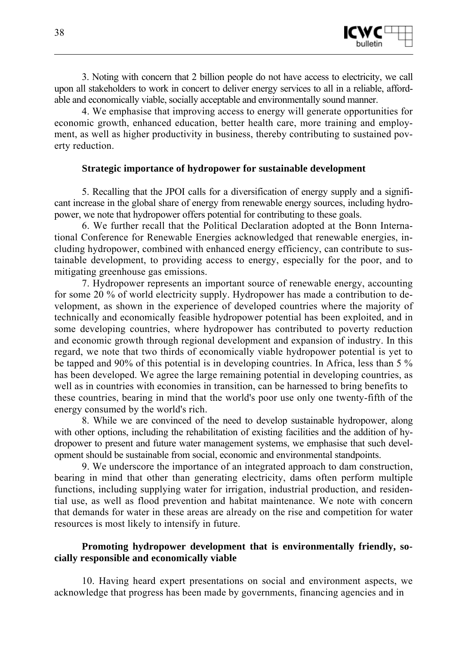

3. Noting with concern that 2 billion people do not have access to electricity, we call upon all stakeholders to work in concert to deliver energy services to all in a reliable, affordable and economically viable, socially acceptable and environmentally sound manner.

4. We emphasise that improving access to energy will generate opportunities for economic growth, enhanced education, better health care, more training and employment, as well as higher productivity in business, thereby contributing to sustained poverty reduction.

#### **Strategic importance of hydropower for sustainable development**

5. Recalling that the JPOI calls for a diversification of energy supply and a significant increase in the global share of energy from renewable energy sources, including hydropower, we note that hydropower offers potential for contributing to these goals.

6. We further recall that the Political Declaration adopted at the Bonn International Conference for Renewable Energies acknowledged that renewable energies, including hydropower, combined with enhanced energy efficiency, can contribute to sustainable development, to providing access to energy, especially for the poor, and to mitigating greenhouse gas emissions.

7. Hydropower represents an important source of renewable energy, accounting for some 20 % of world electricity supply. Hydropower has made a contribution to development, as shown in the experience of developed countries where the majority of technically and economically feasible hydropower potential has been exploited, and in some developing countries, where hydropower has contributed to poverty reduction and economic growth through regional development and expansion of industry. In this regard, we note that two thirds of economically viable hydropower potential is yet to be tapped and 90% of this potential is in developing countries. In Africa, less than 5 % has been developed. We agree the large remaining potential in developing countries, as well as in countries with economies in transition, can be harnessed to bring benefits to these countries, bearing in mind that the world's poor use only one twenty-fifth of the energy consumed by the world's rich.

8. While we are convinced of the need to develop sustainable hydropower, along with other options, including the rehabilitation of existing facilities and the addition of hydropower to present and future water management systems, we emphasise that such development should be sustainable from social, economic and environmental standpoints.

9. We underscore the importance of an integrated approach to dam construction, bearing in mind that other than generating electricity, dams often perform multiple functions, including supplying water for irrigation, industrial production, and residential use, as well as flood prevention and habitat maintenance. We note with concern that demands for water in these areas are already on the rise and competition for water resources is most likely to intensify in future.

#### **Promoting hydropower development that is environmentally friendly, socially responsible and economically viable**

10. Having heard expert presentations on social and environment aspects, we acknowledge that progress has been made by governments, financing agencies and in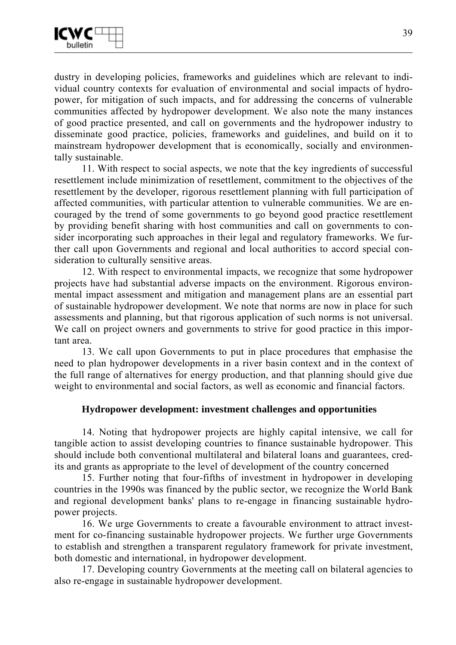dustry in developing policies, frameworks and guidelines which are relevant to individual country contexts for evaluation of environmental and social impacts of hydropower, for mitigation of such impacts, and for addressing the concerns of vulnerable communities affected by hydropower development. We also note the many instances of good practice presented, and call on governments and the hydropower industry to disseminate good practice, policies, frameworks and guidelines, and build on it to mainstream hydropower development that is economically, socially and environmentally sustainable.

11. With respect to social aspects, we note that the key ingredients of successful resettlement include minimization of resettlement, commitment to the objectives of the resettlement by the developer, rigorous resettlement planning with full participation of affected communities, with particular attention to vulnerable communities. We are encouraged by the trend of some governments to go beyond good practice resettlement by providing benefit sharing with host communities and call on governments to consider incorporating such approaches in their legal and regulatory frameworks. We further call upon Governments and regional and local authorities to accord special consideration to culturally sensitive areas.

12. With respect to environmental impacts, we recognize that some hydropower projects have had substantial adverse impacts on the environment. Rigorous environmental impact assessment and mitigation and management plans are an essential part of sustainable hydropower development. We note that norms are now in place for such assessments and planning, but that rigorous application of such norms is not universal. We call on project owners and governments to strive for good practice in this important area.

13. We call upon Governments to put in place procedures that emphasise the need to plan hydropower developments in a river basin context and in the context of the full range of alternatives for energy production, and that planning should give due weight to environmental and social factors, as well as economic and financial factors.

## **Hydropower development: investment challenges and opportunities**

14. Noting that hydropower projects are highly capital intensive, we call for tangible action to assist developing countries to finance sustainable hydropower. This should include both conventional multilateral and bilateral loans and guarantees, credits and grants as appropriate to the level of development of the country concerned

15. Further noting that four-fifths of investment in hydropower in developing countries in the 1990s was financed by the public sector, we recognize the World Bank and regional development banks' plans to re-engage in financing sustainable hydropower projects.

16. We urge Governments to create a favourable environment to attract investment for co-financing sustainable hydropower projects. We further urge Governments to establish and strengthen a transparent regulatory framework for private investment, both domestic and international, in hydropower development.

17. Developing country Governments at the meeting call on bilateral agencies to also re-engage in sustainable hydropower development.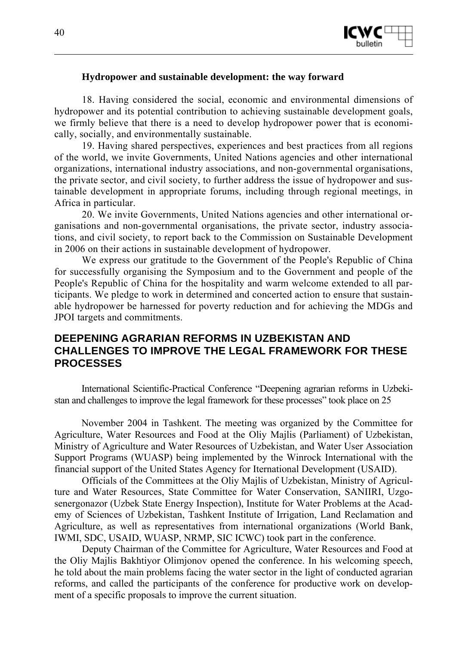

#### **Hydropower and sustainable development: the way forward**

18. Having considered the social, economic and environmental dimensions of hydropower and its potential contribution to achieving sustainable development goals, we firmly believe that there is a need to develop hydropower power that is economically, socially, and environmentally sustainable.

19. Having shared perspectives, experiences and best practices from all regions of the world, we invite Governments, United Nations agencies and other international organizations, international industry associations, and non-governmental organisations, the private sector, and civil society, to further address the issue of hydropower and sustainable development in appropriate forums, including through regional meetings, in Africa in particular.

20. We invite Governments, United Nations agencies and other international organisations and non-governmental organisations, the private sector, industry associations, and civil society, to report back to the Commission on Sustainable Development in 2006 on their actions in sustainable development of hydropower.

We express our gratitude to the Government of the People's Republic of China for successfully organising the Symposium and to the Government and people of the People's Republic of China for the hospitality and warm welcome extended to all participants. We pledge to work in determined and concerted action to ensure that sustainable hydropower be harnessed for poverty reduction and for achieving the MDGs and JPOI targets and commitments.

# **DEEPENING AGRARIAN REFORMS IN UZBEKISTAN AND CHALLENGES TO IMPROVE THE LEGAL FRAMEWORK FOR THESE PROCESSES**

International Scientific-Practical Conference "Deepening agrarian reforms in Uzbekistan and challenges to improve the legal framework for these processes" took place on 25

November 2004 in Tashkent. The meeting was organized by the Committee for Agriculture, Water Resources and Food at the Oliy Majlis (Parliament) of Uzbekistan, Ministry of Agriculture and Water Resources of Uzbekistan, and Water User Association Support Programs (WUASP) being implemented by the Winrock International with the financial support of the United States Agency for Iternational Development (USAID).

Officials of the Committees at the Oliy Majlis of Uzbekistan, Ministry of Agriculture and Water Resources, State Committee for Water Conservation, SANIIRI, Uzgosenergonazor (Uzbek State Energy Inspection), Institute for Water Problems at the Academy of Sciences of Uzbekistan, Tashkent Institute of Irrigation, Land Reclamation and Agriculture, as well as representatives from international organizations (World Bank, IWMI, SDC, USAID, WUASP, NRMP, SIC ICWC) took part in the conference.

Deputy Chairman of the Committee for Agriculture, Water Resources and Food at the Oliy Majlis Bakhtiyor Olimjonov opened the conference. In his welcoming speech, he told about the main problems facing the water sector in the light of conducted agrarian reforms, and called the participants of the conference for productive work on development of a specific proposals to improve the current situation.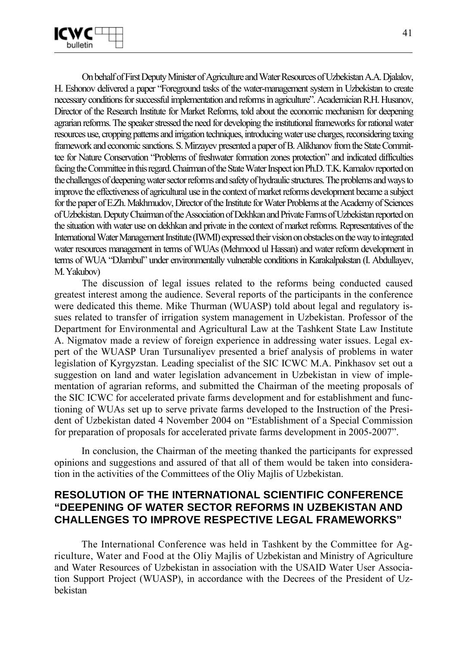

On behalf of First Deputy Minister of Agriculture and Water Resources of Uzbekistan A.A. Djalalov, H. Eshonov delivered a paper "Foreground tasks of the water-management system in Uzbekistan to create necessary conditions for successful implementation and reforms in agriculture". Academician R.H. Husanov, Director of the Research Institute for Market Reforms, told about the economic mechanism for deepening agrarian reforms. The speaker stressed the need for developing the institutional frameworks for rational water resources use, cropping patterns and irrigation techniques, introducing water use charges, reconsidering taxing framework and economic sanctions. S. Mirzayev presented a paper of B. Alikhanov from the State Committee for Nature Conservation "Problems of freshwater formation zones protection" and indicated difficulties facing the Committee in this regard. Chairman of the State Water Inspect ion Ph.D. T.K. Kamalov reported on the challenges of deepening water sector reforms and safety of hydraulic structures. The problems and ways to improve the effectiveness of agricultural use in the context of market reforms development became a subject for the paper of E.Zh. Makhmudov, Director of the Institute for Water Problems at the Academy of Sciences of Uzbekistan. Deputy Chairman of the Association of Dekhkan and Private Farms of Uzbekistan reported on the situation with water use on dekhkan and private in the context of market reforms. Representatives of the International Water Management Institute (IWMI) expressed their vision on obstacles on the way to integrated water resources management in terms of WUAs (Mehmood ul Hassan) and water reform development in terms of WUA "DJambul" under environmentally vulnerable conditions in Karakalpakstan (I. Abdullayev, M. Yakubov)

The discussion of legal issues related to the reforms being conducted caused greatest interest among the audience. Several reports of the participants in the conference were dedicated this theme. Mike Thurman (WUASP) told about legal and regulatory issues related to transfer of irrigation system management in Uzbekistan. Professor of the Department for Environmental and Agricultural Law at the Tashkent State Law Institute A. Nigmatov made a review of foreign experience in addressing water issues. Legal expert of the WUASP Uran Tursunaliyev presented a brief analysis of problems in water legislation of Kyrgyzstan. Leading specialist of the SIC ICWC M.A. Pinkhasov set out a suggestion on land and water legislation advancement in Uzbekistan in view of implementation of agrarian reforms, and submitted the Chairman of the meeting proposals of the SIC ICWC for accelerated private farms development and for establishment and functioning of WUAs set up to serve private farms developed to the Instruction of the President of Uzbekistan dated 4 November 2004 on "Establishment of a Special Commission for preparation of proposals for accelerated private farms development in 2005-2007".

In conclusion, the Chairman of the meeting thanked the participants for expressed opinions and suggestions and assured of that all of them would be taken into consideration in the activities of the Committees of the Oliy Majlis of Uzbekistan.

# **RESOLUTION OF THE INTERNATIONAL SCIENTIFIC CONFERENCE "DEEPENING OF WATER SECTOR REFORMS IN UZBEKISTAN AND CHALLENGES TO IMPROVE RESPECTIVE LEGAL FRAMEWORKS"**

The International Conference was held in Tashkent by the Committee for Agriculture, Water and Food at the Oliy Majlis of Uzbekistan and Ministry of Agriculture and Water Resources of Uzbekistan in association with the USAID Water User Association Support Project (WUASP), in accordance with the Decrees of the President of Uzbekistan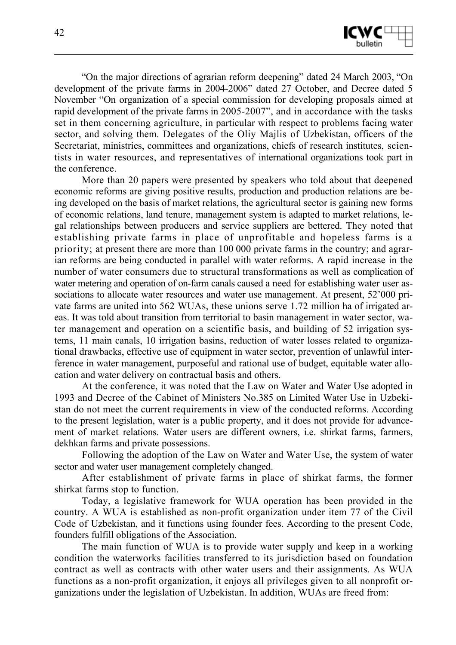

"On the major directions of agrarian reform deepening" dated 24 March 2003, "On development of the private farms in 2004-2006" dated 27 October, and Decree dated 5 November "On organization of a special commission for developing proposals aimed at rapid development of the private farms in 2005-2007", and in accordance with the tasks set in them concerning agriculture, in particular with respect to problems facing water sector, and solving them. Delegates of the Oliy Majlis of Uzbekistan, officers of the Secretariat, ministries, committees and organizations, chiefs of research institutes, scientists in water resources, and representatives of international organizations took part in the conference.

More than 20 papers were presented by speakers who told about that deepened economic reforms are giving positive results, production and production relations are being developed on the basis of market relations, the agricultural sector is gaining new forms of economic relations, land tenure, management system is adapted to market relations, legal relationships between producers and service suppliers are bettered. They noted that establishing private farms in place of unprofitable and hopeless farms is a priority; at present there are more than 100 000 private farms in the country; and agrarian reforms are being conducted in parallel with water reforms. A rapid increase in the number of water consumers due to structural transformations as well as complication of water metering and operation of on-farm canals caused a need for establishing water user associations to allocate water resources and water use management. At present, 52'000 private farms are united into 562 WUAs, these unions serve 1.72 million ha of irrigated areas. It was told about transition from territorial to basin management in water sector, water management and operation on a scientific basis, and building of 52 irrigation systems, 11 main canals, 10 irrigation basins, reduction of water losses related to organizational drawbacks, effective use of equipment in water sector, prevention of unlawful interference in water management, purposeful and rational use of budget, equitable water allocation and water delivery on contractual basis and others.

At the conference, it was noted that the Law on Water and Water Use adopted in 1993 and Decree of the Cabinet of Ministers No.385 on Limited Water Use in Uzbekistan do not meet the current requirements in view of the conducted reforms. According to the present legislation, water is a public property, and it does not provide for advancement of market relations. Water users are different owners, i.e. shirkat farms, farmers, dekhkan farms and private possessions.

Following the adoption of the Law on Water and Water Use, the system of water sector and water user management completely changed.

After establishment of private farms in place of shirkat farms, the former shirkat farms stop to function.

Today, a legislative framework for WUA operation has been provided in the country. A WUA is established as non-profit organization under item 77 of the Civil Code of Uzbekistan, and it functions using founder fees. According to the present Code, founders fulfill obligations of the Association.

The main function of WUA is to provide water supply and keep in a working condition the waterworks facilities transferred to its jurisdiction based on foundation contract as well as contracts with other water users and their assignments. As WUA functions as a non-profit organization, it enjoys all privileges given to all nonprofit organizations under the legislation of Uzbekistan. In addition, WUAs are freed from: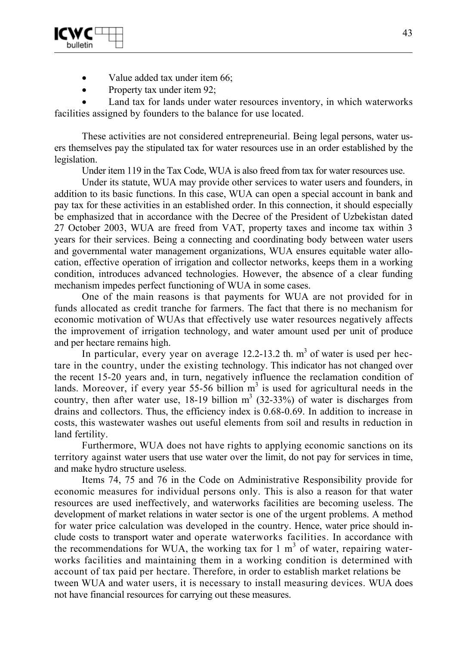

- Value added tax under item 66;
- Property tax under item 92;

Land tax for lands under water resources inventory, in which waterworks facilities assigned by founders to the balance for use located.

These activities are not considered entrepreneurial. Being legal persons, water users themselves pay the stipulated tax for water resources use in an order established by the legislation.

Under item 119 in the Tax Code, WUA is also freed from tax for water resources use.

Under its statute, WUA may provide other services to water users and founders, in addition to its basic functions. In this case, WUA can open a special account in bank and pay tax for these activities in an established order. In this connection, it should especially be emphasized that in accordance with the Decree of the President of Uzbekistan dated 27 October 2003, WUA are freed from VAT, property taxes and income tax within 3 years for their services. Being a connecting and coordinating body between water users and governmental water management organizations, WUA ensures equitable water allocation, effective operation of irrigation and collector networks, keeps them in a working condition, introduces advanced technologies. However, the absence of a clear funding mechanism impedes perfect functioning of WUA in some cases.

One of the main reasons is that payments for WUA are not provided for in funds allocated as credit tranche for farmers. The fact that there is no mechanism for economic motivation of WUAs that effectively use water resources negatively affects the improvement of irrigation technology, and water amount used per unit of produce and per hectare remains high.

In particular, every year on average  $12.2$ -13.2 th.  $m<sup>3</sup>$  of water is used per hectare in the country, under the existing technology. This indicator has not changed over the recent 15-20 years and, in turn, negatively influence the reclamation condition of lands. Moreover, if every year 55-56 billion  $m<sup>3</sup>$  is used for agricultural needs in the country, then after water use,  $18-19$  billion  $m^3$  (32-33%) of water is discharges from drains and collectors. Thus, the efficiency index is 0.68-0.69. In addition to increase in costs, this wastewater washes out useful elements from soil and results in reduction in land fertility.

Furthermore, WUA does not have rights to applying economic sanctions on its territory against water users that use water over the limit, do not pay for services in time, and make hydro structure useless.

Items 74, 75 and 76 in the Code on Administrative Responsibility provide for economic measures for individual persons only. This is also a reason for that water resources are used ineffectively, and waterworks facilities are becoming useless. The development of market relations in water sector is one of the urgent problems. A method for water price calculation was developed in the country. Hence, water price should include costs to transport water and operate waterworks facilities. In accordance with the recommendations for WUA, the working tax for 1  $m<sup>3</sup>$  of water, repairing waterworks facilities and maintaining them in a working condition is determined with account of tax paid per hectare. Therefore, in order to establish market relations be tween WUA and water users, it is necessary to install measuring devices. WUA does not have financial resources for carrying out these measures.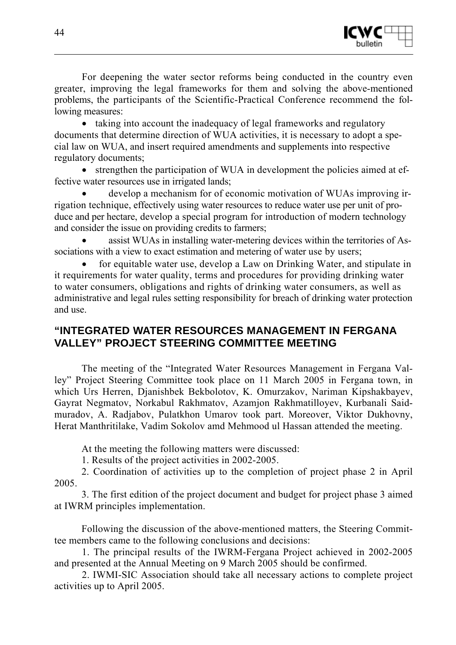

For deepening the water sector reforms being conducted in the country even greater, improving the legal frameworks for them and solving the above-mentioned problems, the participants of the Scientific-Practical Conference recommend the following measures:

• taking into account the inadequacy of legal frameworks and regulatory documents that determine direction of WUA activities, it is necessary to adopt a special law on WUA, and insert required amendments and supplements into respective regulatory documents;

• strengthen the participation of WUA in development the policies aimed at effective water resources use in irrigated lands;

• develop a mechanism for of economic motivation of WUAs improving irrigation technique, effectively using water resources to reduce water use per unit of produce and per hectare, develop a special program for introduction of modern technology and consider the issue on providing credits to farmers;

• assist WUAs in installing water-metering devices within the territories of Associations with a view to exact estimation and metering of water use by users;

• for equitable water use, develop a Law on Drinking Water, and stipulate in it requirements for water quality, terms and procedures for providing drinking water to water consumers, obligations and rights of drinking water consumers, as well as administrative and legal rules setting responsibility for breach of drinking water protection and use.

# **"INTEGRATED WATER RESOURCES MANAGEMENT IN FERGANA VALLEY" PROJECT STEERING COMMITTEE MEETING**

The meeting of the "Integrated Water Resources Management in Fergana Valley" Project Steering Committee took place on 11 March 2005 in Fergana town, in which Urs Herren, Djanishbek Bekbolotov, K. Omurzakov, Nariman Kipshakbayev, Gayrat Negmatov, Norkabul Rakhmatov, Azamjon Rakhmatilloyev, Kurbanali Saidmuradov, A. Radjabov, Pulatkhon Umarov took part. Moreover, Viktor Dukhovny, Herat Manthritilake, Vadim Sokolov amd Mehmood ul Hassan attended the meeting.

At the meeting the following matters were discussed:

1. Results of the project activities in 2002-2005.

2. Coordination of activities up to the completion of project phase 2 in April 2005.

3. The first edition of the project document and budget for project phase 3 aimed at IWRM principles implementation.

Following the discussion of the above-mentioned matters, the Steering Committee members came to the following conclusions and decisions:

1. The principal results of the IWRM-Fergana Project achieved in 2002-2005 and presented at the Annual Meeting on 9 March 2005 should be confirmed.

2. IWMI-SIC Association should take all necessary actions to complete project activities up to April 2005.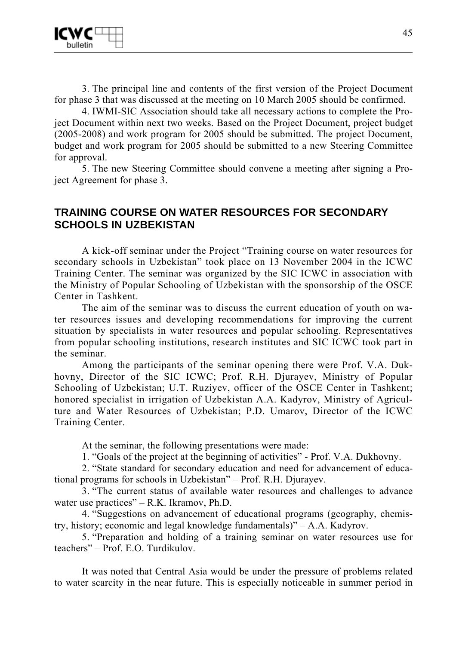

3. The principal line and contents of the first version of the Project Document for phase 3 that was discussed at the meeting on 10 March 2005 should be confirmed.

4. IWMI-SIC Association should take all necessary actions to complete the Project Document within next two weeks. Based on the Project Document, project budget (2005-2008) and work program for 2005 should be submitted. The project Document, budget and work program for 2005 should be submitted to a new Steering Committee for approval.

5. The new Steering Committee should convene a meeting after signing a Project Agreement for phase 3.

# **TRAINING COURSE ON WATER RESOURCES FOR SECONDARY SCHOOLS IN UZBEKISTAN**

A kick-off seminar under the Project "Training course on water resources for secondary schools in Uzbekistan" took place on 13 November 2004 in the ICWC Training Center. The seminar was organized by the SIC ICWC in association with the Ministry of Popular Schooling of Uzbekistan with the sponsorship of the OSCE Center in Tashkent.

The aim of the seminar was to discuss the current education of youth on water resources issues and developing recommendations for improving the current situation by specialists in water resources and popular schooling. Representatives from popular schooling institutions, research institutes and SIC ICWC took part in the seminar.

Among the participants of the seminar opening there were Prof. V.A. Dukhovny, Director of the SIC ICWC; Prof. R.H. Djurayev, Ministry of Popular Schooling of Uzbekistan; U.T. Ruziyev, officer of the OSCE Center in Tashkent; honored specialist in irrigation of Uzbekistan A.A. Kadyrov, Ministry of Agriculture and Water Resources of Uzbekistan; P.D. Umarov, Director of the ICWC Training Center.

At the seminar, the following presentations were made:

1. "Goals of the project at the beginning of activities" - Prof. V.A. Dukhovny.

2. "State standard for secondary education and need for advancement of educational programs for schools in Uzbekistan" – Prof. R.H. Djurayev.

3. "The current status of available water resources and challenges to advance water use practices" – R.K. Ikramov, Ph.D.

4. "Suggestions on advancement of educational programs (geography, chemistry, history; economic and legal knowledge fundamentals)" – A.A. Kadyrov.

5. "Preparation and holding of a training seminar on water resources use for teachers" – Prof. E.O. Turdikulov.

It was noted that Central Asia would be under the pressure of problems related to water scarcity in the near future. This is especially noticeable in summer period in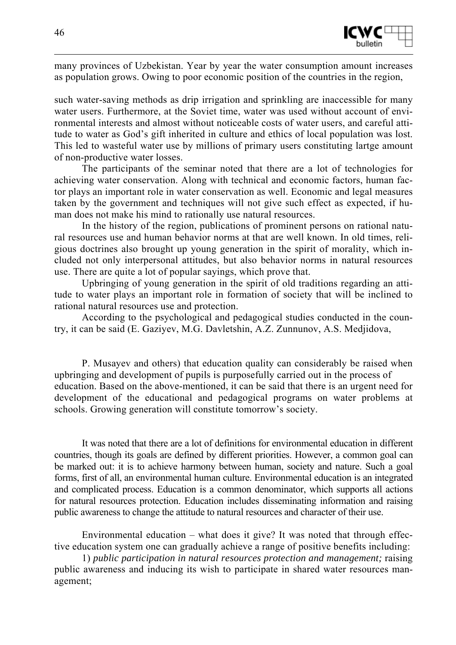

many provinces of Uzbekistan. Year by year the water consumption amount increases as population grows. Owing to poor economic position of the countries in the region,

such water-saving methods as drip irrigation and sprinkling are inaccessible for many water users. Furthermore, at the Soviet time, water was used without account of environmental interests and almost without noticeable costs of water users, and careful attitude to water as God's gift inherited in culture and ethics of local population was lost. This led to wasteful water use by millions of primary users constituting lartge amount of non-productive water losses.

The participants of the seminar noted that there are a lot of technologies for achieving water conservation. Along with technical and economic factors, human factor plays an important role in water conservation as well. Economic and legal measures taken by the government and techniques will not give such effect as expected, if human does not make his mind to rationally use natural resources.

In the history of the region, publications of prominent persons on rational natural resources use and human behavior norms at that are well known. In old times, religious doctrines also brought up young generation in the spirit of morality, which included not only interpersonal attitudes, but also behavior norms in natural resources use. There are quite a lot of popular sayings, which prove that.

Upbringing of young generation in the spirit of old traditions regarding an attitude to water plays an important role in formation of society that will be inclined to rational natural resources use and protection.

According to the psychological and pedagogical studies conducted in the country, it can be said (E. Gaziyev, M.G. Davletshin, A.Z. Zunnunov, A.S. Medjidova,

P. Musayev and others) that education quality can considerably be raised when upbringing and development of pupils is purposefully carried out in the process of education. Based on the above-mentioned, it can be said that there is an urgent need for development of the educational and pedagogical programs on water problems at schools. Growing generation will constitute tomorrow's society.

It was noted that there are a lot of definitions for environmental education in different countries, though its goals are defined by different priorities. However, a common goal can be marked out: it is to achieve harmony between human, society and nature. Such a goal forms, first of all, an environmental human culture. Environmental education is an integrated and complicated process. Education is a common denominator, which supports all actions for natural resources protection. Education includes disseminating information and raising public awareness to change the attitude to natural resources and character of their use.

Environmental education – what does it give? It was noted that through effective education system one can gradually achieve a range of positive benefits including:

1) *public participation in natural resources protection and management;* raising public awareness and inducing its wish to participate in shared water resources management;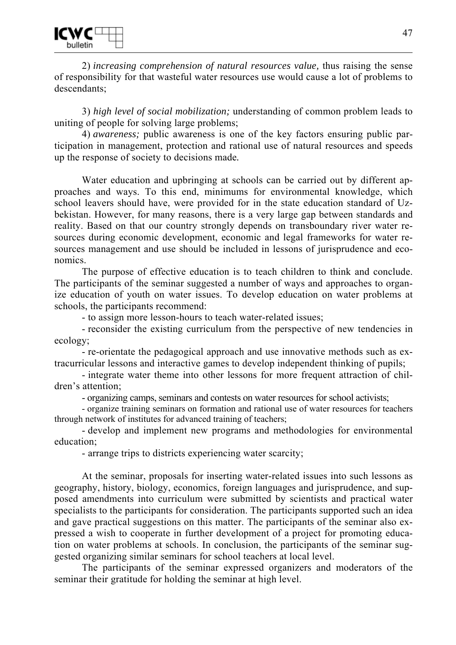2) *increasing comprehension of natural resources value,* thus raising the sense of responsibility for that wasteful water resources use would cause a lot of problems to descendants;

3) *high level of social mobilization;* understanding of common problem leads to uniting of people for solving large problems;

4) *awareness;* public awareness is one of the key factors ensuring public participation in management, protection and rational use of natural resources and speeds up the response of society to decisions made*.* 

Water education and upbringing at schools can be carried out by different approaches and ways. To this end, minimums for environmental knowledge, which school leavers should have, were provided for in the state education standard of Uzbekistan. However, for many reasons, there is a very large gap between standards and reality. Based on that our country strongly depends on transboundary river water resources during economic development, economic and legal frameworks for water resources management and use should be included in lessons of jurisprudence and economics.

The purpose of effective education is to teach children to think and conclude. The participants of the seminar suggested a number of ways and approaches to organize education of youth on water issues. To develop education on water problems at schools, the participants recommend:

- to assign more lesson-hours to teach water-related issues;

- reconsider the existing curriculum from the perspective of new tendencies in ecology;

- re-orientate the pedagogical approach and use innovative methods such as extracurricular lessons and interactive games to develop independent thinking of pupils;

- integrate water theme into other lessons for more frequent attraction of children's attention;

- organizing camps, seminars and contests on water resources for school activists;

- organize training seminars on formation and rational use of water resources for teachers through network of institutes for advanced training of teachers;

- develop and implement new programs and methodologies for environmental education;

- arrange trips to districts experiencing water scarcity;

At the seminar, proposals for inserting water-related issues into such lessons as geography, history, biology, economics, foreign languages and jurisprudence, and supposed amendments into curriculum were submitted by scientists and practical water specialists to the participants for consideration. The participants supported such an idea and gave practical suggestions on this matter. The participants of the seminar also expressed a wish to cooperate in further development of a project for promoting education on water problems at schools. In conclusion, the participants of the seminar suggested organizing similar seminars for school teachers at local level.

The participants of the seminar expressed organizers and moderators of the seminar their gratitude for holding the seminar at high level.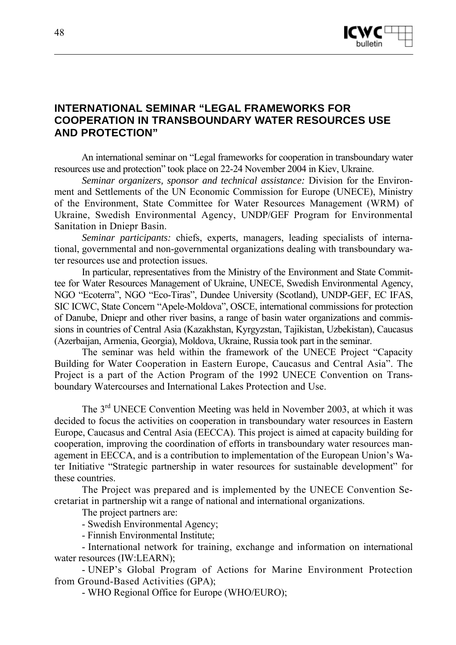

# **INTERNATIONAL SEMINAR "LEGAL FRAMEWORKS FOR COOPERATION IN TRANSBOUNDARY WATER RESOURCES USE AND PROTECTION"**

An international seminar on "Legal frameworks for cooperation in transboundary water resources use and protection" took place on 22-24 November 2004 in Kiev, Ukraine.

*Seminar organizers, sponsor and technical assistance:* Division for the Environment and Settlements of the UN Economic Commission for Europe (UNECE), Ministry of the Environment, State Committee for Water Resources Management (WRM) of Ukraine, Swedish Environmental Agency, UNDP/GEF Program for Environmental Sanitation in Dniepr Basin.

*Seminar participants:* chiefs, experts, managers, leading specialists of international, governmental and non-governmental organizations dealing with transboundary water resources use and protection issues.

In particular, representatives from the Ministry of the Environment and State Committee for Water Resources Management of Ukraine, UNECE, Swedish Environmental Agency, NGO "Ecoterra", NGO "Eco-Tiras", Dundee University (Scotland), UNDP-GEF, EC IFAS, SIC ICWC, State Concern "Apele-Moldova", OSCE, international commissions for protection of Danube, Dniepr and other river basins, a range of basin water organizations and commissions in countries of Central Asia (Kazakhstan, Kyrgyzstan, Tajikistan, Uzbekistan), Caucasus (Azerbaijan, Armenia, Georgia), Moldova, Ukraine, Russia took part in the seminar.

The seminar was held within the framework of the UNECE Project "Capacity Building for Water Cooperation in Eastern Europe, Caucasus and Central Asia". The Project is a part of the Action Program of the 1992 UNECE Convention on Transboundary Watercourses and International Lakes Protection and Use.

The 3rd UNECE Convention Meeting was held in November 2003, at which it was decided to focus the activities on cooperation in transboundary water resources in Eastern Europe, Caucasus and Central Asia (EECCA). This project is aimed at capacity building for cooperation, improving the coordination of efforts in transboundary water resources management in EECCA, and is a contribution to implementation of the European Union's Water Initiative "Strategic partnership in water resources for sustainable development" for these countries.

The Project was prepared and is implemented by the UNECE Convention Secretariat in partnership wit a range of national and international organizations.

The project partners are:

- Swedish Environmental Agency;

- Finnish Environmental Institute;

- International network for training, exchange and information on international water resources (IW:LEARN);

- UNEP's Global Program of Actions for Marine Environment Protection from Ground-Based Activities (GPA);

- WHO Regional Office for Europe (WHO/EURO);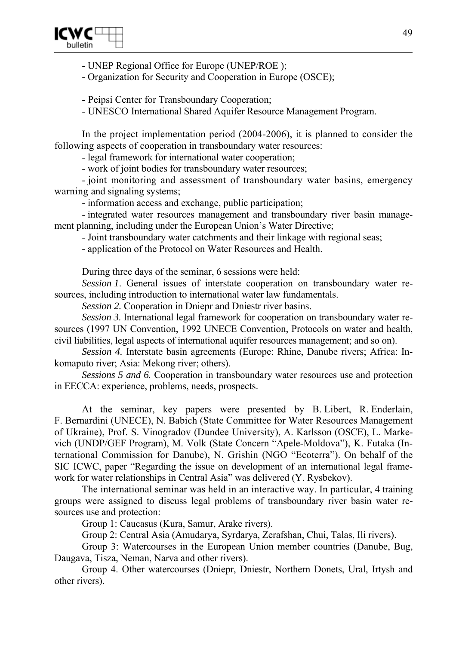

- UNEP Regional Office for Europe (UNEP/ROE );

- Organization for Security and Cooperation in Europe (OSCE);

- Peipsi Center for Transboundary Cooperation;

- UNESCO International Shared Aquifer Resource Management Program.

In the project implementation period (2004-2006), it is planned to consider the following aspects of cooperation in transboundary water resources:

- legal framework for international water cooperation;

- work of joint bodies for transboundary water resources;

- joint monitoring and assessment of transboundary water basins, emergency warning and signaling systems;

- information access and exchange, public participation;

- integrated water resources management and transboundary river basin management planning, including under the European Union's Water Directive;

- Joint transboundary water catchments and their linkage with regional seas;

- application of the Protocol on Water Resources and Health.

During three days of the seminar, 6 sessions were held:

*Session 1*. General issues of interstate cooperation on transboundary water resources, including introduction to international water law fundamentals.

*Session 2.* Cooperation in Dniepr and Dniestr river basins.

*Session 3*. International legal framework for cooperation on transboundary water resources (1997 UN Convention, 1992 UNECE Convention, Protocols on water and health, civil liabilities, legal aspects of international aquifer resources management; and so on).

*Session 4.* Interstate basin agreements (Europe: Rhine, Danube rivers; Africa: Inkomaputo river; Asia: Mekong river; others).

*Sessions 5 and 6.* Cooperation in transboundary water resources use and protection in EECCA: experience, problems, needs, prospects.

At the seminar, key papers were presented by B. Libert, R. Enderlain, F. Bernardini (UNECE), N. Babich (State Committee for Water Resources Management of Ukraine), Prof. S. Vinogradov (Dundee University), A. Karlsson (OSCE), L. Markevich (UNDP/GEF Program), M. Volk (State Concern "Apele-Moldova"), K. Futaka (International Commission for Danube), N. Grishin (NGO "Ecoterra"). On behalf of the SIC ICWC, paper "Regarding the issue on development of an international legal framework for water relationships in Central Asia" was delivered (Y. Rysbekov).

The international seminar was held in an interactive way. In particular, 4 training groups were assigned to discuss legal problems of transboundary river basin water resources use and protection:

Group 1: Caucasus (Kura, Samur, Arake rivers).

Group 2: Central Asia (Amudarya, Syrdarya, Zerafshan, Chui, Talas, Ili rivers).

Group 3: Watercourses in the European Union member countries (Danube, Bug, Daugava, Tisza, Neman, Narva and other rivers).

Group 4. Other watercourses (Dniepr, Dniestr, Northern Donets, Ural, Irtysh and other rivers).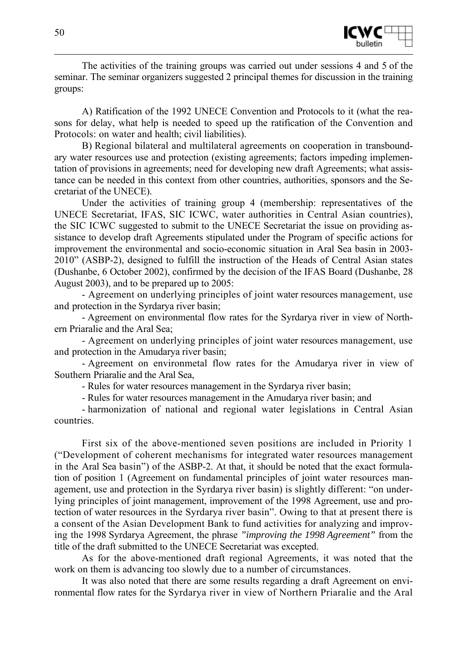

The activities of the training groups was carried out under sessions 4 and 5 of the seminar. The seminar organizers suggested 2 principal themes for discussion in the training groups:

A) Ratification of the 1992 UNECE Convention and Protocols to it (what the reasons for delay, what help is needed to speed up the ratification of the Convention and Protocols: on water and health; civil liabilities).

B) Regional bilateral and multilateral agreements on cooperation in transboundary water resources use and protection (existing agreements; factors impeding implementation of provisions in agreements; need for developing new draft Agreements; what assistance can be needed in this context from other countries, authorities, sponsors and the Secretariat of the UNECE).

Under the activities of training group 4 (membership: representatives of the UNECE Secretariat, IFAS, SIC ICWC, water authorities in Central Asian countries), the SIC ICWC suggested to submit to the UNECE Secretariat the issue on providing assistance to develop draft Agreements stipulated under the Program of specific actions for improvement the environmental and socio-economic situation in Aral Sea basin in 2003- 2010" (ASBP-2), designed to fulfill the instruction of the Heads of Central Asian states (Dushanbe, 6 October 2002), confirmed by the decision of the IFAS Board (Dushanbe, 28 August 2003), and to be prepared up to 2005:

- Agreement on underlying principles of joint water resources management, use and protection in the Syrdarya river basin;

- Agreement on environmental flow rates for the Syrdarya river in view of Northern Priaralie and the Aral Sea;

- Agreement on underlying principles of joint water resources management, use and protection in the Amudarya river basin;

- Agreement on environmetal flow rates for the Amudarya river in view of Southern Priaralie and the Aral Sea,

- Rules for water resources management in the Syrdarya river basin;

- Rules for water resources management in the Amudarya river basin; and

- harmonization of national and regional water legislations in Central Asian countries.

First six of the above-mentioned seven positions are included in Priority 1 ("Development of coherent mechanisms for integrated water resources management in the Aral Sea basin") of the ASBP-2. At that, it should be noted that the exact formulation of position 1 (Agreement on fundamental principles of joint water resources management, use and protection in the Syrdarya river basin) is slightly different: "on underlying principles of joint management, improvement of the 1998 Agreement, use and protection of water resources in the Syrdarya river basin". Owing to that at present there is a consent of the Asian Development Bank to fund activities for analyzing and improving the 1998 Syrdarya Agreement, the phrase *"improving the 1998 Agreement"* from the title of the draft submitted to the UNECE Secretariat was excepted.

As for the above-mentioned draft regional Agreements, it was noted that the work on them is advancing too slowly due to a number of circumstances.

It was also noted that there are some results regarding a draft Agreement on environmental flow rates for the Syrdarya river in view of Northern Priaralie and the Aral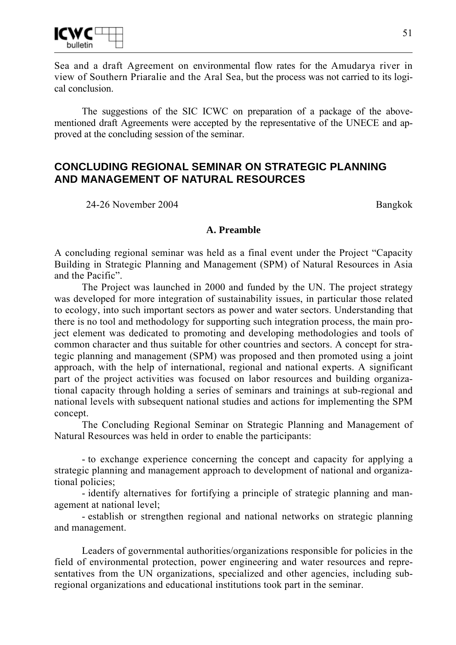

Sea and a draft Agreement on environmental flow rates for the Amudarya river in view of Southern Priaralie and the Aral Sea, but the process was not carried to its logical conclusion.

The suggestions of the SIC ICWC on preparation of a package of the abovementioned draft Agreements were accepted by the representative of the UNECE and approved at the concluding session of the seminar.

# **CONCLUDING REGIONAL SEMINAR ON STRATEGIC PLANNING AND MANAGEMENT OF NATURAL RESOURCES**

24-26 November 2004 Bangkok

#### **A. Preamble**

A concluding regional seminar was held as a final event under the Project "Capacity Building in Strategic Planning and Management (SPM) of Natural Resources in Asia and the Pacific".

The Project was launched in 2000 and funded by the UN. The project strategy was developed for more integration of sustainability issues, in particular those related to ecology, into such important sectors as power and water sectors. Understanding that there is no tool and methodology for supporting such integration process, the main project element was dedicated to promoting and developing methodologies and tools of common character and thus suitable for other countries and sectors. A concept for strategic planning and management (SPM) was proposed and then promoted using a joint approach, with the help of international, regional and national experts. A significant part of the project activities was focused on labor resources and building organizational capacity through holding a series of seminars and trainings at sub-regional and national levels with subsequent national studies and actions for implementing the SPM concept.

The Concluding Regional Seminar on Strategic Planning and Management of Natural Resources was held in order to enable the participants:

- to exchange experience concerning the concept and capacity for applying a strategic planning and management approach to development of national and organizational policies;

- identify alternatives for fortifying a principle of strategic planning and management at national level;

- establish or strengthen regional and national networks on strategic planning and management.

Leaders of governmental authorities/organizations responsible for policies in the field of environmental protection, power engineering and water resources and representatives from the UN organizations, specialized and other agencies, including subregional organizations and educational institutions took part in the seminar.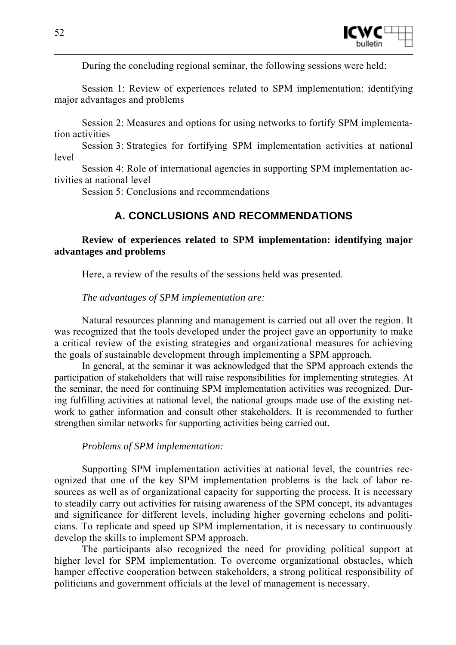

During the concluding regional seminar, the following sessions were held:

Session 1: Review of experiences related to SPM implementation: identifying major advantages and problems

Session 2: Measures and options for using networks to fortify SPM implementation activities

Session 3: Strategies for fortifying SPM implementation activities at national level

Session 4: Role of international agencies in supporting SPM implementation activities at national level

Session 5: Conclusions and recommendations

# **A. CONCLUSIONS AND RECOMMENDATIONS**

## **Review of experiences related to SPM implementation: identifying major advantages and problems**

Here, a review of the results of the sessions held was presented.

*The advantages of SPM implementation are:* 

Natural resources planning and management is carried out all over the region. It was recognized that the tools developed under the project gave an opportunity to make a critical review of the existing strategies and organizational measures for achieving the goals of sustainable development through implementing a SPM approach.

In general, at the seminar it was acknowledged that the SPM approach extends the participation of stakeholders that will raise responsibilities for implementing strategies. At the seminar, the need for continuing SPM implementation activities was recognized. During fulfilling activities at national level, the national groups made use of the existing network to gather information and consult other stakeholders. It is recommended to further strengthen similar networks for supporting activities being carried out.

## *Problems of SPM implementation:*

Supporting SPM implementation activities at national level, the countries recognized that one of the key SPM implementation problems is the lack of labor resources as well as of organizational capacity for supporting the process. It is necessary to steadily carry out activities for raising awareness of the SPM concept, its advantages and significance for different levels, including higher governing echelons and politicians. To replicate and speed up SPM implementation, it is necessary to continuously develop the skills to implement SPM approach.

The participants also recognized the need for providing political support at higher level for SPM implementation. To overcome organizational obstacles, which hamper effective cooperation between stakeholders, a strong political responsibility of politicians and government officials at the level of management is necessary.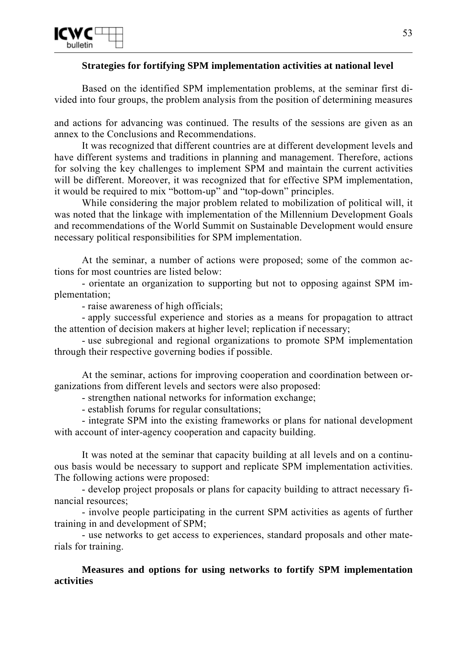

#### **Strategies for fortifying SPM implementation activities at national level**

Based on the identified SPM implementation problems, at the seminar first divided into four groups, the problem analysis from the position of determining measures

and actions for advancing was continued. The results of the sessions are given as an annex to the Conclusions and Recommendations.

It was recognized that different countries are at different development levels and have different systems and traditions in planning and management. Therefore, actions for solving the key challenges to implement SPM and maintain the current activities will be different. Moreover, it was recognized that for effective SPM implementation, it would be required to mix "bottom-up" and "top-down" principles.

While considering the major problem related to mobilization of political will, it was noted that the linkage with implementation of the Millennium Development Goals and recommendations of the World Summit on Sustainable Development would ensure necessary political responsibilities for SPM implementation.

At the seminar, a number of actions were proposed; some of the common actions for most countries are listed below:

- orientate an organization to supporting but not to opposing against SPM implementation;

- raise awareness of high officials;

- apply successful experience and stories as a means for propagation to attract the attention of decision makers at higher level; replication if necessary;

- use subregional and regional organizations to promote SPM implementation through their respective governing bodies if possible.

At the seminar, actions for improving cooperation and coordination between organizations from different levels and sectors were also proposed:

- strengthen national networks for information exchange;

- establish forums for regular consultations;

- integrate SPM into the existing frameworks or plans for national development with account of inter-agency cooperation and capacity building.

It was noted at the seminar that capacity building at all levels and on a continuous basis would be necessary to support and replicate SPM implementation activities. The following actions were proposed:

- develop project proposals or plans for capacity building to attract necessary financial resources;

- involve people participating in the current SPM activities as agents of further training in and development of SPM;

- use networks to get access to experiences, standard proposals and other materials for training.

**Measures and options for using networks to fortify SPM implementation activities**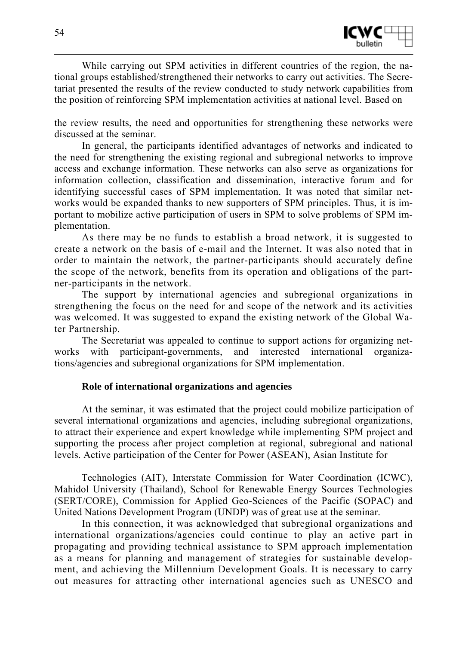

While carrying out SPM activities in different countries of the region, the national groups established/strengthened their networks to carry out activities. The Secretariat presented the results of the review conducted to study network capabilities from the position of reinforcing SPM implementation activities at national level. Based on

the review results, the need and opportunities for strengthening these networks were discussed at the seminar.

In general, the participants identified advantages of networks and indicated to the need for strengthening the existing regional and subregional networks to improve access and exchange information. These networks can also serve as organizations for information collection, classification and dissemination, interactive forum and for identifying successful cases of SPM implementation. It was noted that similar networks would be expanded thanks to new supporters of SPM principles. Thus, it is important to mobilize active participation of users in SPM to solve problems of SPM implementation.

As there may be no funds to establish a broad network, it is suggested to create a network on the basis of e-mail and the Internet. It was also noted that in order to maintain the network, the partner-participants should accurately define the scope of the network, benefits from its operation and obligations of the partner-participants in the network.

The support by international agencies and subregional organizations in strengthening the focus on the need for and scope of the network and its activities was welcomed. It was suggested to expand the existing network of the Global Water Partnership.

The Secretariat was appealed to continue to support actions for organizing networks with participant-governments, and interested international organizations/agencies and subregional organizations for SPM implementation.

#### **Role of international organizations and agencies**

At the seminar, it was estimated that the project could mobilize participation of several international organizations and agencies, including subregional organizations, to attract their experience and expert knowledge while implementing SPM project and supporting the process after project completion at regional, subregional and national levels. Active participation of the Center for Power (ASEAN), Asian Institute for

Technologies (AIT), Interstate Commission for Water Coordination (ICWC), Mahidol University (Thailand), School for Renewable Energy Sources Technologies (SERT/CORE), Commission for Applied Geo-Sciences of the Pacific (SOPAC) and United Nations Development Program (UNDP) was of great use at the seminar.

In this connection, it was acknowledged that subregional organizations and international organizations/agencies could continue to play an active part in propagating and providing technical assistance to SPM approach implementation as a means for planning and management of strategies for sustainable development, and achieving the Millennium Development Goals. It is necessary to carry out measures for attracting other international agencies such as UNESCO and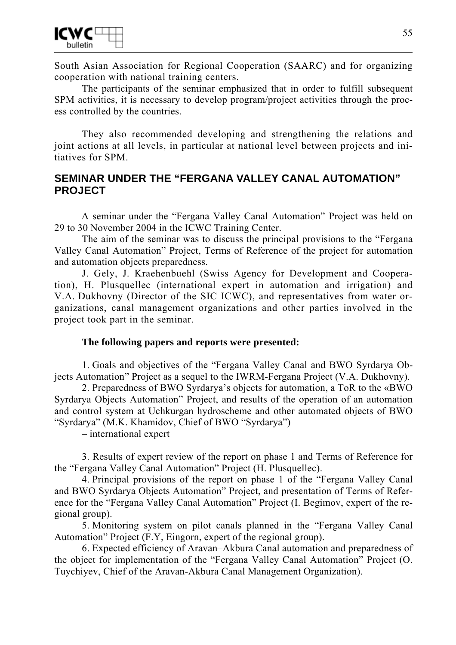

South Asian Association for Regional Cooperation (SAARC) and for organizing cooperation with national training centers.

The participants of the seminar emphasized that in order to fulfill subsequent SPM activities, it is necessary to develop program/project activities through the process controlled by the countries.

They also recommended developing and strengthening the relations and joint actions at all levels, in particular at national level between projects and initiatives for SPM.

# **SEMINAR UNDER THE "FERGANA VALLEY CANAL AUTOMATION" PROJECT**

A seminar under the "Fergana Valley Canal Automation" Project was held on 29 to 30 November 2004 in the ICWC Training Center.

The aim of the seminar was to discuss the principal provisions to the "Fergana Valley Canal Automation" Project, Terms of Reference of the project for automation and automation objects preparedness.

J. Gely, J. Kraehenbuehl (Swiss Agency for Development and Cooperation), H. Plusquellec (international expert in automation and irrigation) and V.A. Dukhovny (Director of the SIC ICWC), and representatives from water organizations, canal management organizations and other parties involved in the project took part in the seminar.

#### **The following papers and reports were presented:**

1. Goals and objectives of the "Fergana Valley Canal and BWO Syrdarya Objects Automation" Project as a sequel to the IWRM-Fergana Project (V.A. Dukhovny).

2. Preparedness of BWO Syrdarya's objects for automation, a ToR to the «BWO Syrdarya Objects Automation" Project, and results of the operation of an automation and control system at Uchkurgan hydroscheme and other automated objects of BWO "Syrdarya" (M.K. Khamidov, Chief of BWO "Syrdarya")

– international expert

3. Results of expert review of the report on phase 1 and Terms of Reference for the "Fergana Valley Canal Automation" Project (H. Plusquellec).

4. Principal provisions of the report on phase 1 of the "Fergana Valley Canal and BWO Syrdarya Objects Automation" Project, and presentation of Terms of Reference for the "Fergana Valley Canal Automation" Project (I. Begimov, expert of the regional group).

5. Monitoring system on pilot canals planned in the "Fergana Valley Canal Automation" Project (F.Y, Eingorn, expert of the regional group).

6. Expected efficiency of Aravan–Akbura Canal automation and preparedness of the object for implementation of the "Fergana Valley Canal Automation" Project (O. Tuychiyev, Chief of the Aravan-Akbura Canal Management Organization).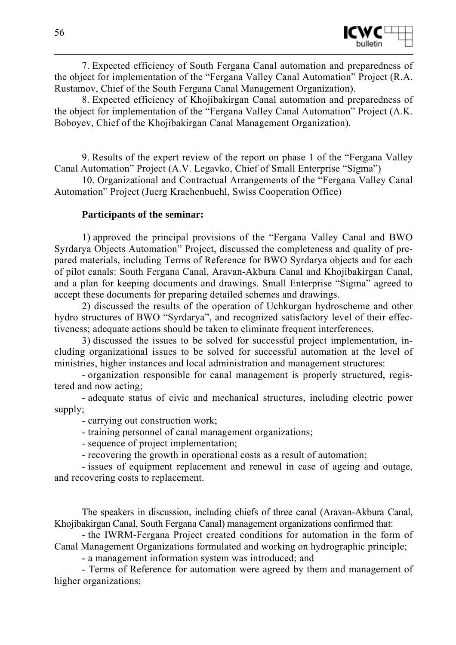

7. Expected efficiency of South Fergana Canal automation and preparedness of the object for implementation of the "Fergana Valley Canal Automation" Project (R.A. Rustamov, Chief of the South Fergana Canal Management Organization).

8. Expected efficiency of Khojibakirgan Canal automation and preparedness of the object for implementation of the "Fergana Valley Canal Automation" Project (A.K. Boboyev, Chief of the Khojibakirgan Canal Management Organization).

9. Results of the expert review of the report on phase 1 of the "Fergana Valley Canal Automation" Project (A.V. Legavko, Chief of Small Enterprise "Sigma")

10. Organizational and Contractual Arrangements of the "Fergana Valley Canal Automation" Project (Juerg Kraehenbuehl, Swiss Cooperation Office)

#### **Participants of the seminar:**

1) approved the principal provisions of the "Fergana Valley Canal and BWO Syrdarya Objects Automation" Project, discussed the completeness and quality of prepared materials, including Terms of Reference for BWO Syrdarya objects and for each of pilot canals: South Fergana Canal, Aravan-Akbura Canal and Khojibakirgan Canal, and a plan for keeping documents and drawings. Small Enterprise "Sigma" agreed to accept these documents for preparing detailed schemes and drawings.

2) discussed the results of the operation of Uchkurgan hydroscheme and other hydro structures of BWO "Syrdarya", and recognized satisfactory level of their effectiveness; adequate actions should be taken to eliminate frequent interferences.

3) discussed the issues to be solved for successful project implementation, including organizational issues to be solved for successful automation at the level of ministries, higher instances and local administration and management structures:

- organization responsible for canal management is properly structured, registered and now acting;

- adequate status of civic and mechanical structures, including electric power supply;

- carrying out construction work;

- training personnel of canal management organizations;

- sequence of project implementation;

- recovering the growth in operational costs as a result of automation;

- issues of equipment replacement and renewal in case of ageing and outage, and recovering costs to replacement.

The speakers in discussion, including chiefs of three canal (Aravan-Akbura Canal, Khojibakirgan Canal, South Fergana Canal) management organizations confirmed that:

- the IWRM-Fergana Project created conditions for automation in the form of Canal Management Organizations formulated and working on hydrographic principle;

- a management information system was introduced; and

- Terms of Reference for automation were agreed by them and management of higher organizations;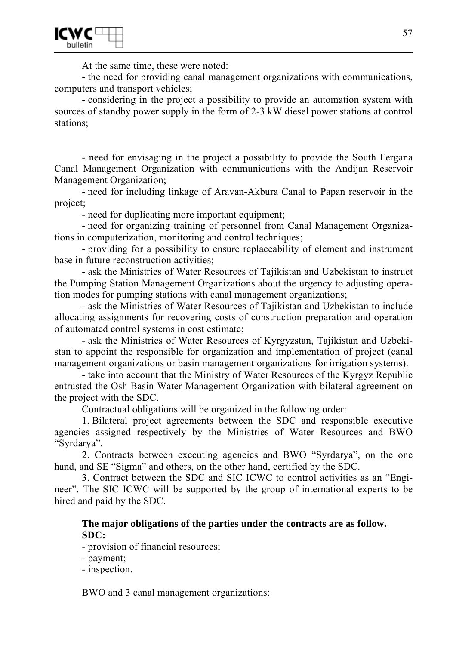At the same time, these were noted:

- the need for providing canal management organizations with communications, computers and transport vehicles;

- considering in the project a possibility to provide an automation system with sources of standby power supply in the form of 2-3 kW diesel power stations at control stations;

- need for envisaging in the project a possibility to provide the South Fergana Canal Management Organization with communications with the Andijan Reservoir Management Organization;

- need for including linkage of Aravan-Akbura Canal to Papan reservoir in the project;

- need for duplicating more important equipment;

- need for organizing training of personnel from Canal Management Organizations in computerization, monitoring and control techniques;

- providing for a possibility to ensure replaceability of element and instrument base in future reconstruction activities;

- ask the Ministries of Water Resources of Tajikistan and Uzbekistan to instruct the Pumping Station Management Organizations about the urgency to adjusting operation modes for pumping stations with canal management organizations;

- ask the Ministries of Water Resources of Tajikistan and Uzbekistan to include allocating assignments for recovering costs of construction preparation and operation of automated control systems in cost estimate;

- ask the Ministries of Water Resources of Kyrgyzstan, Tajikistan and Uzbekistan to appoint the responsible for organization and implementation of project (canal management organizations or basin management organizations for irrigation systems).

- take into account that the Ministry of Water Resources of the Kyrgyz Republic entrusted the Osh Basin Water Management Organization with bilateral agreement on the project with the SDC.

Contractual obligations will be organized in the following order:

1. Bilateral project agreements between the SDC and responsible executive agencies assigned respectively by the Ministries of Water Resources and BWO "Syrdarya".

2. Contracts between executing agencies and BWO "Syrdarya", on the one hand, and SE "Sigma" and others, on the other hand, certified by the SDC.

3. Contract between the SDC and SIC ICWC to control activities as an "Engineer". The SIC ICWC will be supported by the group of international experts to be hired and paid by the SDC.

#### **The major obligations of the parties under the contracts are as follow. SDC:**

- provision of financial resources;

- payment;

- inspection.

BWO and 3 canal management organizations: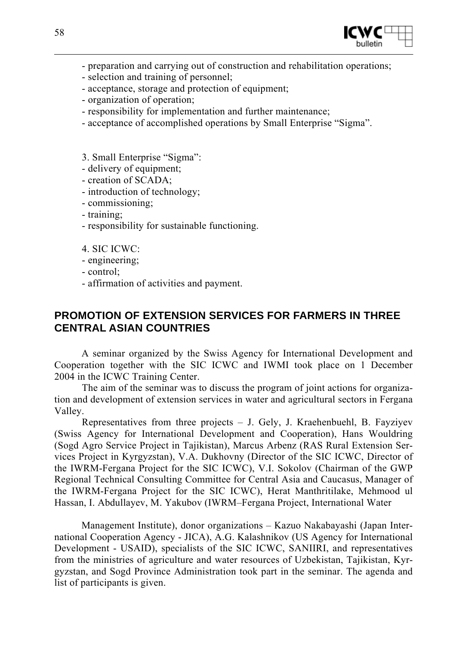

- preparation and carrying out of construction and rehabilitation operations;
- selection and training of personnel;
- acceptance, storage and protection of equipment;
- organization of operation;
- responsibility for implementation and further maintenance;
- acceptance of accomplished operations by Small Enterprise "Sigma".
- 3. Small Enterprise "Sigma":
- delivery of equipment;
- creation of SCADA;
- introduction of technology;
- commissioning;
- training;
- responsibility for sustainable functioning.
- 4. SIC ICWC:
- engineering;
- control;
- affirmation of activities and payment.

# **PROMOTION OF EXTENSION SERVICES FOR FARMERS IN THREE CENTRAL ASIAN COUNTRIES**

A seminar organized by the Swiss Agency for International Development and Cooperation together with the SIC ICWC and IWMI took place on 1 December 2004 in the ICWC Training Center.

The aim of the seminar was to discuss the program of joint actions for organization and development of extension services in water and agricultural sectors in Fergana Valley.

Representatives from three projects  $-$  J. Gely, J. Kraehenbuehl, B. Fayziyev (Swiss Agency for International Development and Cooperation), Hans Wouldring (Sogd Agro Service Project in Tajikistan), Marcus Arbenz (RAS Rural Extension Services Project in Kyrgyzstan), V.A. Dukhovny (Director of the SIC ICWC, Director of the IWRM-Fergana Project for the SIC ICWC), V.I. Sokolov (Chairman of the GWP Regional Technical Consulting Committee for Central Asia and Caucasus, Manager of the IWRM-Fergana Project for the SIC ICWC), Herat Manthritilake, Mehmood ul Hassan, I. Abdullayev, M. Yakubov (IWRM–Fergana Project, International Water

Management Institute), donor organizations – Kazuo Nakabayashi (Japan International Cooperation Agency - JICA), A.G. Kalashnikov (US Agency for International Development - USAID), specialists of the SIC ICWC, SANIIRI, and representatives from the ministries of agriculture and water resources of Uzbekistan, Tajikistan, Kyrgyzstan, and Sogd Province Administration took part in the seminar. The agenda and list of participants is given.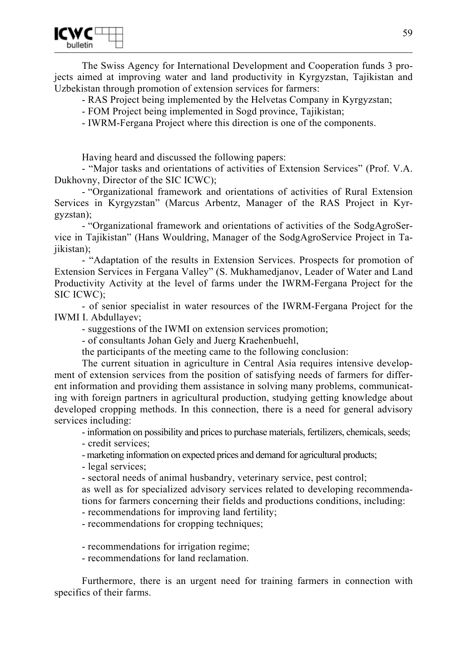The Swiss Agency for International Development and Cooperation funds 3 projects aimed at improving water and land productivity in Kyrgyzstan, Tajikistan and Uzbekistan through promotion of extension services for farmers:

- RAS Project being implemented by the Helvetas Company in Kyrgyzstan;

- FOM Project being implemented in Sogd province, Tajikistan;

- IWRM-Fergana Project where this direction is one of the components.

Having heard and discussed the following papers:

- "Major tasks and orientations of activities of Extension Services" (Prof. V.A. Dukhovny, Director of the SIC ICWC);

- "Organizational framework and orientations of activities of Rural Extension Services in Kyrgyzstan" (Marcus Arbentz, Manager of the RAS Project in Kyrgyzstan);

- "Organizational framework and orientations of activities of the SodgAgroService in Tajikistan" (Hans Wouldring, Manager of the SodgAgroService Project in Taiikistan):

- "Adaptation of the results in Extension Services. Prospects for promotion of Extension Services in Fergana Valley" (S. Mukhamedjanov, Leader of Water and Land Productivity Activity at the level of farms under the IWRM-Fergana Project for the SIC ICWC);

- of senior specialist in water resources of the IWRM-Fergana Project for the IWMI I. Abdullayev;

- suggestions of the IWMI on extension services promotion;

- of consultants Johan Gely and Juerg Kraehenbuehl,

the participants of the meeting came to the following conclusion:

The current situation in agriculture in Central Asia requires intensive development of extension services from the position of satisfying needs of farmers for different information and providing them assistance in solving many problems, communicating with foreign partners in agricultural production, studying getting knowledge about developed cropping methods. In this connection, there is a need for general advisory services including:

- information on possibility and prices to purchase materials, fertilizers, chemicals, seeds;

- credit services;

- marketing information on expected prices and demand for agricultural products;

- legal services;

- sectoral needs of animal husbandry, veterinary service, pest control;

as well as for specialized advisory services related to developing recommendations for farmers concerning their fields and productions conditions, including:

- recommendations for improving land fertility;

- recommendations for cropping techniques;

- recommendations for irrigation regime;

- recommendations for land reclamation.

Furthermore, there is an urgent need for training farmers in connection with specifics of their farms.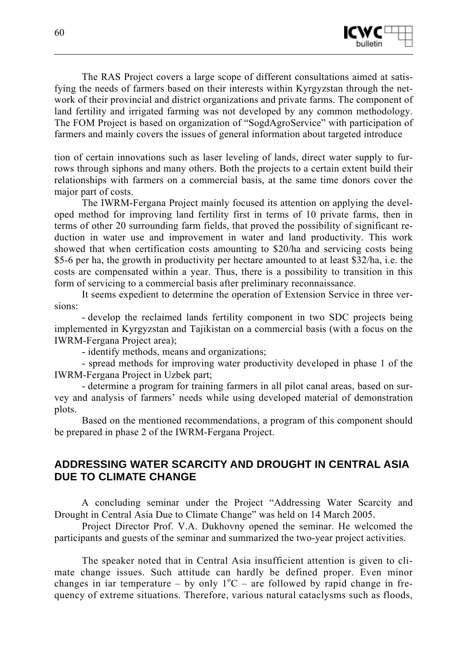

The RAS Project covers a large scope of different consultations aimed at satisfying the needs of farmers based on their interests within Kyrgyzstan through the network of their provincial and district organizations and private farms. The component of land fertility and irrigated farming was not developed by any common methodology. The FOM Project is based on organization of "SogdAgroService" with participation of farmers and mainly covers the issues of general information about targeted introduce

tion of certain innovations such as laser leveling of lands, direct water supply to furrows through siphons and many others. Both the projects to a certain extent build their relationships with farmers on a commercial basis, at the same time donors cover the major part of costs.

The IWRM-Fergana Project mainly focused its attention on applying the developed method for improving land fertility first in terms of 10 private farms, then in terms of other 20 surrounding farm fields, that proved the possibility of significant reduction in water use and improvement in water and land productivity. This work showed that when certification costs amounting to \$20/ha and servicing costs being \$5-6 per ha, the growth in productivity per hectare amounted to at least \$32/ha, i.e. the costs are compensated within a year. Thus, there is a possibility to transition in this form of servicing to a commercial basis after preliminary reconnaissance.

It seems expedient to determine the operation of Extension Service in three versions:

- develop the reclaimed lands fertility component in two SDC projects being implemented in Kyrgyzstan and Tajikistan on a commercial basis (with a focus on the IWRM-Fergana Project area);

- identify methods, means and organizations;

- spread methods for improving water productivity developed in phase 1 of the IWRM-Fergana Project in Uzbek part;

- determine a program for training farmers in all pilot canal areas, based on survey and analysis of farmers' needs while using developed material of demonstration plots.

Based on the mentioned recommendations, a program of this component should be prepared in phase 2 of the IWRM-Fergana Project.

# **ADDRESSING WATER SCARCITY AND DROUGHT IN CENTRAL ASIA DUE TO CLIMATE CHANGE**

A concluding seminar under the Project "Addressing Water Scarcity and Drought in Central Asia Due to Climate Change" was held on 14 March 2005.

Project Director Prof. V.A. Dukhovny opened the seminar. He welcomed the participants and guests of the seminar and summarized the two-year project activities.

The speaker noted that in Central Asia insufficient attention is given to climate change issues. Such attitude can hardly be defined proper. Even minor changes in iar temperature – by only  $1^{\circ}C$  – are followed by rapid change in frequency of extreme situations. Therefore, various natural cataclysms such as floods,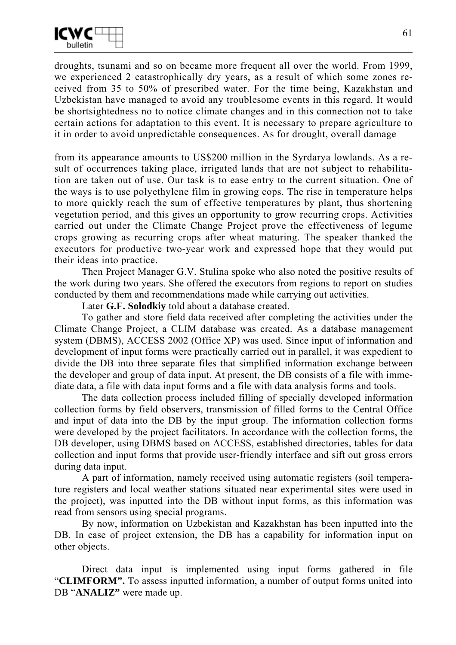

droughts, tsunami and so on became more frequent all over the world. From 1999, we experienced 2 catastrophically dry years, as a result of which some zones received from 35 to 50% of prescribed water. For the time being, Kazakhstan and Uzbekistan have managed to avoid any troublesome events in this regard. It would be shortsightedness no to notice climate changes and in this connection not to take certain actions for adaptation to this event. It is necessary to prepare agriculture to it in order to avoid unpredictable consequences. As for drought, overall damage

from its appearance amounts to US\$200 million in the Syrdarya lowlands. As a result of occurrences taking place, irrigated lands that are not subject to rehabilitation are taken out of use. Our task is to ease entry to the current situation. One of the ways is to use polyethylene film in growing cops. The rise in temperature helps to more quickly reach the sum of effective temperatures by plant, thus shortening vegetation period, and this gives an opportunity to grow recurring crops. Activities carried out under the Climate Change Project prove the effectiveness of legume crops growing as recurring crops after wheat maturing. The speaker thanked the executors for productive two-year work and expressed hope that they would put their ideas into practice.

Then Project Manager G.V. Stulina spoke who also noted the positive results of the work during two years. She offered the executors from regions to report on studies conducted by them and recommendations made while carrying out activities.

Later **G.F. Solodkiy** told about a database created.

To gather and store field data received after completing the activities under the Climate Change Project, a CLIM database was created. As a database management system (DBMS), ACCESS 2002 (Office XP) was used. Since input of information and development of input forms were practically carried out in parallel, it was expedient to divide the DB into three separate files that simplified information exchange between the developer and group of data input. At present, the DB consists of a file with immediate data, a file with data input forms and a file with data analysis forms and tools.

The data collection process included filling of specially developed information collection forms by field observers, transmission of filled forms to the Central Office and input of data into the DB by the input group. The information collection forms were developed by the project facilitators. In accordance with the collection forms, the DB developer, using DBMS based on ACCESS, established directories, tables for data collection and input forms that provide user-friendly interface and sift out gross errors during data input.

A part of information, namely received using automatic registers (soil temperature registers and local weather stations situated near experimental sites were used in the project), was inputted into the DB without input forms, as this information was read from sensors using special programs.

By now, information on Uzbekistan and Kazakhstan has been inputted into the DB. In case of project extension, the DB has a capability for information input on other objects.

Direct data input is implemented using input forms gathered in file "**CLIMFORM".** To assess inputted information, a number of output forms united into DB "**ANALIZ"** were made up.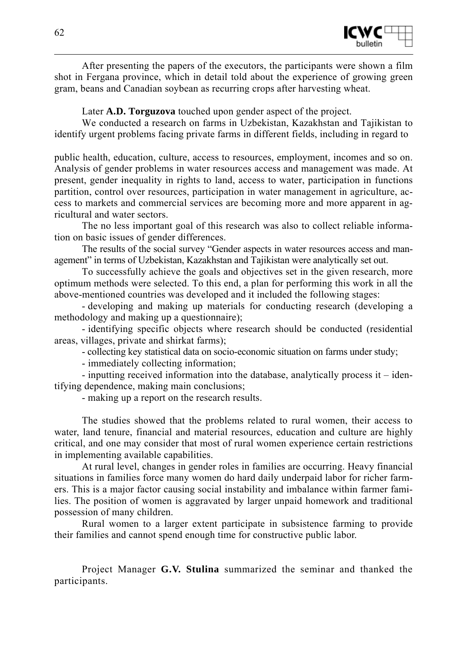

After presenting the papers of the executors, the participants were shown a film shot in Fergana province, which in detail told about the experience of growing green gram, beans and Canadian soybean as recurring crops after harvesting wheat.

Later **A.D. Torguzova** touched upon gender aspect of the project.

We conducted a research on farms in Uzbekistan, Kazakhstan and Tajikistan to identify urgent problems facing private farms in different fields, including in regard to

public health, education, culture, access to resources, employment, incomes and so on. Analysis of gender problems in water resources access and management was made. At present, gender inequality in rights to land, access to water, participation in functions partition, control over resources, participation in water management in agriculture, access to markets and commercial services are becoming more and more apparent in agricultural and water sectors.

The no less important goal of this research was also to collect reliable information on basic issues of gender differences.

The results of the social survey "Gender aspects in water resources access and management" in terms of Uzbekistan, Kazakhstan and Tajikistan were analytically set out.

To successfully achieve the goals and objectives set in the given research, more optimum methods were selected. To this end, a plan for performing this work in all the above-mentioned countries was developed and it included the following stages:

- developing and making up materials for conducting research (developing a methodology and making up a questionnaire);

- identifying specific objects where research should be conducted (residential areas, villages, private and shirkat farms);

- collecting key statistical data on socio-economic situation on farms under study;

- immediately collecting information;

- inputting received information into the database, analytically process it – identifying dependence, making main conclusions;

- making up a report on the research results.

The studies showed that the problems related to rural women, their access to water, land tenure, financial and material resources, education and culture are highly critical, and one may consider that most of rural women experience certain restrictions in implementing available capabilities.

At rural level, changes in gender roles in families are occurring. Heavy financial situations in families force many women do hard daily underpaid labor for richer farmers. This is a major factor causing social instability and imbalance within farmer families. The position of women is aggravated by larger unpaid homework and traditional possession of many children.

Rural women to a larger extent participate in subsistence farming to provide their families and cannot spend enough time for constructive public labor.

Project Manager **G.V. Stulina** summarized the seminar and thanked the participants.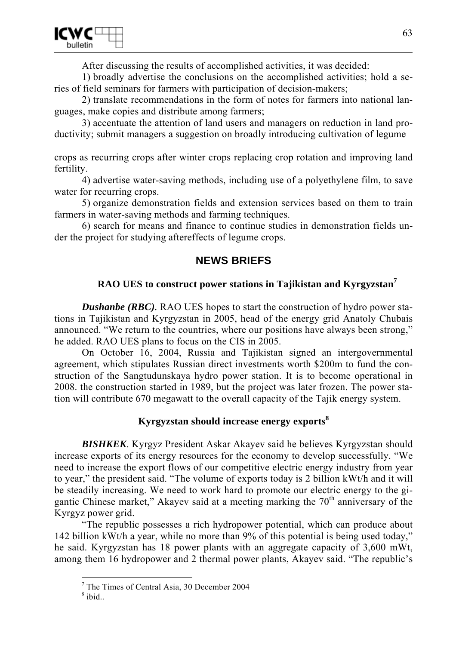

After discussing the results of accomplished activities, it was decided:

1) broadly advertise the conclusions on the accomplished activities; hold a series of field seminars for farmers with participation of decision-makers;

2) translate recommendations in the form of notes for farmers into national languages, make copies and distribute among farmers;

3) accentuate the attention of land users and managers on reduction in land productivity; submit managers a suggestion on broadly introducing cultivation of legume

crops as recurring crops after winter crops replacing crop rotation and improving land fertility.

4) advertise water-saving methods, including use of a polyethylene film, to save water for recurring crops.

5) organize demonstration fields and extension services based on them to train farmers in water-saving methods and farming techniques.

6) search for means and finance to continue studies in demonstration fields under the project for studying aftereffects of legume crops.

# **NEWS BRIEFS**

## **RAO UES to construct power stations in Tajikistan and Kyrgyzstan<sup>7</sup>**

*Dushanbe (RBC)*. RAO UES hopes to start the construction of hydro power stations in Tajikistan and Kyrgyzstan in 2005, head of the energy grid Anatoly Chubais announced. "We return to the countries, where our positions have always been strong," he added. RAO UES plans to focus on the CIS in 2005.

On October 16, 2004, Russia and Tajikistan signed an intergovernmental agreement, which stipulates Russian direct investments worth \$200m to fund the construction of the Sangtudunskaya hydro power station. It is to become operational in 2008. the construction started in 1989, but the project was later frozen. The power station will contribute 670 megawatt to the overall capacity of the Tajik energy system.

## **Kyrgyzstan should increase energy exports<sup>8</sup>**

**BISHKEK.** Kyrgyz President Askar Akayev said he believes Kyrgyzstan should increase exports of its energy resources for the economy to develop successfully. "We need to increase the export flows of our competitive electric energy industry from year to year," the president said. "The volume of exports today is 2 billion kWt/h and it will be steadily increasing. We need to work hard to promote our electric energy to the gigantic Chinese market," Akayev said at a meeting marking the 70<sup>th</sup> anniversary of the Kyrgyz power grid.

"The republic possesses a rich hydropower potential, which can produce about 142 billion kWt/h a year, while no more than 9% of this potential is being used today," he said. Kyrgyzstan has 18 power plants with an aggregate capacity of 3,600 mWt, among them 16 hydropower and 2 thermal power plants, Akayev said. "The republic's

The Times of Central Asia, 30 December 2004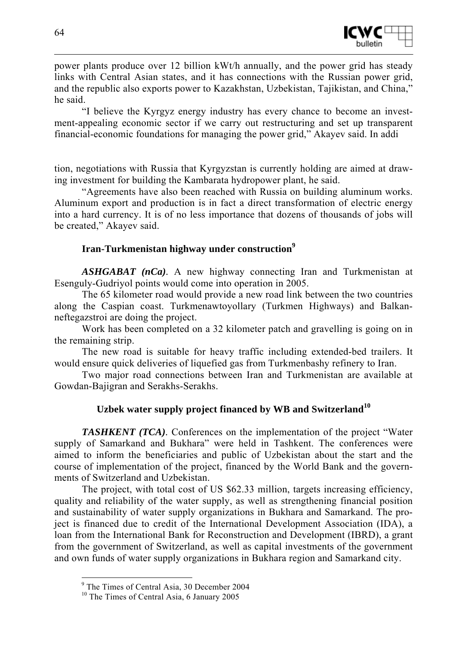

power plants produce over 12 billion kWt/h annually, and the power grid has steady links with Central Asian states, and it has connections with the Russian power grid, and the republic also exports power to Kazakhstan, Uzbekistan, Tajikistan, and China," he said.

"I believe the Kyrgyz energy industry has every chance to become an investment-appealing economic sector if we carry out restructuring and set up transparent financial-economic foundations for managing the power grid," Akayev said. In addi

tion, negotiations with Russia that Kyrgyzstan is currently holding are aimed at drawing investment for building the Kambarata hydropower plant, he said.

"Agreements have also been reached with Russia on building aluminum works. Aluminum export and production is in fact a direct transformation of electric energy into a hard currency. It is of no less importance that dozens of thousands of jobs will be created," Akayev said.

#### **Iran-Turkmenistan highway under construction<sup>9</sup>**

*ASHGABAT (nCa).* A new highway connecting Iran and Turkmenistan at Esenguly-Gudriyol points would come into operation in 2005.

The 65 kilometer road would provide a new road link between the two countries along the Caspian coast. Turkmenawtoyollary (Turkmen Highways) and Balkanneftegazstroi are doing the project.

Work has been completed on a 32 kilometer patch and gravelling is going on in the remaining strip.

The new road is suitable for heavy traffic including extended-bed trailers. It would ensure quick deliveries of liquefied gas from Turkmenbashy refinery to Iran.

Two major road connections between Iran and Turkmenistan are available at Gowdan-Bajigran and Serakhs-Serakhs.

# **Uzbek water supply project financed by WB and Switzerland<sup>10</sup>**

*TASHKENT (TCA)*. Conferences on the implementation of the project "Water" supply of Samarkand and Bukhara" were held in Tashkent. The conferences were aimed to inform the beneficiaries and public of Uzbekistan about the start and the course of implementation of the project, financed by the World Bank and the governments of Switzerland and Uzbekistan.

The project, with total cost of US \$62.33 million, targets increasing efficiency, quality and reliability of the water supply, as well as strengthening financial position and sustainability of water supply organizations in Bukhara and Samarkand. The project is financed due to credit of the International Development Association (IDA), a loan from the International Bank for Reconstruction and Development (IBRD), a grant from the government of Switzerland, as well as capital investments of the government and own funds of water supply organizations in Bukhara region and Samarkand city.

<sup>9</sup> The Times of Central Asia, 30 December 2004

<sup>&</sup>lt;sup>10</sup> The Times of Central Asia, 6 January 2005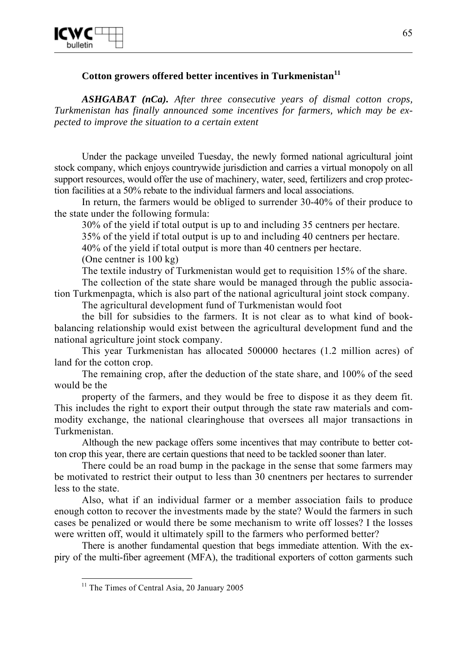

# **Cotton growers offered better incentives in Turkmenistan<sup>11</sup>**

*ASHGABAT (nCa). After three consecutive years of dismal cotton crops, Turkmenistan has finally announced some incentives for farmers, which may be expected to improve the situation to a certain extent* 

Under the package unveiled Tuesday, the newly formed national agricultural joint stock company, which enjoys countrywide jurisdiction and carries a virtual monopoly on all support resources, would offer the use of machinery, water, seed, fertilizers and crop protection facilities at a 50% rebate to the individual farmers and local associations.

In return, the farmers would be obliged to surrender 30-40% of their produce to the state under the following formula:

30% of the yield if total output is up to and including 35 centners per hectare.

35% of the yield if total output is up to and including 40 centners per hectare.

40% of the yield if total output is more than 40 centners per hectare.

(One centner is 100 kg)

The textile industry of Turkmenistan would get to requisition 15% of the share.

The collection of the state share would be managed through the public association Turkmenpagta, which is also part of the national agricultural joint stock company.

The agricultural development fund of Turkmenistan would foot

the bill for subsidies to the farmers. It is not clear as to what kind of bookbalancing relationship would exist between the agricultural development fund and the national agriculture joint stock company.

This year Turkmenistan has allocated 500000 hectares (1.2 million acres) of land for the cotton crop.

The remaining crop, after the deduction of the state share, and 100% of the seed would be the

property of the farmers, and they would be free to dispose it as they deem fit. This includes the right to export their output through the state raw materials and commodity exchange, the national clearinghouse that oversees all major transactions in Turkmenistan.

Although the new package offers some incentives that may contribute to better cotton crop this year, there are certain questions that need to be tackled sooner than later.

There could be an road bump in the package in the sense that some farmers may be motivated to restrict their output to less than 30 cnentners per hectares to surrender less to the state.

Also, what if an individual farmer or a member association fails to produce enough cotton to recover the investments made by the state? Would the farmers in such cases be penalized or would there be some mechanism to write off losses? I the losses were written off, would it ultimately spill to the farmers who performed better?

There is another fundamental question that begs immediate attention. With the expiry of the multi-fiber agreement (MFA), the traditional exporters of cotton garments such

<sup>&</sup>lt;sup>11</sup> The Times of Central Asia, 20 January 2005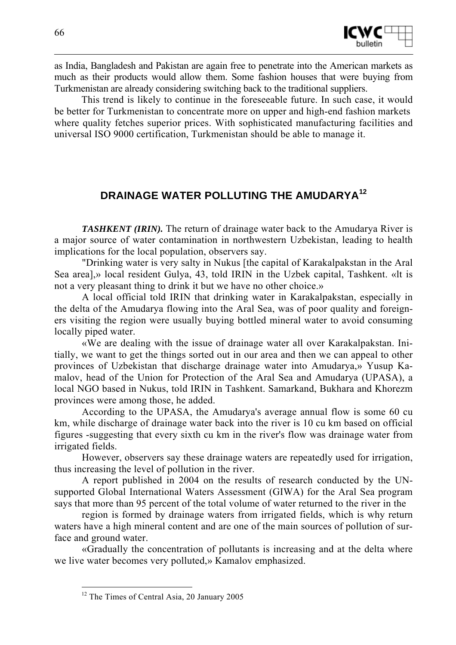

as India, Bangladesh and Pakistan are again free to penetrate into the American markets as much as their products would allow them. Some fashion houses that were buying from Turkmenistan are already considering switching back to the traditional suppliers.

This trend is likely to continue in the foreseeable future. In such case, it would be better for Turkmenistan to concentrate more on upper and high-end fashion markets where quality fetches superior prices. With sophisticated manufacturing facilities and universal ISO 9000 certification, Turkmenistan should be able to manage it.

# **DRAINAGE WATER POLLUTING THE AMUDARYA<sup>12</sup>**

*TASHKENT (IRIN).* The return of drainage water back to the Amudarya River is a major source of water contamination in northwestern Uzbekistan, leading to health implications for the local population, observers say.

"Drinking water is very salty in Nukus [the capital of Karakalpakstan in the Aral Sea area],» local resident Gulya, 43, told IRIN in the Uzbek capital, Tashkent. «lt is not a very pleasant thing to drink it but we have no other choice.»

A local official told IRIN that drinking water in Karakalpakstan, especially in the delta of the Amudarya flowing into the Aral Sea, was of poor quality and foreigners visiting the region were usually buying bottled mineral water to avoid consuming locally piped water.

«We are dealing with the issue of drainage water all over Karakalpakstan. Initially, we want to get the things sorted out in our area and then we can appeal to other provinces of Uzbekistan that discharge drainage water into Amudarya,» Yusup Kamalov, head of the Union for Protection of the Aral Sea and Amudarya (UPASA), a local NGO based in Nukus, told IRIN in Tashkent. Samarkand, Bukhara and Khorezm provinces were among those, he added.

According to the UPASA, the Amudarya's average annual flow is some 60 cu km, while discharge of drainage water back into the river is 10 cu km based on official figures -suggesting that every sixth cu km in the river's flow was drainage water from irrigated fields.

However, observers say these drainage waters are repeatedly used for irrigation, thus increasing the level of pollution in the river.

A report published in 2004 on the results of research conducted by the UNsupported Global International Waters Assessment (GIWA) for the Aral Sea program says that more than 95 percent of the total volume of water returned to the river in the

region is formed by drainage waters from irrigated fields, which is why return waters have a high mineral content and are one of the main sources of pollution of surface and ground water.

«Gradually the concentration of pollutants is increasing and at the delta where we live water becomes very polluted,» Kamalov emphasized.

<sup>&</sup>lt;sup>12</sup> The Times of Central Asia, 20 January 2005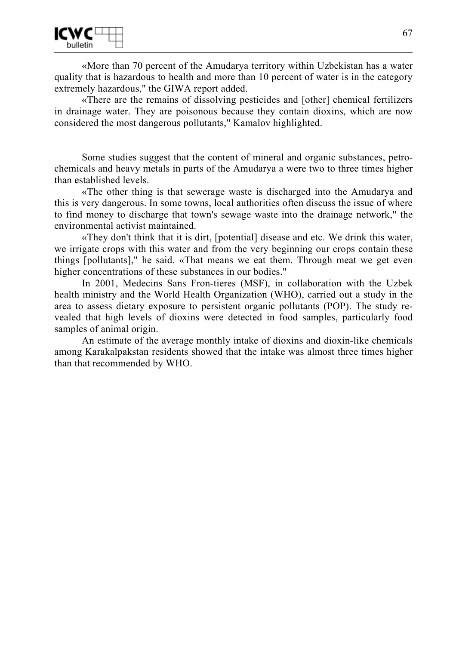

«More than 70 percent of the Amudarya territory within Uzbekistan has a water quality that is hazardous to health and more than 10 percent of water is in the category extremely hazardous," the GIWA report added.

«There are the remains of dissolving pesticides and [other] chemical fertilizers in drainage water. They are poisonous because they contain dioxins, which are now considered the most dangerous pollutants," Kamalov highlighted.

Some studies suggest that the content of mineral and organic substances, petrochemicals and heavy metals in parts of the Amudarya a were two to three times higher than established levels.

«The other thing is that sewerage waste is discharged into the Amudarya and this is very dangerous. In some towns, local authorities often discuss the issue of where to find money to discharge that town's sewage waste into the drainage network," the environmental activist maintained.

«They don't think that it is dirt, [potential] disease and etc. We drink this water, we irrigate crops with this water and from the very beginning our crops contain these things [pollutants]," he said. «That means we eat them. Through meat we get even higher concentrations of these substances in our bodies."

In 2001, Medecins Sans Fron-tieres (MSF), in collaboration with the Uzbek health ministry and the World Health Organization (WHO), carried out a study in the area to assess dietary exposure to persistent organic pollutants (POP). The study revealed that high levels of dioxins were detected in food samples, particularly food samples of animal origin.

An estimate of the average monthly intake of dioxins and dioxin-like chemicals among Karakalpakstan residents showed that the intake was almost three times higher than that recommended by WHO.